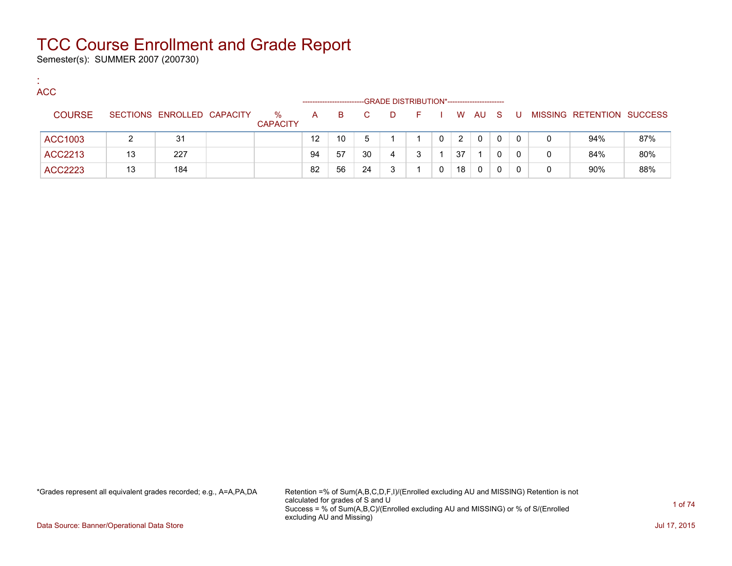Semester(s): SUMMER 2007 (200730)

:

| <b>ACC</b>     |    |                            |                         | ------------------ |    |    |   | -GRADE DISTRIBUTION*----------------------- |              |    |      |          |    |   |                           |     |
|----------------|----|----------------------------|-------------------------|--------------------|----|----|---|---------------------------------------------|--------------|----|------|----------|----|---|---------------------------|-----|
| <b>COURSE</b>  |    | SECTIONS ENROLLED CAPACITY | $\%$<br><b>CAPACITY</b> | A                  | B. | C. | D | E.                                          |              |    | W AU | - S      | -U |   | MISSING RETENTION SUCCESS |     |
| ACC1003        |    | 31                         |                         | 12                 | 10 |    |   |                                             | $\mathbf{0}$ | 2  | 0    | $\Omega$ | 0  | 0 | 94%                       | 87% |
| ACC2213        | 13 | 227                        |                         | 94                 | 57 | 30 | 4 |                                             |              | 37 |      | 0        | 0  | 0 | 84%                       | 80% |
| <b>ACC2223</b> | 13 | 184                        |                         | 82                 | 56 | 24 | 3 |                                             | 0            | 18 | 0    | 0        | 0  | 0 | 90%                       | 88% |

\*Grades represent all equivalent grades recorded; e.g., A=A,PA,DA Retention =% of Sum(A,B,C,D,F,I)/(Enrolled excluding AU and MISSING) Retention is not calculated for grades of S and U Success = % of Sum(A,B,C)/(Enrolled excluding AU and MISSING) or % of S/(Enrolled excluding AU and Missing)

Data Source: Banner/Operational Data Store Jul 17, 2015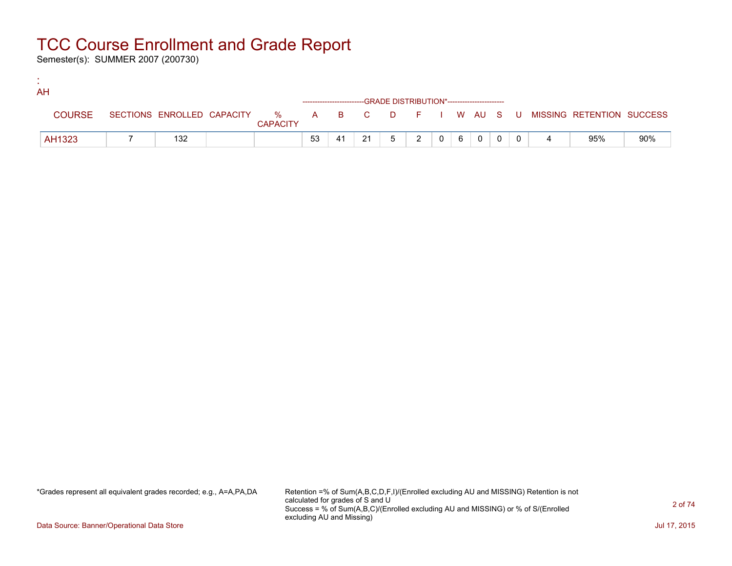Semester(s): SUMMER 2007 (200730)

:

| . . | AH            |     |                 |    |    |    |                                              |               |          |     |                |          |  |                                                                             |     |
|-----|---------------|-----|-----------------|----|----|----|----------------------------------------------|---------------|----------|-----|----------------|----------|--|-----------------------------------------------------------------------------|-----|
|     |               |     |                 |    |    |    | -GRADE DISTRIBUTION*------------------------ |               |          |     |                |          |  |                                                                             |     |
|     | <b>COURSE</b> |     | <b>CAPACITY</b> |    |    |    |                                              |               |          |     |                |          |  | SECTIONS ENROLLED CAPACITY % A B C D F I W AU S U MISSING RETENTION SUCCESS |     |
|     | AH1323        | 132 |                 | 53 | 41 | 21 | 5                                            | $\mathcal{D}$ | $\Omega$ | - 6 | $\overline{0}$ | $\Omega$ |  | 95%                                                                         | 90% |

\*Grades represent all equivalent grades recorded; e.g., A=A,PA,DA Retention =% of Sum(A,B,C,D,F,I)/(Enrolled excluding AU and MISSING) Retention is not calculated for grades of S and U Success = % of Sum(A,B,C)/(Enrolled excluding AU and MISSING) or % of S/(Enrolled excluding AU and Missing)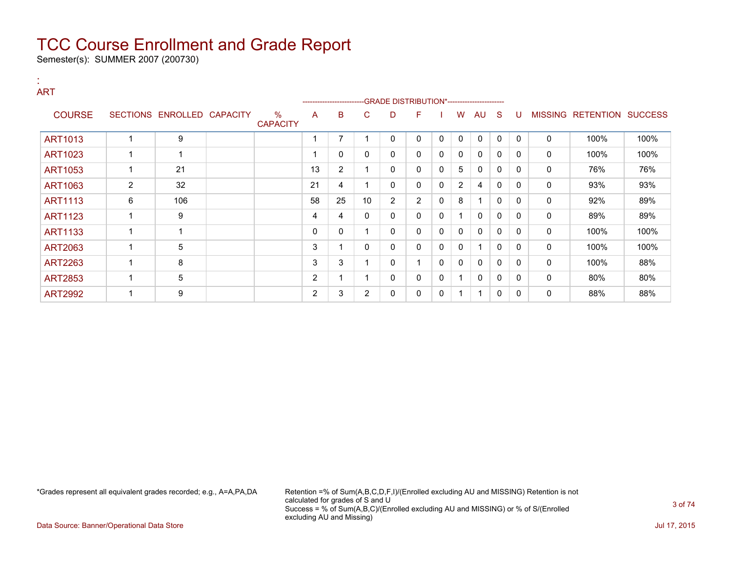Semester(s): SUMMER 2007 (200730)

### : ART

|                |                |                            |                      |    | --------------------- |          | -- GRADE DISTRIBUTION*------------------------ |                |              |                |              |              |              |                |                          |      |
|----------------|----------------|----------------------------|----------------------|----|-----------------------|----------|------------------------------------------------|----------------|--------------|----------------|--------------|--------------|--------------|----------------|--------------------------|------|
| <b>COURSE</b>  |                | SECTIONS ENROLLED CAPACITY | %<br><b>CAPACITY</b> | A  | B                     | C.       | D                                              | F              |              | W              | AU           | <sub>S</sub> | U            | <b>MISSING</b> | <b>RETENTION SUCCESS</b> |      |
| ART1013        |                | 9                          |                      |    | 7                     |          | 0                                              | 0              | 0            | 0              | $\mathbf{0}$ | 0            | $\Omega$     | 0              | 100%                     | 100% |
| <b>ART1023</b> |                | $\overline{\mathbf{A}}$    |                      |    | $\mathbf{0}$          | $\Omega$ | 0                                              | 0              | 0            | $\mathbf{0}$   | $\mathbf{0}$ | $\mathbf{0}$ | $\Omega$     | 0              | 100%                     | 100% |
| <b>ART1053</b> |                | 21                         |                      | 13 | 2                     |          | 0                                              | 0              | $\mathbf{0}$ | 5              | $\mathbf{0}$ | $\mathbf{0}$ | $\Omega$     | 0              | 76%                      | 76%  |
| <b>ART1063</b> | $\overline{2}$ | 32                         |                      | 21 | 4                     |          | 0                                              | 0              | 0            | $\overline{2}$ | 4            | $\mathbf{0}$ | $\Omega$     | 0              | 93%                      | 93%  |
| <b>ART1113</b> | 6              | 106                        |                      | 58 | 25                    | 10       | $\overline{2}$                                 | $\overline{2}$ | 0            | 8              | 1            | $\mathbf{0}$ | $\Omega$     | 0              | 92%                      | 89%  |
| <b>ART1123</b> |                | 9                          |                      | 4  | 4                     | 0        | 0                                              | 0              | 0            |                | 0            | $\mathbf{0}$ | $\mathbf{0}$ | 0              | 89%                      | 89%  |
| <b>ART1133</b> |                | -1                         |                      | 0  | 0                     |          | 0                                              | 0              | 0            | 0              | $\mathbf{0}$ | 0            | $\Omega$     | 0              | 100%                     | 100% |
| <b>ART2063</b> |                | 5                          |                      | 3  |                       | $\Omega$ | 0                                              | 0              | 0            | 0              | 1            | $\mathbf{0}$ | $\Omega$     | 0              | 100%                     | 100% |
| <b>ART2263</b> |                | 8                          |                      | 3  | 3                     |          | 0                                              |                | $\mathbf{0}$ | $\mathbf{0}$   | $\mathbf{0}$ | $\mathbf{0}$ | $\Omega$     | 0              | 100%                     | 88%  |
| <b>ART2853</b> |                | 5                          |                      | 2  |                       |          | 0                                              | 0              | 0            |                | $\Omega$     | $\mathbf{0}$ | $\Omega$     | 0              | 80%                      | 80%  |
| <b>ART2992</b> |                | 9                          |                      | 2  | 3                     |          | 0                                              | 0              | 0            |                | 1            | 0            | $\mathbf{0}$ | 0              | 88%                      | 88%  |

\*Grades represent all equivalent grades recorded; e.g., A=A,PA,DA Retention =% of Sum(A,B,C,D,F,I)/(Enrolled excluding AU and MISSING) Retention is not calculated for grades of S and U Success = % of Sum(A,B,C)/(Enrolled excluding AU and MISSING) or % of S/(Enrolled excluding AU and Missing)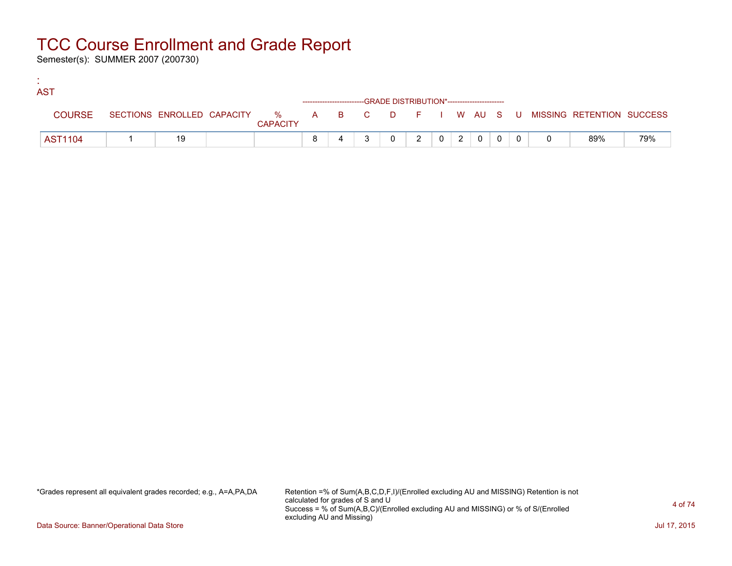Semester(s): SUMMER 2007 (200730)

:

| <b>AST</b>     |    |                 |  |                                                                    |              |                |                |                                     |     |                                                                               |     |
|----------------|----|-----------------|--|--------------------------------------------------------------------|--------------|----------------|----------------|-------------------------------------|-----|-------------------------------------------------------------------------------|-----|
|                |    |                 |  | ------------------------GRADE DISTRIBUTION*----------------------- |              |                |                |                                     |     |                                                                               |     |
| <b>COURSE</b>  |    | <b>CAPACITY</b> |  |                                                                    |              |                |                |                                     |     | SECTIONS ENROLLED CAPACITY 5 % A B C D F I W AU S U MISSING RETENTION SUCCESS |     |
| <b>AST1104</b> | 19 |                 |  |                                                                    | $\mathbf{2}$ | 0 <sup>1</sup> | 2 <sup>1</sup> | $\begin{array}{cc} 0 & \end{array}$ | . റ | 89%                                                                           | 79% |

\*Grades represent all equivalent grades recorded; e.g., A=A,PA,DA Retention =% of Sum(A,B,C,D,F,I)/(Enrolled excluding AU and MISSING) Retention is not calculated for grades of S and U Success = % of Sum(A,B,C)/(Enrolled excluding AU and MISSING) or % of S/(Enrolled excluding AU and Missing)

Data Source: Banner/Operational Data Store Jul 17, 2015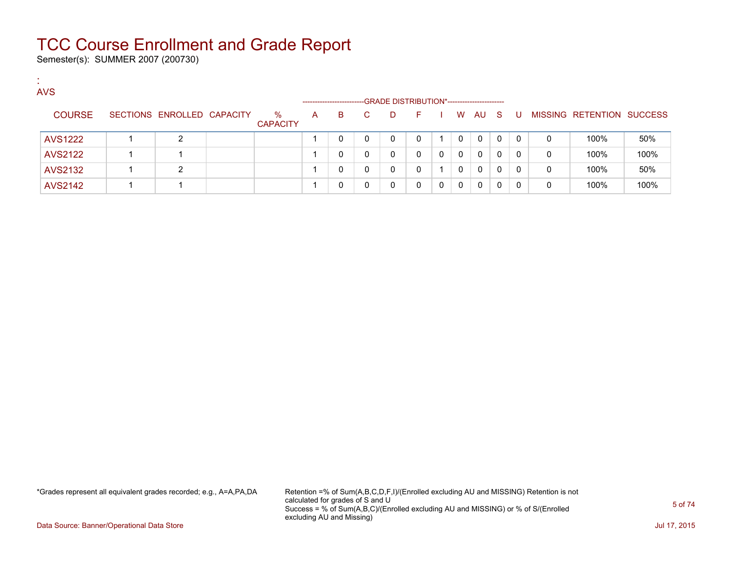Semester(s): SUMMER 2007 (200730)

:

| <b>AVS</b>     |                            |                         |                      |   |    |                                             |    |          |              |    |    |              |   |                           |      |
|----------------|----------------------------|-------------------------|----------------------|---|----|---------------------------------------------|----|----------|--------------|----|----|--------------|---|---------------------------|------|
|                |                            |                         | -------------------- |   |    | -GRADE DISTRIBUTION*----------------------- |    |          |              |    |    |              |   |                           |      |
| <b>COURSE</b>  | SECTIONS ENROLLED CAPACITY | $\%$<br><b>CAPACITY</b> | $\mathsf{A}$         | B | C. | D                                           | ÷. |          | W            | AU | S. | -U           |   | MISSING RETENTION SUCCESS |      |
| <b>AVS1222</b> | າ                          |                         |                      |   |    | 0                                           | 0  |          | 0            | 0  | 0  | $\Omega$     | 0 | 100%                      | 50%  |
| <b>AVS2122</b> |                            |                         |                      |   |    | 0                                           | 0  | $\Omega$ | $\mathbf{0}$ | 0  | 0  | $\mathbf{0}$ | 0 | 100%                      | 100% |
| <b>AVS2132</b> | ົ                          |                         |                      |   |    | 0                                           | 0  |          | 0            | 0  | 0  | $\Omega$     | 0 | 100%                      | 50%  |
| <b>AVS2142</b> |                            |                         |                      |   |    | 0                                           | 0  | 0        | $\mathbf{0}$ | 0  | 0  |              | 0 | 100%                      | 100% |

\*Grades represent all equivalent grades recorded; e.g., A=A,PA,DA Retention =% of Sum(A,B,C,D,F,I)/(Enrolled excluding AU and MISSING) Retention is not calculated for grades of S and U Success = % of Sum(A,B,C)/(Enrolled excluding AU and MISSING) or % of S/(Enrolled excluding AU and Missing)

Data Source: Banner/Operational Data Store Jul 17, 2015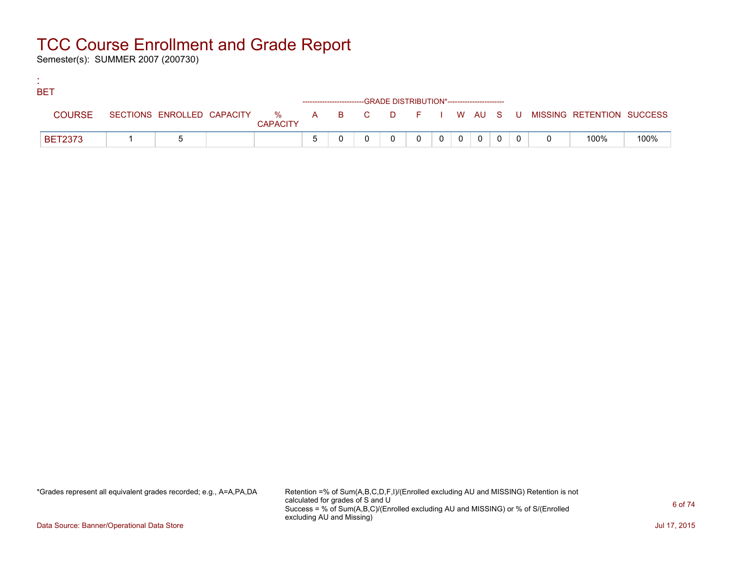Semester(s): SUMMER 2007 (200730)

:

| <b>BET</b>     |  |                 |  |                                                                    |                |                |              |  |                                                                               |      |
|----------------|--|-----------------|--|--------------------------------------------------------------------|----------------|----------------|--------------|--|-------------------------------------------------------------------------------|------|
|                |  |                 |  | ------------------------GRADE DISTRIBUTION*----------------------- |                |                |              |  |                                                                               |      |
| <b>COURSE</b>  |  | <b>CAPACITY</b> |  |                                                                    |                |                |              |  | SECTIONS ENROLLED CAPACITY 5 % A B C D F I W AU S U MISSING RETENTION SUCCESS |      |
| <b>BET2373</b> |  |                 |  |                                                                    | 0 <sup>1</sup> | $\overline{0}$ | $\mathbf{0}$ |  | 100%                                                                          | 100% |

\*Grades represent all equivalent grades recorded; e.g., A=A,PA,DA Retention =% of Sum(A,B,C,D,F,I)/(Enrolled excluding AU and MISSING) Retention is not calculated for grades of S and U Success = % of Sum(A,B,C)/(Enrolled excluding AU and MISSING) or % of S/(Enrolled excluding AU and Missing)

Data Source: Banner/Operational Data Store Jul 17, 2015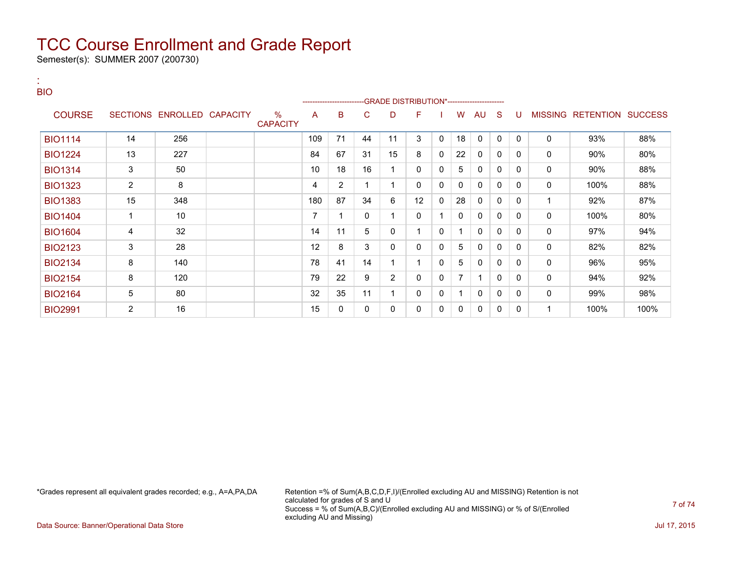Semester(s): SUMMER 2007 (200730)

| <b>BIO</b>     |                 |                   |                         |                |                |              |                                             |              |              |                |              |              |              |                |           |                |
|----------------|-----------------|-------------------|-------------------------|----------------|----------------|--------------|---------------------------------------------|--------------|--------------|----------------|--------------|--------------|--------------|----------------|-----------|----------------|
|                |                 |                   |                         |                |                |              | -GRADE DISTRIBUTION*----------------------- |              |              |                |              |              |              |                |           |                |
| <b>COURSE</b>  | <b>SECTIONS</b> | ENROLLED CAPACITY | $\%$<br><b>CAPACITY</b> | A              | B              | C            | D                                           | F            |              | w              | AU           | S            | U            | <b>MISSING</b> | RETENTION | <b>SUCCESS</b> |
| <b>BIO1114</b> | 14              | 256               |                         | 109            | 71             | 44           | 11                                          | 3            | $\mathbf{0}$ | 18             | $\mathbf{0}$ | 0            | $\mathbf{0}$ | 0              | 93%       | 88%            |
| <b>BIO1224</b> | 13              | 227               |                         | 84             | 67             | 31           | 15                                          | 8            | $\Omega$     | 22             | $\mathbf{0}$ | $\mathbf{0}$ | $\mathbf{0}$ | $\mathbf{0}$   | 90%       | 80%            |
| <b>BIO1314</b> | 3               | 50                |                         | 10             | 18             | 16           | 1                                           | 0            | 0            | 5              | 0            | 0            | 0            | 0              | 90%       | 88%            |
| <b>BIO1323</b> | 2               | 8                 |                         | 4              | $\overline{2}$ |              | $\mathbf 1$                                 | $\mathbf{0}$ | $\mathbf{0}$ | 0              | 0            | 0            | $\mathbf{0}$ | $\mathbf 0$    | 100%      | 88%            |
| <b>BIO1383</b> | 15              | 348               |                         | 180            | 87             | 34           | 6                                           | 12           | 0            | 28             | 0            | $\mathbf{0}$ | 0            |                | 92%       | 87%            |
| <b>BIO1404</b> | $\mathbf{1}$    | 10                |                         | $\overline{7}$ | $\mathbf{1}$   | $\mathbf{0}$ |                                             | $\mathbf{0}$ |              | 0              | 0            | 0            | $\mathbf{0}$ | $\mathbf 0$    | 100%      | 80%            |
| <b>BIO1604</b> | 4               | 32                |                         | 14             | 11             | 5            | 0                                           |              | 0            | 1              | 0            | 0            | 0            | $\mathbf 0$    | 97%       | 94%            |
| <b>BIO2123</b> | 3               | 28                |                         | 12             | 8              | 3            | $\Omega$                                    | $\mathbf{0}$ | 0            | 5              | $\mathbf{0}$ | 0            | 0            | 0              | 82%       | 82%            |
| <b>BIO2134</b> | 8               | 140               |                         | 78             | 41             | 14           |                                             |              | 0            | 5              | 0            | 0            | 0            | 0              | 96%       | 95%            |
| <b>BIO2154</b> | 8               | 120               |                         | 79             | 22             | 9            | $\overline{2}$                              | $\mathbf{0}$ | 0            | $\overline{7}$ |              | 0            | 0            | 0              | 94%       | 92%            |
| <b>BIO2164</b> | 5               | 80                |                         | 32             | 35             | 11           |                                             | 0            | 0            | 1              | $\mathbf{0}$ | 0            | 0            | 0              | 99%       | 98%            |
| <b>BIO2991</b> | 2               | 16                |                         | 15             | 0              | 0            | $\mathbf{0}$                                | 0            | 0            | $\mathbf{0}$   | 0            | 0            | 0            |                | 100%      | 100%           |

:

\*Grades represent all equivalent grades recorded; e.g., A=A,PA,DA Retention =% of Sum(A,B,C,D,F,I)/(Enrolled excluding AU and MISSING) Retention is not calculated for grades of S and U Success = % of Sum(A,B,C)/(Enrolled excluding AU and MISSING) or % of S/(Enrolled excluding AU and Missing)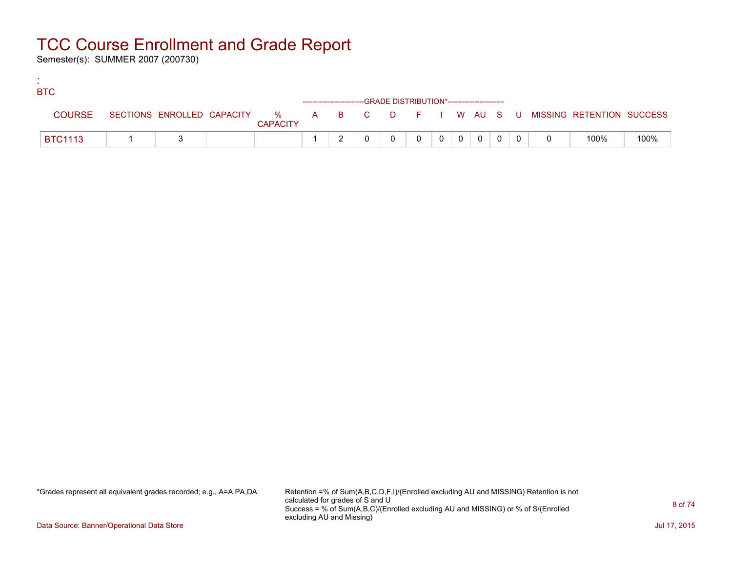Semester(s): SUMMER 2007 (200730)

:

| <b>BTC</b>     |  |                 |  |                                                                    |          |                |          |              |  |                                                                             |      |
|----------------|--|-----------------|--|--------------------------------------------------------------------|----------|----------------|----------|--------------|--|-----------------------------------------------------------------------------|------|
|                |  |                 |  | ------------------------GRADE DISTRIBUTION*----------------------- |          |                |          |              |  |                                                                             |      |
| <b>COURSE</b>  |  | <b>CAPACITY</b> |  |                                                                    |          |                |          |              |  | SECTIONS ENROLLED CAPACITY % A B C D F I W AU S U MISSING RETENTION SUCCESS |      |
| <b>BTC1113</b> |  |                 |  |                                                                    | $\Omega$ | 0 <sup>1</sup> | $\Omega$ | $\mathbf{0}$ |  | 100%                                                                        | 100% |

\*Grades represent all equivalent grades recorded; e.g., A=A,PA,DA Retention =% of Sum(A,B,C,D,F,I)/(Enrolled excluding AU and MISSING) Retention is not calculated for grades of S and U Success = % of Sum(A,B,C)/(Enrolled excluding AU and MISSING) or % of S/(Enrolled excluding AU and Missing)

Data Source: Banner/Operational Data Store Jul 17, 2015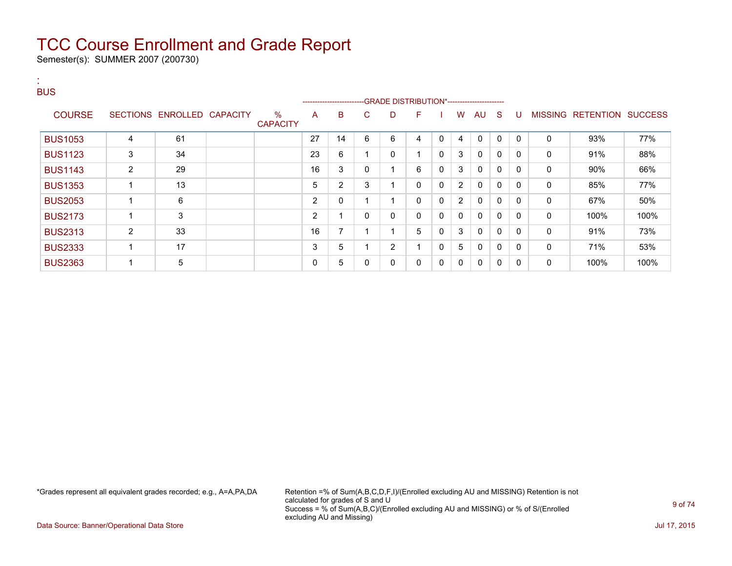Semester(s): SUMMER 2007 (200730)

| <b>BUS</b>     |                 |                          |                         |                |                            |              |                |              |             |                |              |              |              |                |                  |                |
|----------------|-----------------|--------------------------|-------------------------|----------------|----------------------------|--------------|----------------|--------------|-------------|----------------|--------------|--------------|--------------|----------------|------------------|----------------|
| <b>COURSE</b>  | <b>SECTIONS</b> | <b>ENROLLED CAPACITY</b> | $\%$<br><b>CAPACITY</b> | A              | ---------------------<br>B | C.           | D              | F            |             | W              | AU           | <sub>S</sub> | U            | <b>MISSING</b> | <b>RETENTION</b> | <b>SUCCESS</b> |
| <b>BUS1053</b> | 4               | 61                       |                         | 27             | 14                         | 6            | 6              | 4            | $\mathbf 0$ | 4              | $\mathbf{0}$ | $\mathbf{0}$ | $\mathbf{0}$ | $\mathbf{0}$   | 93%              | 77%            |
| <b>BUS1123</b> | 3               | 34                       |                         | 23             | 6                          |              | 0              | ٠            | 0           | 3              | $\Omega$     | $\mathbf{0}$ | $\Omega$     | $\mathbf{0}$   | 91%              | 88%            |
| <b>BUS1143</b> | $\overline{2}$  | 29                       |                         | 16             | 3                          | 0            | ٠              | 6            | 0           | 3              | $\mathbf{0}$ | $\mathbf{0}$ | $\Omega$     | 0              | $90\%$           | 66%            |
| <b>BUS1353</b> |                 | 13                       |                         | 5              | 2                          | 3            | ٠              | $\Omega$     | 0           | $\overline{2}$ | $\mathbf{0}$ | $\mathbf{0}$ | $\Omega$     | $\mathbf{0}$   | 85%              | 77%            |
| <b>BUS2053</b> |                 | 6                        |                         | $\overline{2}$ | 0                          | 4            | 4              | $\mathbf{0}$ | $\mathbf 0$ | $\overline{2}$ | $\mathbf{0}$ | $\Omega$     | $\Omega$     | $\mathbf{0}$   | 67%              | 50%            |
| <b>BUS2173</b> |                 | 3                        |                         | $\overline{2}$ |                            | $\mathbf{0}$ | 0              | $\mathbf{0}$ | 0           | $\mathbf{0}$   | $\mathbf{0}$ | $\Omega$     | 0            | 0              | 100%             | 100%           |
| <b>BUS2313</b> | $\overline{2}$  | 33                       |                         | 16             | 7                          | 4            | ٠              | 5            | 0           | 3              | $\mathbf{0}$ | $\mathbf{0}$ | $\Omega$     | 0              | 91%              | 73%            |
| <b>BUS2333</b> |                 | 17                       |                         | 3              | 5                          | 4            | $\overline{c}$ | -4           | 0           | 5              | 0            | $\mathbf{0}$ | 0            | 0              | 71%              | 53%            |
| <b>BUS2363</b> |                 | 5                        |                         | 0              | 5                          | 0            | 0              | 0            | 0           | $\mathbf 0$    | $\mathbf{0}$ | $\mathbf{0}$ | 0            | 0              | 100%             | 100%           |

\*Grades represent all equivalent grades recorded; e.g., A=A,PA,DA Retention =% of Sum(A,B,C,D,F,I)/(Enrolled excluding AU and MISSING) Retention is not calculated for grades of S and U Success = % of Sum(A,B,C)/(Enrolled excluding AU and MISSING) or % of S/(Enrolled excluding AU and Missing)

Data Source: Banner/Operational Data Store Jul 17, 2015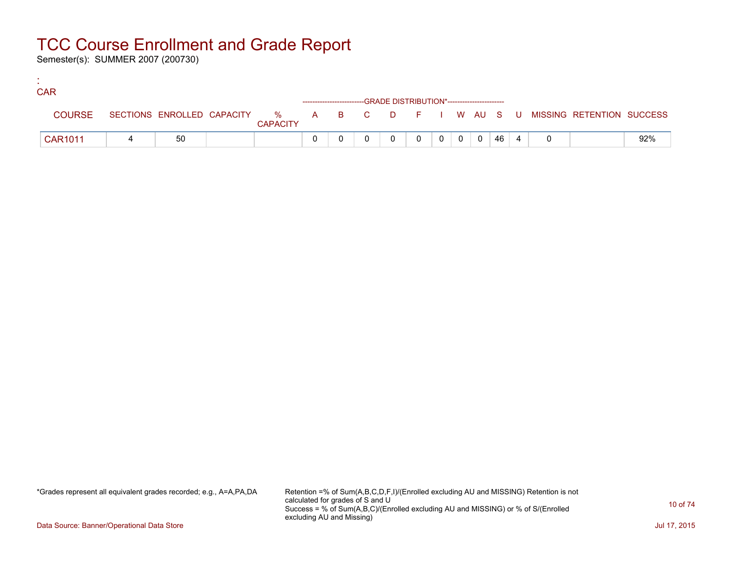Semester(s): SUMMER 2007 (200730)

:

| <b>CAR</b>     |    |                 |  |                                                                    |          |  |      |  |                                                                             |     |
|----------------|----|-----------------|--|--------------------------------------------------------------------|----------|--|------|--|-----------------------------------------------------------------------------|-----|
|                |    |                 |  | ------------------------GRADE DISTRIBUTION*----------------------- |          |  |      |  |                                                                             |     |
| <b>COURSE</b>  |    | <b>CAPACITY</b> |  |                                                                    |          |  |      |  | SECTIONS ENROLLED CAPACITY % A B C D F I W AU S U MISSING RETENTION SUCCESS |     |
| <b>CAR1011</b> | 50 |                 |  |                                                                    | $\Omega$ |  | 46 4 |  |                                                                             | 92% |

\*Grades represent all equivalent grades recorded; e.g., A=A,PA,DA Retention =% of Sum(A,B,C,D,F,I)/(Enrolled excluding AU and MISSING) Retention is not calculated for grades of S and U Success = % of Sum(A,B,C)/(Enrolled excluding AU and MISSING) or % of S/(Enrolled excluding AU and Missing)

Data Source: Banner/Operational Data Store Jul 17, 2015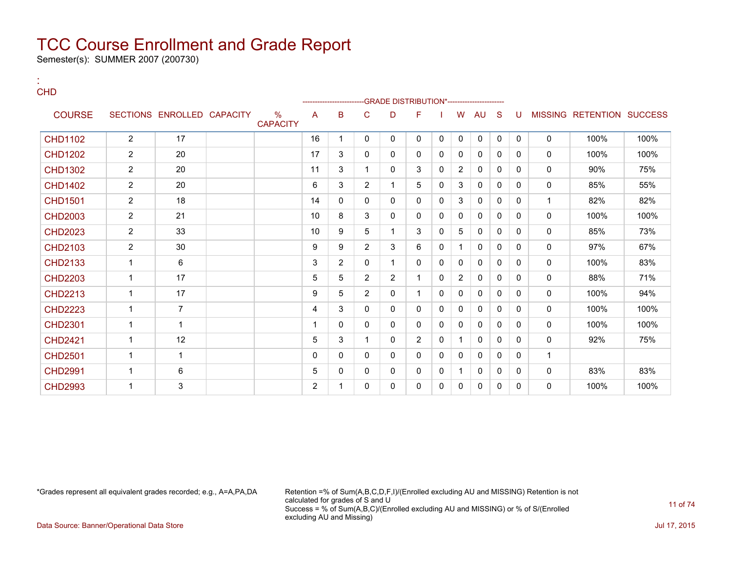Semester(s): SUMMER 2007 (200730)

| <b>CHD</b>     |                |                            |                                  |                | ---------------- |                |                | -GRADE DISTRIBUTION*---------------------- |             |                |              |              |              |   |                                  |      |
|----------------|----------------|----------------------------|----------------------------------|----------------|------------------|----------------|----------------|--------------------------------------------|-------------|----------------|--------------|--------------|--------------|---|----------------------------------|------|
| <b>COURSE</b>  |                | SECTIONS ENROLLED CAPACITY | $\frac{0}{0}$<br><b>CAPACITY</b> | A              | B                | C              | D              | F                                          |             | W              | AU           | S            | U            |   | <b>MISSING RETENTION SUCCESS</b> |      |
| <b>CHD1102</b> | $\overline{2}$ | 17                         |                                  | 16             |                  | $\mathbf{0}$   | 0              | 0                                          | 0           | $\mathbf 0$    | $\mathbf 0$  | $\mathbf 0$  | $\mathbf{0}$ | 0 | 100%                             | 100% |
| <b>CHD1202</b> | $\overline{2}$ | 20                         |                                  | 17             | 3                | $\mathbf{0}$   | $\mathbf{0}$   | 0                                          | $\Omega$    | $\mathbf{0}$   | $\mathbf{0}$ | $\mathbf{0}$ | 0            | 0 | 100%                             | 100% |
| <b>CHD1302</b> | $\overline{2}$ | 20                         |                                  | 11             | 3                |                | $\mathbf{0}$   | 3                                          | $\Omega$    | $\overline{2}$ | $\mathbf{0}$ | $\mathbf{0}$ | 0            | 0 | 90%                              | 75%  |
| <b>CHD1402</b> | $\overline{2}$ | 20                         |                                  | 6              | 3                | 2              |                | 5                                          | $\Omega$    | 3              | 0            | $\mathbf{0}$ | 0            | 0 | 85%                              | 55%  |
| <b>CHD1501</b> | $\overline{2}$ | 18                         |                                  | 14             | $\Omega$         | 0              | $\mathbf{0}$   | 0                                          | 0           | 3              | 0            | $\mathbf{0}$ | 0            | 1 | 82%                              | 82%  |
| <b>CHD2003</b> | $\overline{2}$ | 21                         |                                  | 10             | 8                | 3              | $\mathbf{0}$   | 0                                          | $\mathbf 0$ | 0              | 0            | $\mathbf{0}$ | 0            | 0 | 100%                             | 100% |
| <b>CHD2023</b> | $\overline{2}$ | 33                         |                                  | 10             | 9                | 5              | 1              | 3                                          | $\Omega$    | 5              | $\mathbf{0}$ | $\mathbf{0}$ | 0            | 0 | 85%                              | 73%  |
| <b>CHD2103</b> | $\overline{2}$ | 30                         |                                  | 9              | 9                | $\overline{2}$ | 3              | 6                                          | $\Omega$    | 1              | $\mathbf{0}$ | $\mathbf{0}$ | 0            | 0 | 97%                              | 67%  |
| <b>CHD2133</b> | 1              | 6                          |                                  | 3              | $\overline{2}$   | 0              |                | 0                                          | $\Omega$    | 0              | 0            | $\Omega$     | 0            | 0 | 100%                             | 83%  |
| <b>CHD2203</b> | 1              | 17                         |                                  | 5              | 5                | 2              | $\overline{2}$ | 1                                          | 0           | $\overline{2}$ | 0            | $\Omega$     | 0            | 0 | 88%                              | 71%  |
| <b>CHD2213</b> | $\mathbf{1}$   | 17                         |                                  | 9              | 5                | $\overline{2}$ | 0              | 1                                          | $\Omega$    | $\mathbf 0$    | 0            | $\mathbf{0}$ | $\Omega$     | 0 | 100%                             | 94%  |
| <b>CHD2223</b> | $\mathbf{1}$   | $\overline{7}$             |                                  | 4              | 3                | 0              | $\mathbf{0}$   | 0                                          | $\Omega$    | $\mathbf{0}$   | $\mathbf{0}$ | $\mathbf{0}$ | 0            | 0 | 100%                             | 100% |
| <b>CHD2301</b> | $\mathbf 1$    | 1                          |                                  | 1              | $\Omega$         | 0              | $\mathbf{0}$   | 0                                          | $\Omega$    | 0              | $\mathbf{0}$ | $\Omega$     | 0            | 0 | 100%                             | 100% |
| <b>CHD2421</b> | 1              | 12                         |                                  | 5              | 3                |                | $\mathbf{0}$   | 2                                          | $\Omega$    |                | $\mathbf{0}$ | $\Omega$     | $\Omega$     | 0 | 92%                              | 75%  |
| <b>CHD2501</b> | $\mathbf{1}$   | 1                          |                                  | $\Omega$       | 0                | $\Omega$       | $\mathbf{0}$   | 0                                          | $\Omega$    | 0              | $\mathbf{0}$ | $\Omega$     | 0            | 1 |                                  |      |
| <b>CHD2991</b> | $\mathbf{1}$   | 6                          |                                  | 5              | 0                | 0              | 0              | 0                                          | 0           |                | 0            | $\mathbf{0}$ | 0            | 0 | 83%                              | 83%  |
| <b>CHD2993</b> | 1              | 3                          |                                  | $\overline{2}$ |                  | 0              | 0              | 0                                          | 0           | 0              | 0            | 0            | $\Omega$     | 0 | 100%                             | 100% |

: CHD

\*Grades represent all equivalent grades recorded; e.g., A=A,PA,DA Retention =% of Sum(A,B,C,D,F,I)/(Enrolled excluding AU and MISSING) Retention is not calculated for grades of S and U Success = % of Sum(A,B,C)/(Enrolled excluding AU and MISSING) or % of S/(Enrolled excluding AU and Missing)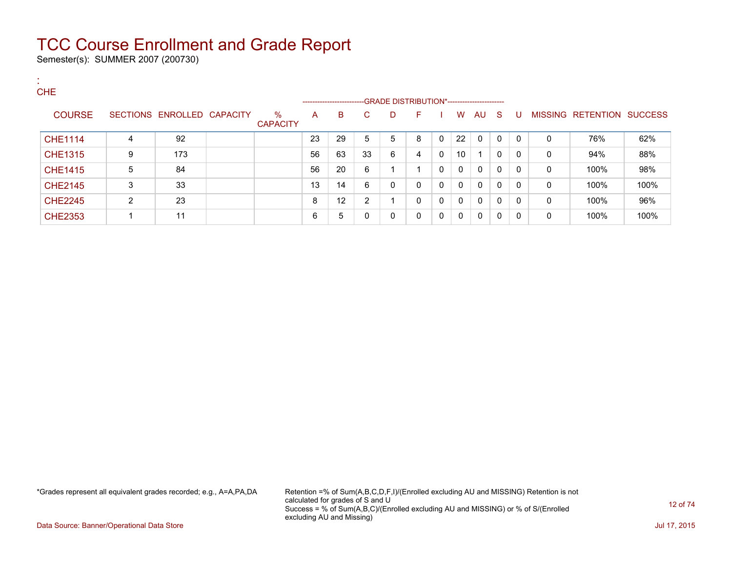Semester(s): SUMMER 2007 (200730)

:

| <b>CHE</b>     |                |                            |                         |    | ------------------------ |    | --GRADE DISTRIBUTION*----------------------- |   |          |              |              |    |              |   |                           |      |
|----------------|----------------|----------------------------|-------------------------|----|--------------------------|----|----------------------------------------------|---|----------|--------------|--------------|----|--------------|---|---------------------------|------|
| <b>COURSE</b>  |                | SECTIONS ENROLLED CAPACITY | $\%$<br><b>CAPACITY</b> | A  | B                        | C  | D                                            | F |          | W            | AU           | -S | U            |   | MISSING RETENTION SUCCESS |      |
| <b>CHE1114</b> | 4              | 92                         |                         | 23 | 29                       | 5  | 5                                            | 8 | $\Omega$ | 22           | $\mathbf{0}$ | 0  | $\mathbf{0}$ | 0 | 76%                       | 62%  |
| <b>CHE1315</b> | 9              | 173                        |                         | 56 | 63                       | 33 | 6                                            | 4 | $\Omega$ | 10           |              | 0  | 0            | 0 | 94%                       | 88%  |
| <b>CHE1415</b> | 5              | 84                         |                         | 56 | 20                       | 6  |                                              |   | $\Omega$ | $\mathbf{0}$ | $\mathbf{0}$ | 0  | 0            | 0 | 100%                      | 98%  |
| <b>CHE2145</b> | 3              | 33                         |                         | 13 | 14                       | 6  | 0                                            | 0 | - 0      | $\mathbf{0}$ | $\mathbf{0}$ | 0  | 0            | 0 | 100%                      | 100% |
| <b>CHE2245</b> | $\overline{2}$ | 23                         |                         | 8  | 12                       | 2  |                                              | 0 | $\Omega$ | $\mathbf{0}$ | $\mathbf{0}$ | 0  | 0            | 0 | 100%                      | 96%  |
| <b>CHE2353</b> |                | 11                         |                         | 6  | 5                        | 0  | 0                                            | 0 | $\Omega$ | $\mathbf{0}$ | $\mathbf{0}$ | 0  | 0            | 0 | 100%                      | 100% |

\*Grades represent all equivalent grades recorded; e.g., A=A,PA,DA Retention =% of Sum(A,B,C,D,F,I)/(Enrolled excluding AU and MISSING) Retention is not calculated for grades of S and U Success = % of Sum(A,B,C)/(Enrolled excluding AU and MISSING) or % of S/(Enrolled excluding AU and Missing)

Data Source: Banner/Operational Data Store Jul 17, 2015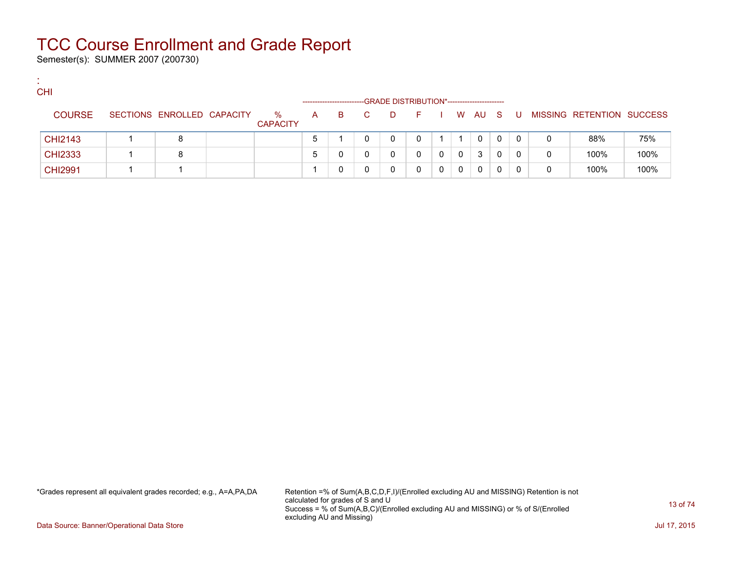Semester(s): SUMMER 2007 (200730)

:

| <b>CHI</b>     |                            |                         |              | ---------------------- |    |   | -GRADE DISTRIBUTION*---------------------- |   |             |              |   |   |   |                           |      |
|----------------|----------------------------|-------------------------|--------------|------------------------|----|---|--------------------------------------------|---|-------------|--------------|---|---|---|---------------------------|------|
| <b>COURSE</b>  | SECTIONS ENROLLED CAPACITY | $\%$<br><b>CAPACITY</b> | $\mathsf{A}$ | B.                     | C. | D | F.                                         |   |             | W AU S       |   | U |   | MISSING RETENTION SUCCESS |      |
| <b>CHI2143</b> | 8                          |                         |              |                        |    |   |                                            |   |             | $\mathbf{0}$ |   | 0 | 0 | 88%                       | 75%  |
| <b>CHI2333</b> | 8                          |                         |              |                        |    |   |                                            | 0 | $\mathbf 0$ | 3            | 0 | 0 | 0 | 100%                      | 100% |
| <b>CHI2991</b> |                            |                         |              |                        |    |   |                                            |   | 0           | 0            |   |   | 0 | 100%                      | 100% |

\*Grades represent all equivalent grades recorded; e.g., A=A,PA,DA Retention =% of Sum(A,B,C,D,F,I)/(Enrolled excluding AU and MISSING) Retention is not calculated for grades of S and U Success = % of Sum(A,B,C)/(Enrolled excluding AU and MISSING) or % of S/(Enrolled excluding AU and Missing)

Data Source: Banner/Operational Data Store Jul 17, 2015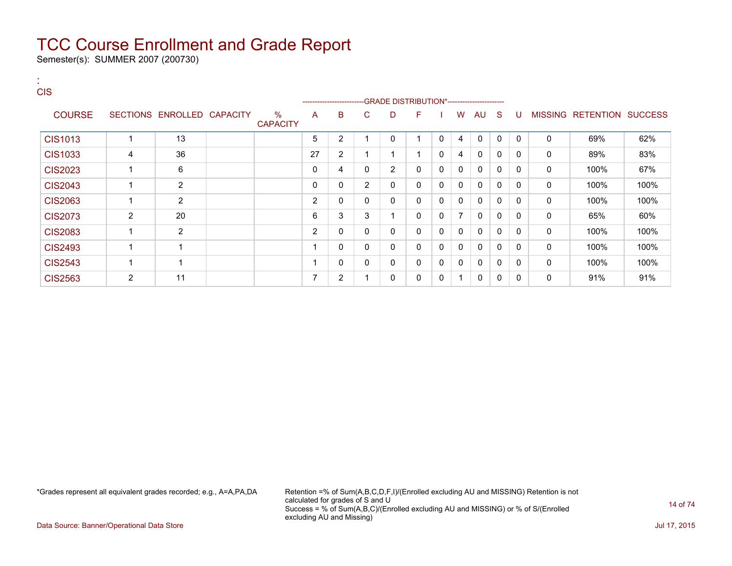Semester(s): SUMMER 2007 (200730)

| <b>A</b><br><b>CIS</b> |                |                            |                         | -------------------- |                |                | -GRADE DISTRIBUTION*---------------------- |              |              |              |              |              |          |              |                           |      |
|------------------------|----------------|----------------------------|-------------------------|----------------------|----------------|----------------|--------------------------------------------|--------------|--------------|--------------|--------------|--------------|----------|--------------|---------------------------|------|
| <b>COURSE</b>          |                | SECTIONS ENROLLED CAPACITY | $\%$<br><b>CAPACITY</b> | A                    | B              | C              | D                                          | F.           |              | W            | AU           | -S           | U        |              | MISSING RETENTION SUCCESS |      |
| <b>CIS1013</b>         | 1              | 13                         |                         | 5                    | $\overline{2}$ | 4              | $\mathbf{0}$                               |              | $\Omega$     | 4            | $\Omega$     | $\mathbf{0}$ | $\Omega$ | $\mathbf 0$  | 69%                       | 62%  |
| CIS1033                | 4              | 36                         |                         | 27                   | $\overline{2}$ |                | 1                                          |              | $\Omega$     | 4            | 0            | 0            | 0        | $\mathbf 0$  | 89%                       | 83%  |
| <b>CIS2023</b>         |                | 6                          |                         | 0                    | 4              | $\mathbf{0}$   | $\overline{2}$                             | 0            | 0            | $\mathbf{0}$ | $\Omega$     | $\Omega$     | $\Omega$ | 0            | 100%                      | 67%  |
| <b>CIS2043</b>         | 1              | 2                          |                         | 0                    | 0              | $\overline{2}$ | 0                                          | 0            | $\mathbf{0}$ | $\mathbf{0}$ | $\Omega$     | $\Omega$     | 0        | 0            | 100%                      | 100% |
| <b>CIS2063</b>         |                | $\overline{2}$             |                         | 2                    | 0              | $\mathbf{0}$   | $\mathbf{0}$                               | $\mathbf{0}$ | $\Omega$     | $\mathbf{0}$ | $\mathbf{0}$ | $\Omega$     | $\Omega$ | $\mathbf{0}$ | 100%                      | 100% |
| <b>CIS2073</b>         | 2              | 20                         |                         | 6                    | 3              | 3              | 1                                          | 0            | $\mathbf{0}$ | 7            | $\mathbf{0}$ | 0            | $\Omega$ | 0            | 65%                       | 60%  |
| <b>CIS2083</b>         |                | $\overline{2}$             |                         | 2                    | 0              | $\mathbf{0}$   | 0                                          | 0            | $\mathbf{0}$ | $\mathbf{0}$ | $\mathbf{0}$ | <sup>0</sup> | $\Omega$ | 0            | 100%                      | 100% |
| <b>CIS2493</b>         |                | $\mathbf 1$                |                         |                      | 0              | 0              | 0                                          | 0            | 0            | 0            | 0            | 0            | 0        | 0            | 100%                      | 100% |
| <b>CIS2543</b>         |                | 1                          |                         |                      | 0              | 0              | 0                                          | 0            | $\Omega$     | $\Omega$     | $\mathbf 0$  | $\mathbf{0}$ | $\Omega$ | 0            | 100%                      | 100% |
| <b>CIS2563</b>         | $\overline{2}$ | 11                         |                         | ⇁                    | 2              |                | 0                                          | 0            | 0            | -1           | 0            | 0            | 0        | 0            | 91%                       | 91%  |

\*Grades represent all equivalent grades recorded; e.g., A=A,PA,DA Retention =% of Sum(A,B,C,D,F,I)/(Enrolled excluding AU and MISSING) Retention is not calculated for grades of S and U Success = % of Sum(A,B,C)/(Enrolled excluding AU and MISSING) or % of S/(Enrolled excluding AU and Missing)

Data Source: Banner/Operational Data Store Jul 17, 2015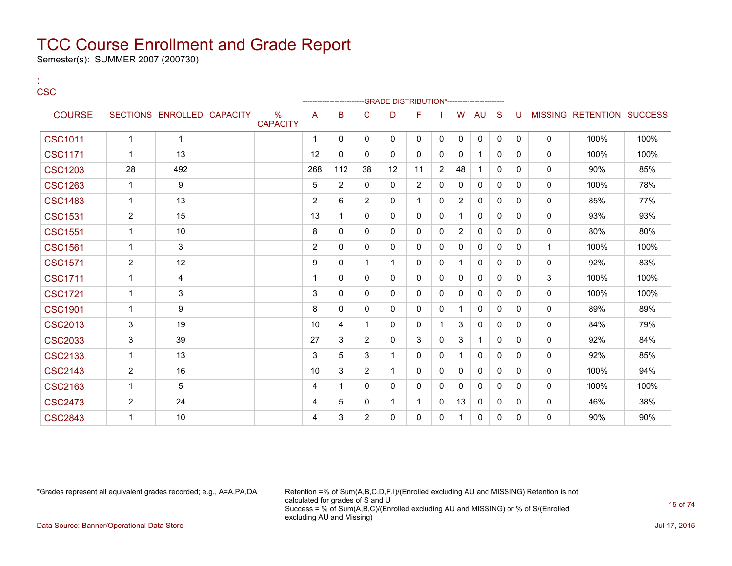Semester(s): SUMMER 2007 (200730)

:

| <b>CSC</b>     |                |                            |                                  |                |                |                | -GRADE DISTRIBUTION*---------------------- |                |              |                |              |              |          |              |                           |      |
|----------------|----------------|----------------------------|----------------------------------|----------------|----------------|----------------|--------------------------------------------|----------------|--------------|----------------|--------------|--------------|----------|--------------|---------------------------|------|
| <b>COURSE</b>  |                | SECTIONS ENROLLED CAPACITY | $\frac{0}{0}$<br><b>CAPACITY</b> | A              | B              | C              | D                                          | F              |              | W              | AU           | S            | U        |              | MISSING RETENTION SUCCESS |      |
| <b>CSC1011</b> | 1              | -1                         |                                  | 1              | $\mathbf{0}$   | 0              | 0                                          | 0              | 0            | 0              | 0            | 0            | 0        | $\mathbf 0$  | 100%                      | 100% |
| <b>CSC1171</b> | $\mathbf{1}$   | 13                         |                                  | 12             | $\mathbf{0}$   | 0              | 0                                          | 0              | 0            | $\mathbf 0$    | 1            | 0            | 0        | 0            | 100%                      | 100% |
| <b>CSC1203</b> | 28             | 492                        |                                  | 268            | 112            | 38             | 12                                         | 11             | 2            | 48             | 1            | $\mathbf{0}$ | 0        | $\Omega$     | 90%                       | 85%  |
| <b>CSC1263</b> | $\mathbf{1}$   | 9                          |                                  | 5              | $\overline{2}$ | 0              | 0                                          | $\overline{2}$ | 0            | 0              | 0            | $\Omega$     | $\Omega$ | $\mathbf 0$  | 100%                      | 78%  |
| <b>CSC1483</b> | $\mathbf{1}$   | 13                         |                                  | $\overline{2}$ | 6              | 2              | $\Omega$                                   | $\mathbf 1$    | 0            | $\overline{2}$ | $\mathbf{0}$ | $\Omega$     | 0        | 0            | 85%                       | 77%  |
| <b>CSC1531</b> | $\overline{2}$ | 15                         |                                  | 13             | 1              | $\Omega$       | 0                                          | 0              | $\mathbf{0}$ |                | $\mathbf{0}$ | $\mathbf{0}$ | 0        | 0            | 93%                       | 93%  |
| <b>CSC1551</b> | 1              | 10                         |                                  | 8              | $\Omega$       | $\Omega$       | $\Omega$                                   | $\Omega$       | $\Omega$     | $\overline{2}$ | $\Omega$     | $\Omega$     | 0        | 0            | 80%                       | 80%  |
| <b>CSC1561</b> | 1              | 3                          |                                  | $\overline{2}$ | $\Omega$       | $\Omega$       | $\Omega$                                   | 0              | $\Omega$     | $\mathbf{0}$   | $\mathbf{0}$ | $\Omega$     | $\Omega$ | $\mathbf{1}$ | 100%                      | 100% |
| <b>CSC1571</b> | $\overline{c}$ | 12                         |                                  | 9              | 0              | 1              | 1                                          | 0              | 0            | $\overline{1}$ | $\mathbf{0}$ | 0            | 0        | $\mathbf 0$  | 92%                       | 83%  |
| <b>CSC1711</b> | $\mathbf{1}$   | 4                          |                                  | 1              | $\mathbf{0}$   | 0              | 0                                          | 0              | $\mathbf{0}$ | $\mathbf{0}$   | $\mathbf{0}$ | $\mathbf{0}$ | 0        | 3            | 100%                      | 100% |
| <b>CSC1721</b> | 1              | 3                          |                                  | 3              | 0              | 0              | 0                                          | 0              | $\mathbf{0}$ | $\Omega$       | $\mathbf{0}$ | $\mathbf{0}$ | 0        | 0            | 100%                      | 100% |
| <b>CSC1901</b> | 1              | 9                          |                                  | 8              | 0              | 0              | 0                                          | 0              | 0            | -1             | $\mathbf{0}$ | $\Omega$     | 0        | 0            | 89%                       | 89%  |
| <b>CSC2013</b> | 3              | 19                         |                                  | 10             | 4              |                | 0                                          | 0              |              | 3              | $\mathbf{0}$ | $\mathbf{0}$ | 0        | 0            | 84%                       | 79%  |
| <b>CSC2033</b> | 3              | 39                         |                                  | 27             | 3              | $\overline{2}$ | 0                                          | 3              | $\mathbf{0}$ | 3              | $\mathbf 1$  | $\Omega$     | 0        | 0            | 92%                       | 84%  |
| <b>CSC2133</b> | 1              | 13                         |                                  | 3              | 5              | 3              | 1                                          | 0              | $\Omega$     |                | $\mathbf{0}$ | $\Omega$     | 0        | 0            | 92%                       | 85%  |
| <b>CSC2143</b> | $\overline{2}$ | 16                         |                                  | 10             | 3              | $\overline{2}$ | 1                                          | 0              | 0            | $\Omega$       | $\mathbf{0}$ | 0            | 0        | $\mathbf 0$  | 100%                      | 94%  |
| <b>CSC2163</b> | $\mathbf{1}$   | 5                          |                                  | 4              | 1              | 0              | 0                                          | 0              | 0            | $\Omega$       | $\mathbf{0}$ | $\Omega$     | 0        | 0            | 100%                      | 100% |
| <b>CSC2473</b> | $\overline{2}$ | 24                         |                                  | 4              | 5              | 0              | $\mathbf 1$                                | 1              | 0            | 13             | 0            | $\Omega$     | 0        | 0            | 46%                       | 38%  |
| <b>CSC2843</b> | 1              | 10                         |                                  | 4              | 3              | $\overline{2}$ | 0                                          | 0              | $\Omega$     | 1              | $\mathbf{0}$ | $\mathbf{0}$ | 0        | 0            | 90%                       | 90%  |

\*Grades represent all equivalent grades recorded; e.g., A=A,PA,DA Retention =% of Sum(A,B,C,D,F,I)/(Enrolled excluding AU and MISSING) Retention is not calculated for grades of S and U Success = % of Sum(A,B,C)/(Enrolled excluding AU and MISSING) or % of S/(Enrolled excluding AU and Missing) Data Source: Banner/Operational Data Store Jul 17, 2015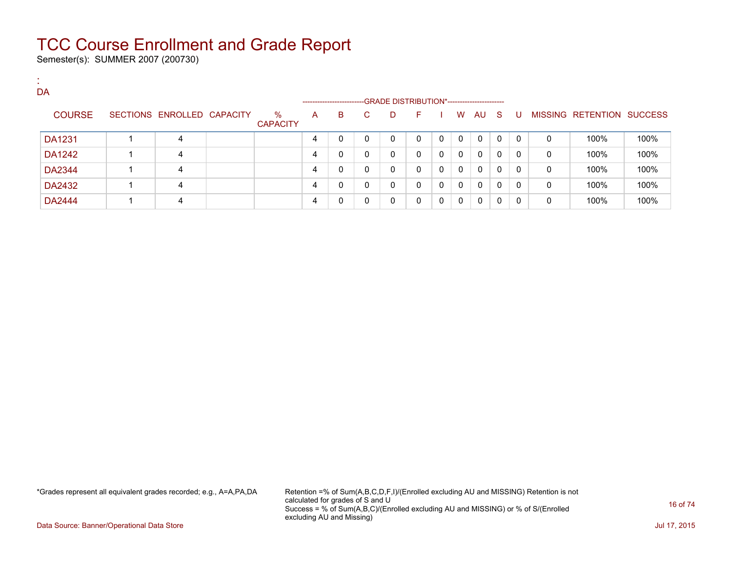Semester(s): SUMMER 2007 (200730)

:

| . .<br>DA     |                   |                 |                         |   | --------------------- |    | --GRADE DISTRIBUTION*------------------------ |          |   |   |     |              |              |   |                   |                |
|---------------|-------------------|-----------------|-------------------------|---|-----------------------|----|-----------------------------------------------|----------|---|---|-----|--------------|--------------|---|-------------------|----------------|
| <b>COURSE</b> | SECTIONS ENROLLED | <b>CAPACITY</b> | $\%$<br><b>CAPACITY</b> | A | в                     | C. | D                                             | F.       |   | W | AU. | - S          | U            |   | MISSING RETENTION | <b>SUCCESS</b> |
| DA1231        | 4                 |                 |                         | 4 | $\mathbf 0$           | 0  | 0                                             | $\Omega$ | 0 | 0 | 0   | $\mathbf{0}$ | $\Omega$     | 0 | 100%              | 100%           |
| DA1242        | 4                 |                 |                         | 4 | $\mathbf{0}$          | 0  | 0                                             | 0        | 0 | 0 | 0   | $\mathbf{0}$ | $\mathbf{0}$ | 0 | 100%              | 100%           |
| DA2344        | 4                 |                 |                         | 4 | 0                     | 0  | $\mathbf 0$                                   | 0        | 0 | 0 | 0   | $\mathbf{0}$ | $\Omega$     | 0 | 100%              | 100%           |
| DA2432        | 4                 |                 |                         | 4 | 0                     | 0  | 0                                             | 0        | 0 | 0 | 0   | $\mathbf{0}$ | $\Omega$     | 0 | 100%              | 100%           |
| DA2444        | 4                 |                 |                         | 4 | 0                     | 0  | 0                                             | 0        | 0 | 0 | 0   | 0            | 0            | 0 | 100%              | 100%           |

\*Grades represent all equivalent grades recorded; e.g., A=A,PA,DA Retention =% of Sum(A,B,C,D,F,I)/(Enrolled excluding AU and MISSING) Retention is not calculated for grades of S and U Success = % of Sum(A,B,C)/(Enrolled excluding AU and MISSING) or % of S/(Enrolled excluding AU and Missing)

Data Source: Banner/Operational Data Store Jul 17, 2015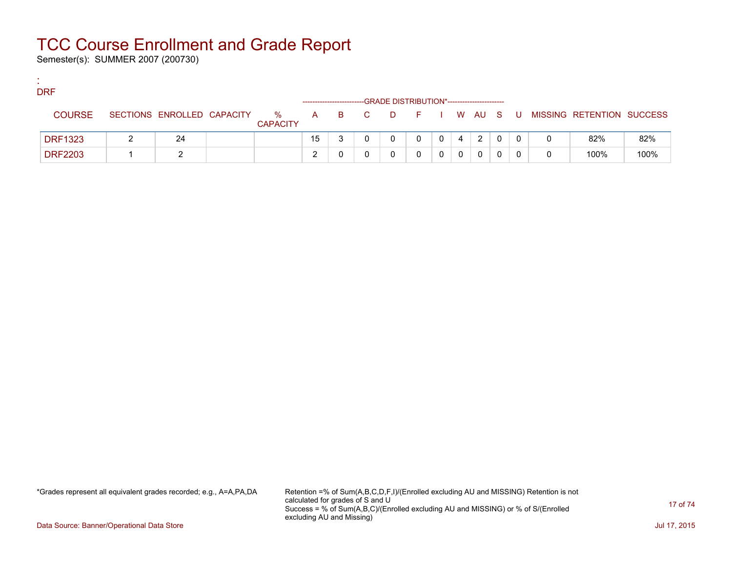Semester(s): SUMMER 2007 (200730)

:

| <b>DRF</b>     |                            |                         |    |       | -GRADE DISTRIBUTION*---------------------- |         |  |        |    |   |                           |      |
|----------------|----------------------------|-------------------------|----|-------|--------------------------------------------|---------|--|--------|----|---|---------------------------|------|
| <b>COURSE</b>  | SECTIONS ENROLLED CAPACITY | $\%$<br><b>CAPACITY</b> |    | A B C | <b>D</b>                                   | $F = 1$ |  | I WAUS | -U |   | MISSING RETENTION SUCCESS |      |
| <b>DRF1323</b> | 24                         |                         | 15 |       |                                            |         |  | 2      |    |   | 82%                       | 82%  |
| <b>DRF2203</b> |                            |                         | ◠  |       |                                            |         |  | 0      |    | 0 | 100%                      | 100% |

\*Grades represent all equivalent grades recorded; e.g., A=A,PA,DA Retention =% of Sum(A,B,C,D,F,I)/(Enrolled excluding AU and MISSING) Retention is not calculated for grades of S and U Success = % of Sum(A,B,C)/(Enrolled excluding AU and MISSING) or % of S/(Enrolled excluding AU and Missing)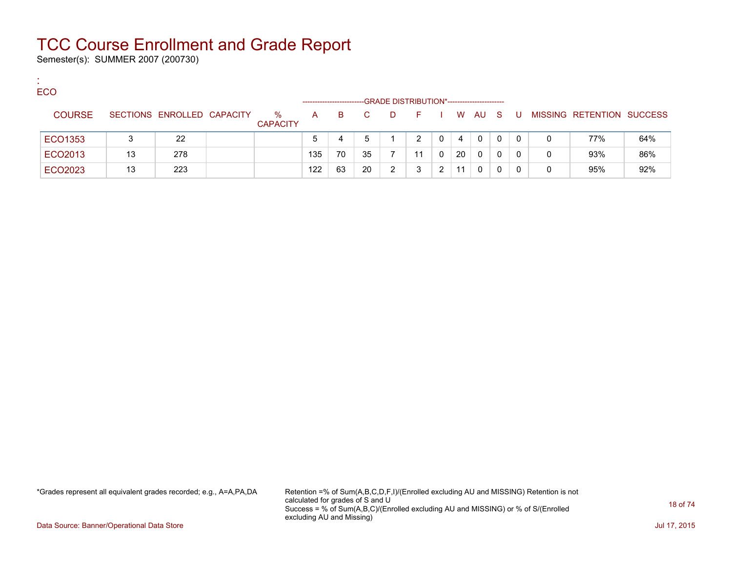Semester(s): SUMMER 2007 (200730)

:

| <b>ECO</b>    |    |                            |                         |              |    |              | -GRADE DISTRIBUTION*----------------------- |    |   |    |          |     |    |   |                           |     |
|---------------|----|----------------------------|-------------------------|--------------|----|--------------|---------------------------------------------|----|---|----|----------|-----|----|---|---------------------------|-----|
| <b>COURSE</b> |    | SECTIONS ENROLLED CAPACITY | $\%$<br><b>CAPACITY</b> | $\mathsf{A}$ | B. | $\mathbf{C}$ | D                                           | E. |   |    | W AU     | - S | -U |   | MISSING RETENTION SUCCESS |     |
| ECO1353       |    | 22                         |                         |              |    |              |                                             | າ  |   | 4  | $\Omega$ | 0   | 0  | 0 | 77%                       | 64% |
| ECO2013       | 13 | 278                        |                         | 135          | 70 | 35           |                                             | -1 |   | 20 | 0        |     | 0  | 0 | 93%                       | 86% |
| ECO2023       | 13 | 223                        |                         | 122          | 63 | 20           | 2                                           |    | າ | 11 | 0        |     | 0  | 0 | 95%                       | 92% |

\*Grades represent all equivalent grades recorded; e.g., A=A,PA,DA Retention =% of Sum(A,B,C,D,F,I)/(Enrolled excluding AU and MISSING) Retention is not calculated for grades of S and U Success = % of Sum(A,B,C)/(Enrolled excluding AU and MISSING) or % of S/(Enrolled excluding AU and Missing)

Data Source: Banner/Operational Data Store Jul 17, 2015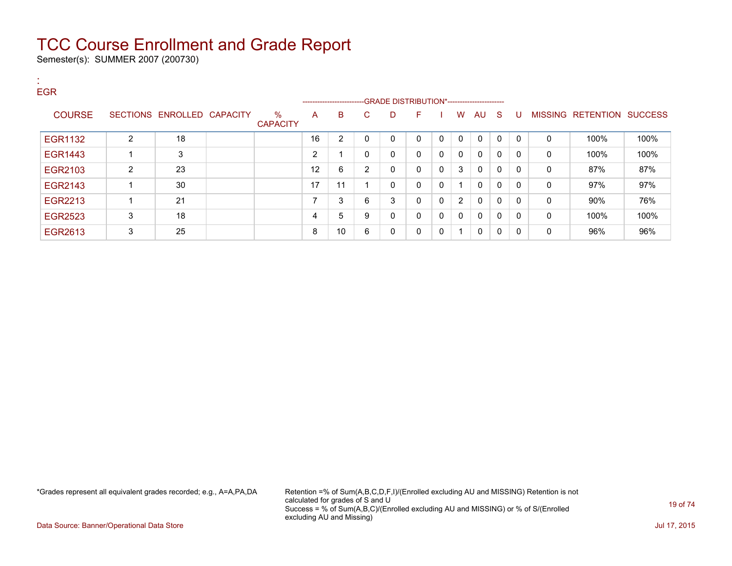Semester(s): SUMMER 2007 (200730)

:

| <b>EGR</b>     |                |                            |                         |                | ----------------------- |                |   | --GRADE DISTRIBUTION*----------------------- |              |              |              |              |              |              |                   |                |
|----------------|----------------|----------------------------|-------------------------|----------------|-------------------------|----------------|---|----------------------------------------------|--------------|--------------|--------------|--------------|--------------|--------------|-------------------|----------------|
| <b>COURSE</b>  |                | SECTIONS ENROLLED CAPACITY | $\%$<br><b>CAPACITY</b> | A              | B                       | C              | D | F                                            |              | w            | AU           | -S           | U            |              | MISSING RETENTION | <b>SUCCESS</b> |
| <b>EGR1132</b> | 2              | 18                         |                         | 16             | 2                       | 0              | 0 | $\mathbf{0}$                                 | 0            | $\mathbf 0$  | 0            | $\mathbf{0}$ | $\mathbf{0}$ | $\mathbf 0$  | 100%              | 100%           |
| <b>EGR1443</b> |                | 3                          |                         | $\overline{2}$ |                         | 0              | 0 | $\mathbf{0}$                                 | 0            | $\mathbf{0}$ | $\mathbf{0}$ | 0            | $\mathbf{0}$ | $\mathbf{0}$ | 100%              | 100%           |
| EGR2103        | $\overline{2}$ | 23                         |                         | 12             | 6                       | $\overline{2}$ | 0 | $\mathbf{0}$                                 | $\mathbf 0$  | 3            | 0            | 0            | $\mathbf{0}$ | $\mathbf{0}$ | 87%               | 87%            |
| EGR2143        |                | 30                         |                         | 17             | 11                      |                | 0 | $\mathbf{0}$                                 | 0            |              | $\mathbf{0}$ | 0            | 0            | $\mathbf{0}$ | 97%               | 97%            |
| EGR2213        |                | 21                         |                         | ⇁              | 3                       | 6              | 3 | $\mathbf{0}$                                 | 0            | 2            | $\mathbf{0}$ | 0            | $\mathbf{0}$ | 0            | 90%               | 76%            |
| <b>EGR2523</b> | 3              | 18                         |                         | 4              | 5                       | 9              | 0 | $\mathbf{0}$                                 | $\mathbf{0}$ | $\mathbf{0}$ | $\mathbf{0}$ | $\Omega$     | 0            | $\mathbf{0}$ | 100%              | 100%           |
| EGR2613        | 3              | 25                         |                         | 8              | 10 <sup>1</sup>         | 6              | 0 | 0                                            | $\mathbf 0$  | -1           | 0            | 0            | $\mathbf{0}$ | 0            | 96%               | 96%            |

\*Grades represent all equivalent grades recorded; e.g., A=A,PA,DA Retention =% of Sum(A,B,C,D,F,I)/(Enrolled excluding AU and MISSING) Retention is not calculated for grades of S and U Success = % of Sum(A,B,C)/(Enrolled excluding AU and MISSING) or % of S/(Enrolled excluding AU and Missing)

Data Source: Banner/Operational Data Store Jul 17, 2015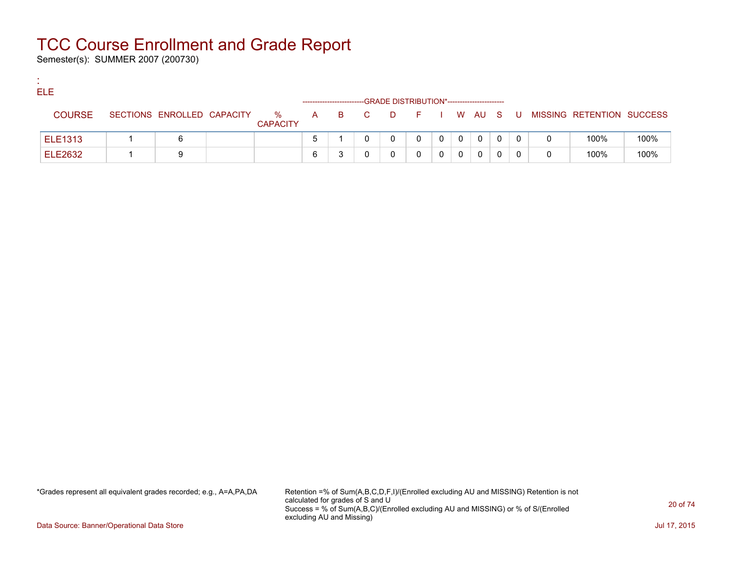Semester(s): SUMMER 2007 (200730)

:

| ELE            |                            |                      |       |   | -GRADE DISTRIBUTION*---------------------- |                |              |              |              |     |                           |      |
|----------------|----------------------------|----------------------|-------|---|--------------------------------------------|----------------|--------------|--------------|--------------|-----|---------------------------|------|
| <b>COURSE</b>  | SECTIONS ENROLLED CAPACITY | %<br><b>CAPACITY</b> | A B C |   | DFIWAUS                                    |                |              |              |              | . U | MISSING RETENTION SUCCESS |      |
| <b>ELE1313</b> |                            |                      |       | 0 | 0                                          | $\overline{0}$ | $\mathbf{0}$ | 0            | $\mathbf{0}$ |     | 100%                      | 100% |
| <b>ELE2632</b> |                            |                      |       |   |                                            |                |              | $\mathbf{0}$ |              |     | 100%                      | 100% |

\*Grades represent all equivalent grades recorded; e.g., A=A,PA,DA Retention =% of Sum(A,B,C,D,F,I)/(Enrolled excluding AU and MISSING) Retention is not calculated for grades of S and U Success = % of Sum(A,B,C)/(Enrolled excluding AU and MISSING) or % of S/(Enrolled excluding AU and Missing)

Data Source: Banner/Operational Data Store Jul 17, 2015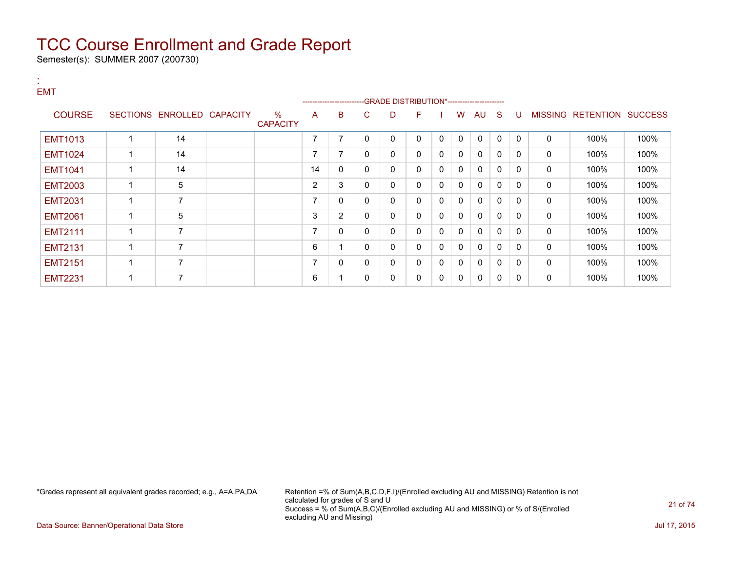Semester(s): SUMMER 2007 (200730)

### : EMT

|                |                            |                         |                | --------------------- |              | -GRADE DISTRIBUTION*----------------------- |    |              |          |              |              |   |                |                          |      |
|----------------|----------------------------|-------------------------|----------------|-----------------------|--------------|---------------------------------------------|----|--------------|----------|--------------|--------------|---|----------------|--------------------------|------|
| <b>COURSE</b>  | SECTIONS ENROLLED CAPACITY | $\%$<br><b>CAPACITY</b> | A              | B                     | C            | D                                           | F. |              | w        | AU           | S            | U | <b>MISSING</b> | <b>RETENTION SUCCESS</b> |      |
| <b>EMT1013</b> | 14                         |                         | 7              | ⇁                     | 0            |                                             | 0  | $\Omega$     | 0        | $\mathbf{0}$ | $\Omega$     | 0 | $\Omega$       | 100%                     | 100% |
| <b>EMT1024</b> | 14                         |                         | ⇁              | 7                     | $\mathbf{0}$ | $\Omega$                                    | 0  | $\mathbf{0}$ | 0        | 0            | 0            | 0 | 0              | 100%                     | 100% |
| <b>EMT1041</b> | 14                         |                         | 14             | $\mathbf{0}$          | $\Omega$     | $\Omega$                                    | 0  | $\mathbf{0}$ | 0        | $\Omega$     | $\mathbf{0}$ | 0 | $\mathbf{0}$   | 100%                     | 100% |
| <b>EMT2003</b> | 5                          |                         | $\overline{2}$ | 3                     | $\Omega$     | $\Omega$                                    | 0  | $\Omega$     | $\Omega$ | $\Omega$     | $\mathbf{0}$ | 0 | $\mathbf{0}$   | 100%                     | 100% |
| <b>EMT2031</b> | 7                          |                         | ⇁              | 0                     | $\Omega$     | $\Omega$                                    | 0  | $\Omega$     | $\Omega$ | $\Omega$     | $\mathbf{0}$ | 0 | $\mathbf{0}$   | 100%                     | 100% |
| <b>EMT2061</b> | 5                          |                         | 3              | $\overline{2}$        | $\Omega$     | $\Omega$                                    | 0  | $\Omega$     | $\Omega$ | $\mathbf{0}$ | $\mathbf{0}$ | 0 | 0              | 100%                     | 100% |
| <b>EMT2111</b> | $\overline{\phantom{a}}$   |                         | $\overline{ }$ | $\mathbf{0}$          | $\Omega$     | $\Omega$                                    | 0  | $\Omega$     | 0        | $\Omega$     | $\mathbf{0}$ | 0 | $\mathbf{0}$   | 100%                     | 100% |
| <b>EMT2131</b> | $\overline{ }$             |                         | 6              |                       | $\Omega$     | $\Omega$                                    | 0  | $\Omega$     | $\Omega$ | $\Omega$     | $\mathbf{0}$ | 0 | $\mathbf{0}$   | 100%                     | 100% |
| <b>EMT2151</b> | $\overline{7}$             |                         | 7              | 0                     | 0            | 0                                           | 0  | 0            | 0        | $\mathbf{0}$ | $\mathbf{0}$ | 0 | $\mathbf{0}$   | 100%                     | 100% |
| <b>EMT2231</b> | 7                          |                         | 6              |                       | 0            | 0                                           |    | 0            | 0        | 0            | 0            | 0 | 0              | 100%                     | 100% |

\*Grades represent all equivalent grades recorded; e.g., A=A,PA,DA Retention =% of Sum(A,B,C,D,F,I)/(Enrolled excluding AU and MISSING) Retention is not calculated for grades of S and U Success = % of Sum(A,B,C)/(Enrolled excluding AU and MISSING) or % of S/(Enrolled excluding AU and Missing)

Data Source: Banner/Operational Data Store Jul 17, 2015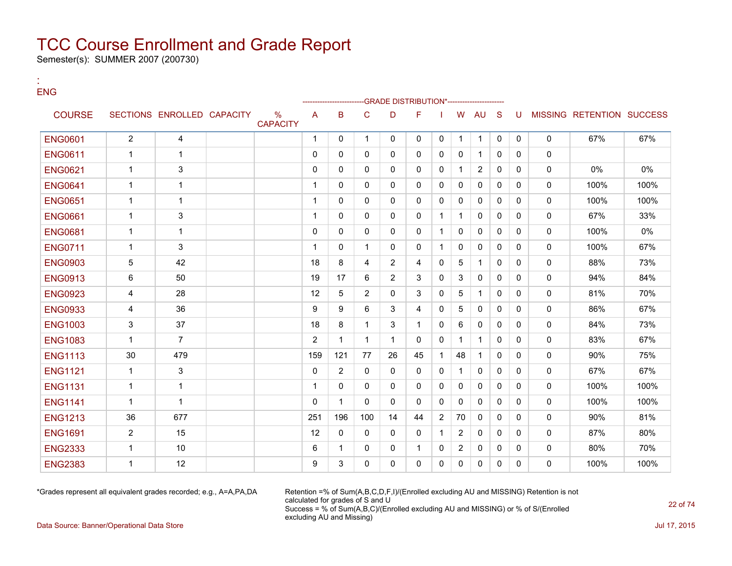Semester(s): SUMMER 2007 (200730)

:

| <b>ENG</b>     |                |                            |                      |                |                |                |                | -GRADE DISTRIBUTION*---------------- |                |                |                |              |              |              |                           |      |
|----------------|----------------|----------------------------|----------------------|----------------|----------------|----------------|----------------|--------------------------------------|----------------|----------------|----------------|--------------|--------------|--------------|---------------------------|------|
| <b>COURSE</b>  |                | SECTIONS ENROLLED CAPACITY | %<br><b>CAPACITY</b> | A              | B              | C              | D              | F                                    |                | W              | AU             | <sub>S</sub> | U            |              | MISSING RETENTION SUCCESS |      |
| <b>ENG0601</b> | $\overline{2}$ | 4                          |                      | $\mathbf 1$    | $\mathbf{0}$   | $\mathbf 1$    | $\mathbf{0}$   | $\Omega$                             | 0              | $\mathbf 1$    | $\mathbf{1}$   | $\mathbf{0}$ | $\mathbf{0}$ | $\mathbf{0}$ | 67%                       | 67%  |
| <b>ENG0611</b> | $\mathbf{1}$   | $\mathbf{1}$               |                      | $\mathbf{0}$   | $\mathbf{0}$   | 0              | $\Omega$       | $\Omega$                             | 0              | 0              | $\mathbf{1}$   | $\Omega$     | $\mathbf{0}$ | $\mathbf{0}$ |                           |      |
| <b>ENG0621</b> | $\mathbf{1}$   | 3                          |                      | $\Omega$       | $\Omega$       | $\Omega$       | $\mathbf{0}$   | $\Omega$                             | $\mathbf{0}$   | $\mathbf{1}$   | $\overline{2}$ | $\Omega$     | $\Omega$     | $\mathbf{0}$ | 0%                        | 0%   |
| <b>ENG0641</b> | $\mathbf{1}$   | $\mathbf{1}$               |                      | $\mathbf{1}$   | $\mathbf{0}$   | $\Omega$       | 0              | 0                                    | 0              | 0              | 0              | $\mathbf{0}$ | $\mathbf{0}$ | $\mathbf 0$  | 100%                      | 100% |
| <b>ENG0651</b> | $\mathbf{1}$   | $\mathbf{1}$               |                      | $\mathbf{1}$   | $\Omega$       | $\Omega$       | $\Omega$       | $\Omega$                             | $\mathbf{0}$   | $\Omega$       | $\Omega$       | $\Omega$     | $\Omega$     | $\mathbf{0}$ | 100%                      | 100% |
| <b>ENG0661</b> | $\mathbf{1}$   | 3                          |                      | $\mathbf{1}$   | $\mathbf{0}$   | 0              | 0              | 0                                    | 1              | $\mathbf{1}$   | 0              | $\mathbf{0}$ | $\mathbf{0}$ | $\mathbf 0$  | 67%                       | 33%  |
| <b>ENG0681</b> | $\mathbf{1}$   | $\mathbf{1}$               |                      | $\Omega$       | $\Omega$       | $\Omega$       | $\mathbf{0}$   | $\Omega$                             | 1              | $\mathbf{0}$   | $\mathbf{0}$   | $\Omega$     | $\Omega$     | $\mathbf{0}$ | 100%                      | 0%   |
| <b>ENG0711</b> | $\mathbf{1}$   | 3                          |                      | $\mathbf{1}$   | $\mathbf{0}$   | $\mathbf{1}$   | 0              | 0                                    | 1              | 0              | 0              | $\Omega$     | $\mathbf{0}$ | $\mathbf 0$  | 100%                      | 67%  |
| <b>ENG0903</b> | 5              | 42                         |                      | 18             | 8              | 4              | $\overline{2}$ | 4                                    | 0              | 5              | $\mathbf{1}$   | $\Omega$     | $\Omega$     | $\mathbf{0}$ | 88%                       | 73%  |
| <b>ENG0913</b> | 6              | 50                         |                      | 19             | 17             | 6              | $\overline{2}$ | 3                                    | 0              | 3              | 0              | $\Omega$     | $\mathbf{0}$ | $\mathbf 0$  | 94%                       | 84%  |
| <b>ENG0923</b> | 4              | 28                         |                      | 12             | 5              | $\overline{2}$ | $\mathbf{0}$   | 3                                    | 0              | 5              | $\mathbf{1}$   | $\Omega$     | $\mathbf{0}$ | $\mathbf{0}$ | 81%                       | 70%  |
| <b>ENG0933</b> | 4              | 36                         |                      | 9              | 9              | 6              | 3              | 4                                    | 0              | 5              | $\mathbf{0}$   | $\Omega$     | $\mathbf{0}$ | $\mathbf 0$  | 86%                       | 67%  |
| <b>ENG1003</b> | 3              | 37                         |                      | 18             | 8              | $\mathbf 1$    | 3              | $\mathbf{1}$                         | 0              | 6              | $\mathbf{0}$   | $\Omega$     | $\Omega$     | $\mathbf{0}$ | 84%                       | 73%  |
| <b>ENG1083</b> | $\mathbf{1}$   | $\overline{7}$             |                      | $\overline{2}$ | $\mathbf{1}$   | $\mathbf{1}$   | $\mathbf{1}$   | $\Omega$                             | $\mathbf{0}$   | $\mathbf{1}$   | $\mathbf{1}$   | $\Omega$     | $\mathbf{0}$ | $\mathbf 0$  | 83%                       | 67%  |
| <b>ENG1113</b> | 30             | 479                        |                      | 159            | 121            | 77             | 26             | 45                                   | 1              | 48             | $\mathbf{1}$   | $\Omega$     | $\mathbf{0}$ | $\mathbf{0}$ | 90%                       | 75%  |
| <b>ENG1121</b> | $\mathbf{1}$   | 3                          |                      | $\mathbf 0$    | $\overline{2}$ | 0              | $\Omega$       | $\Omega$                             | 0              | $\mathbf{1}$   | $\mathbf{0}$   | $\mathbf{0}$ | $\mathbf{0}$ | $\mathbf{0}$ | 67%                       | 67%  |
| <b>ENG1131</b> | $\mathbf{1}$   | $\mathbf{1}$               |                      | $\mathbf{1}$   | $\mathbf{0}$   | 0              | $\Omega$       | $\Omega$                             | $\mathbf{0}$   | $\Omega$       | $\mathbf{0}$   | $\Omega$     | $\mathbf{0}$ | $\mathbf{0}$ | 100%                      | 100% |
| <b>ENG1141</b> | $\mathbf{1}$   | $\mathbf{1}$               |                      | $\Omega$       | $\mathbf{1}$   | 0              | $\Omega$       | $\Omega$                             | $\mathbf{0}$   | $\Omega$       | $\mathbf{0}$   | $\Omega$     | $\mathbf{0}$ | $\mathbf{0}$ | 100%                      | 100% |
| <b>ENG1213</b> | 36             | 677                        |                      | 251            | 196            | 100            | 14             | 44                                   | $\overline{2}$ | 70             | $\mathbf{0}$   | $\mathbf{0}$ | $\mathbf{0}$ | $\mathbf{0}$ | 90%                       | 81%  |
| <b>ENG1691</b> | 2              | 15                         |                      | 12             | $\mathbf{0}$   | 0              | $\Omega$       | $\Omega$                             | 1              | $\overline{2}$ | $\mathbf{0}$   | $\Omega$     | $\mathbf{0}$ | $\mathbf{0}$ | 87%                       | 80%  |
| <b>ENG2333</b> | $\mathbf{1}$   | 10                         |                      | 6              | $\mathbf{1}$   | 0              | 0              | $\mathbf{1}$                         | 0              | $\overline{2}$ | 0              | $\mathbf{0}$ | $\mathbf{0}$ | $\mathbf 0$  | 80%                       | 70%  |
| <b>ENG2383</b> | $\mathbf{1}$   | 12                         |                      | 9              | 3              | 0              | $\Omega$       | $\Omega$                             | 0              | $\Omega$       | 0              | $\Omega$     | $\Omega$     | $\Omega$     | 100%                      | 100% |
|                |                |                            |                      |                |                |                |                |                                      |                |                |                |              |              |              |                           |      |

\*Grades represent all equivalent grades recorded; e.g., A=A,PA,DA Retention =% of Sum(A,B,C,D,F,I)/(Enrolled excluding AU and MISSING) Retention is not calculated for grades of S and U Success = % of Sum(A,B,C)/(Enrolled excluding AU and MISSING) or % of S/(Enrolled excluding AU and Missing)

Data Source: Banner/Operational Data Store Jul 17, 2015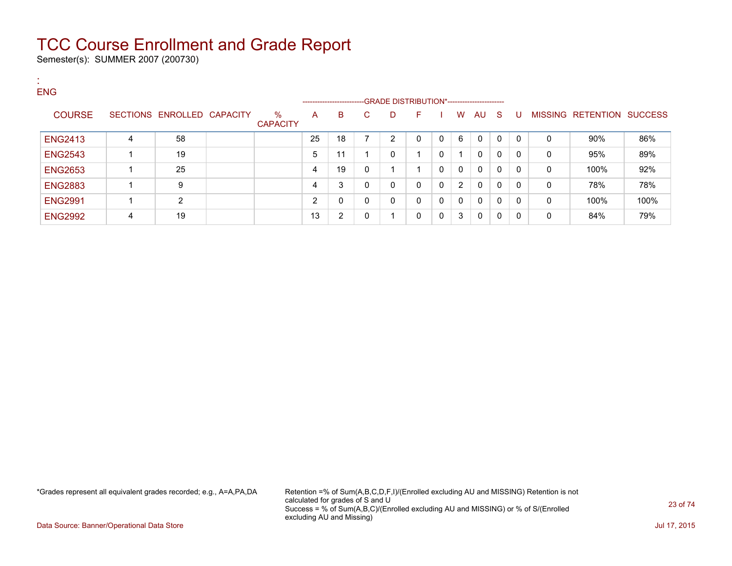Semester(s): SUMMER 2007 (200730)

:

| <b>ENG</b>     |   |                            |                         |    | ------------------------ |    | -- GRADE DISTRIBUTION*------------------------ |   |          |                |              |              |   |   |                           |      |
|----------------|---|----------------------------|-------------------------|----|--------------------------|----|------------------------------------------------|---|----------|----------------|--------------|--------------|---|---|---------------------------|------|
| <b>COURSE</b>  |   | SECTIONS ENROLLED CAPACITY | $\%$<br><b>CAPACITY</b> | A  | B                        | C. | D                                              | F |          | W              | AU           | -S           | U |   | MISSING RETENTION SUCCESS |      |
| <b>ENG2413</b> | 4 | 58                         |                         | 25 | 18                       | 7  | $\overline{2}$                                 | 0 |          | 6              | $\mathbf{0}$ | $\mathbf{0}$ | 0 | 0 | 90%                       | 86%  |
| <b>ENG2543</b> |   | 19                         |                         | 5  | 11                       |    | 0                                              |   | $\Omega$ |                | $\mathbf{0}$ | 0            | 0 | 0 | 95%                       | 89%  |
| <b>ENG2653</b> |   | 25                         |                         | 4  | 19                       | 0  |                                                |   | $\Omega$ | $\mathbf{0}$   | $\mathbf{0}$ | 0            | 0 | 0 | 100%                      | 92%  |
| <b>ENG2883</b> |   | 9                          |                         | 4  | 3                        | 0  | 0                                              | 0 | - 0      | $\overline{2}$ | $\mathbf{0}$ | 0            | 0 | 0 | 78%                       | 78%  |
| <b>ENG2991</b> |   | C                          |                         | 2  | 0                        | 0  | 0                                              | 0 | - 0      | $\mathbf{0}$   | $\mathbf{0}$ | 0            | 0 | 0 | 100%                      | 100% |
| <b>ENG2992</b> | 4 | 19                         |                         | 13 | 2                        | 0  |                                                | 0 | $\Omega$ | 3              | $\mathbf{0}$ | 0            | 0 | 0 | 84%                       | 79%  |

\*Grades represent all equivalent grades recorded; e.g., A=A,PA,DA Retention =% of Sum(A,B,C,D,F,I)/(Enrolled excluding AU and MISSING) Retention is not calculated for grades of S and U Success = % of Sum(A,B,C)/(Enrolled excluding AU and MISSING) or % of S/(Enrolled excluding AU and Missing)

Data Source: Banner/Operational Data Store Jul 17, 2015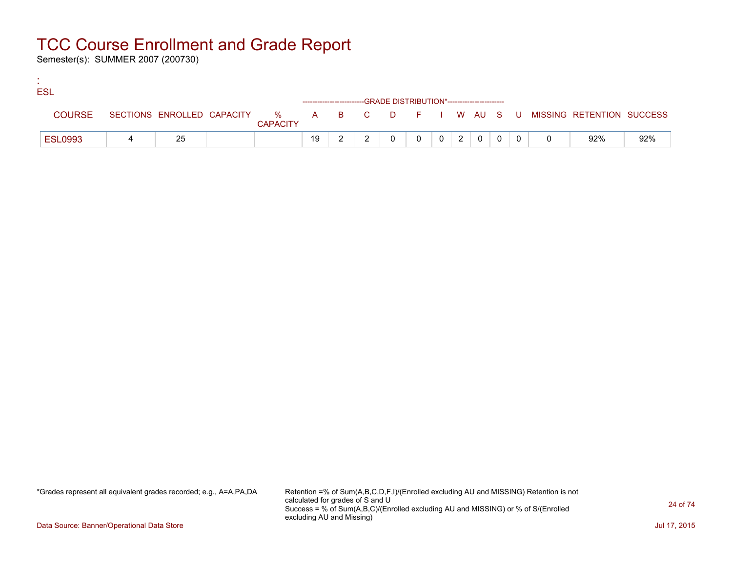Semester(s): SUMMER 2007 (200730)

:

| <b>ESL</b> |                |    |                 |    |  |  |                |                |                |  |                                                                             |     |
|------------|----------------|----|-----------------|----|--|--|----------------|----------------|----------------|--|-----------------------------------------------------------------------------|-----|
|            |                |    |                 |    |  |  |                |                |                |  |                                                                             |     |
|            | <b>COURSE</b>  |    | <b>CAPACITY</b> |    |  |  |                |                |                |  | SECTIONS ENROLLED CAPACITY % A B C D F I W AU S U MISSING RETENTION SUCCESS |     |
|            | <b>ESL0993</b> | 25 |                 | 19 |  |  | 0 <sup>1</sup> | 2 <sup>1</sup> | 0 <sup>1</sup> |  | 92%                                                                         | 92% |

\*Grades represent all equivalent grades recorded; e.g., A=A,PA,DA Retention =% of Sum(A,B,C,D,F,I)/(Enrolled excluding AU and MISSING) Retention is not calculated for grades of S and U Success = % of Sum(A,B,C)/(Enrolled excluding AU and MISSING) or % of S/(Enrolled excluding AU and Missing)

Data Source: Banner/Operational Data Store Jul 17, 2015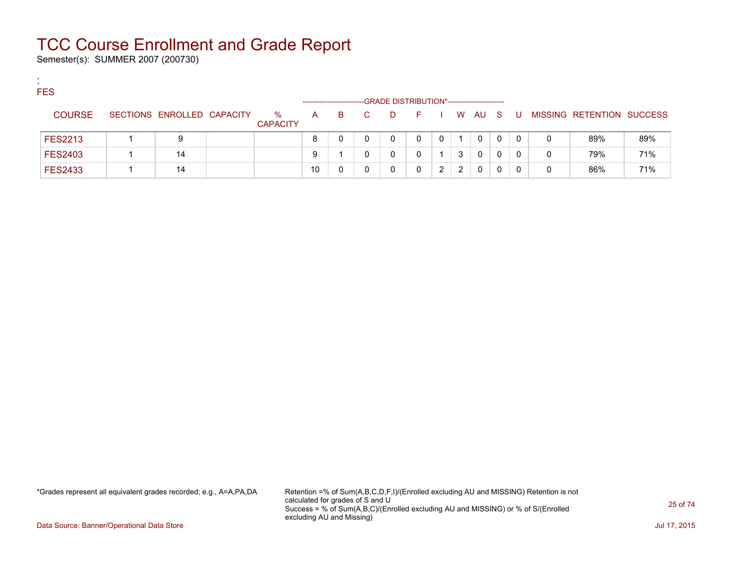Semester(s): SUMMER 2007 (200730)

:

| <b>FES</b>     |                            |                      |              | ---------------------- |    | --GRADE DISTRIBUTION*----------------------- |              |   |   |              |   |     |              |                           |     |
|----------------|----------------------------|----------------------|--------------|------------------------|----|----------------------------------------------|--------------|---|---|--------------|---|-----|--------------|---------------------------|-----|
| <b>COURSE</b>  | SECTIONS ENROLLED CAPACITY | %<br><b>CAPACITY</b> | $\mathsf{A}$ | B.                     | C. | D                                            | and <b>F</b> |   |   | W AU S       |   | . U |              | MISSING RETENTION SUCCESS |     |
| <b>FES2213</b> | 9                          |                      | 8            |                        |    | 0                                            | 0            | 0 |   | $\mathbf 0$  | 0 | 0   | 0            | 89%                       | 89% |
| <b>FES2403</b> | 14                         |                      | 9            |                        |    | 0                                            |              |   | 3 | 0            | 0 | 0   | $\Omega$     | 79%                       | 71% |
| <b>FES2433</b> | 14                         |                      | 10           |                        |    |                                              | 0            | ົ | 2 | $\mathbf{0}$ | 0 |     | $\mathbf{0}$ | 86%                       | 71% |

\*Grades represent all equivalent grades recorded; e.g., A=A,PA,DA Retention =% of Sum(A,B,C,D,F,I)/(Enrolled excluding AU and MISSING) Retention is not calculated for grades of S and U Success = % of Sum(A,B,C)/(Enrolled excluding AU and MISSING) or % of S/(Enrolled excluding AU and Missing)

Data Source: Banner/Operational Data Store Jul 17, 2015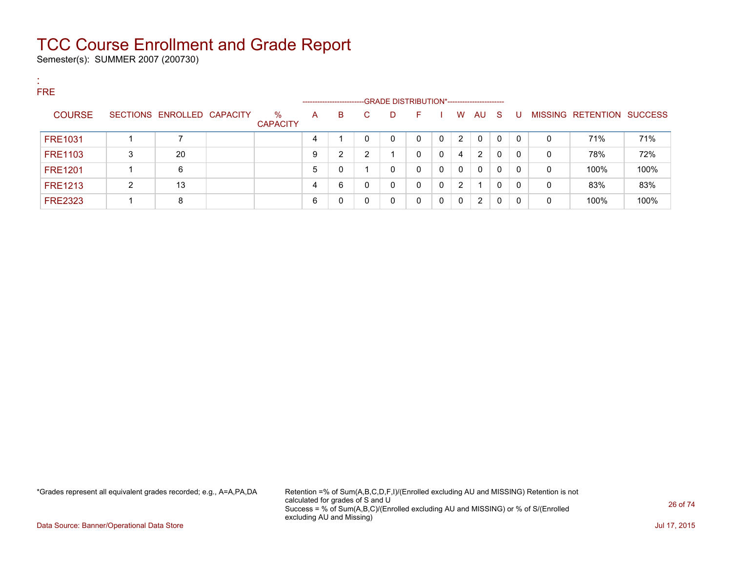Semester(s): SUMMER 2007 (200730)

:

| . .<br><b>FRE</b> |   |                            |                         | -------------------- |   |    |    | -GRADE DISTRIBUTION*----------------------- |          |                |                |    |   |   |                           |      |
|-------------------|---|----------------------------|-------------------------|----------------------|---|----|----|---------------------------------------------|----------|----------------|----------------|----|---|---|---------------------------|------|
| <b>COURSE</b>     |   | SECTIONS ENROLLED CAPACITY | $\%$<br><b>CAPACITY</b> | A                    | B | C. | D. | F.                                          |          | W              | AU             | -S | U |   | MISSING RETENTION SUCCESS |      |
| <b>FRE1031</b>    |   |                            |                         | 4                    |   | 0  | 0  | 0                                           |          | $\overline{2}$ | $\Omega$       | 0  | 0 | 0 | 71%                       | 71%  |
| <b>FRE1103</b>    | 3 | 20                         |                         | 9                    | 2 | 2  |    | 0                                           | $\Omega$ | 4              | $\overline{2}$ | 0  | 0 | 0 | 78%                       | 72%  |
| <b>FRE1201</b>    |   | 6                          |                         | 5                    | 0 |    | 0  | 0                                           | - 0      | 0              | $\mathbf{0}$   | 0  | 0 | 0 | 100%                      | 100% |
| <b>FRE1213</b>    | 2 | 13                         |                         |                      | 6 | 0  | 0  | 0                                           | $\Omega$ | $\overline{2}$ |                | 0  | 0 | 0 | 83%                       | 83%  |
| <b>FRE2323</b>    |   | 8                          |                         | 6                    | 0 | 0  | 0  | 0                                           | $\Omega$ | 0              | 2              | 0  | 0 | 0 | 100%                      | 100% |

\*Grades represent all equivalent grades recorded; e.g., A=A,PA,DA Retention =% of Sum(A,B,C,D,F,I)/(Enrolled excluding AU and MISSING) Retention is not calculated for grades of S and U Success = % of Sum(A,B,C)/(Enrolled excluding AU and MISSING) or % of S/(Enrolled excluding AU and Missing)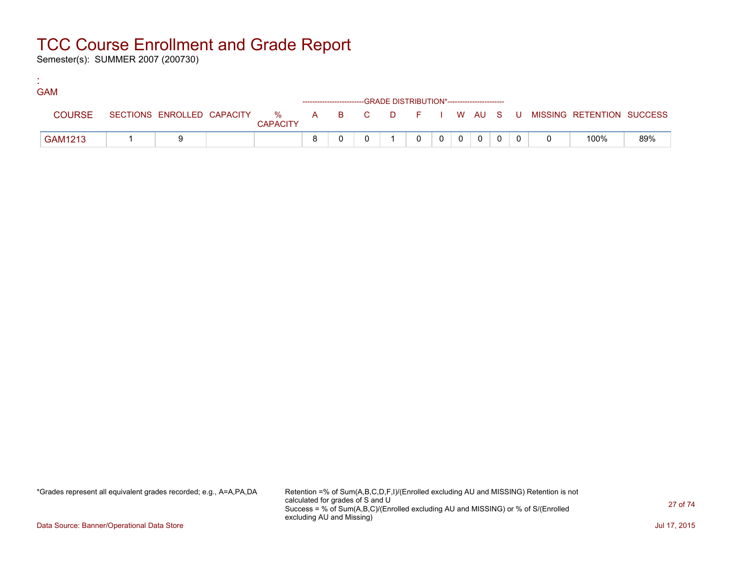Semester(s): SUMMER 2007 (200730)

:

| <b>GAM</b>    |  |                 |  |                                                                    |  |                |                |  |                                                                             |     |
|---------------|--|-----------------|--|--------------------------------------------------------------------|--|----------------|----------------|--|-----------------------------------------------------------------------------|-----|
|               |  |                 |  | ------------------------GRADE DISTRIBUTION*----------------------- |  |                |                |  |                                                                             |     |
| <b>COURSE</b> |  | <b>CAPACITY</b> |  |                                                                    |  |                |                |  | SECTIONS ENROLLED CAPACITY % A B C D F I W AU S U MISSING RETENTION SUCCESS |     |
| GAM1213       |  |                 |  |                                                                    |  | $\overline{0}$ | $\overline{0}$ |  | 100%                                                                        | 89% |

\*Grades represent all equivalent grades recorded; e.g., A=A,PA,DA Retention =% of Sum(A,B,C,D,F,I)/(Enrolled excluding AU and MISSING) Retention is not calculated for grades of S and U Success = % of Sum(A,B,C)/(Enrolled excluding AU and MISSING) or % of S/(Enrolled excluding AU and Missing)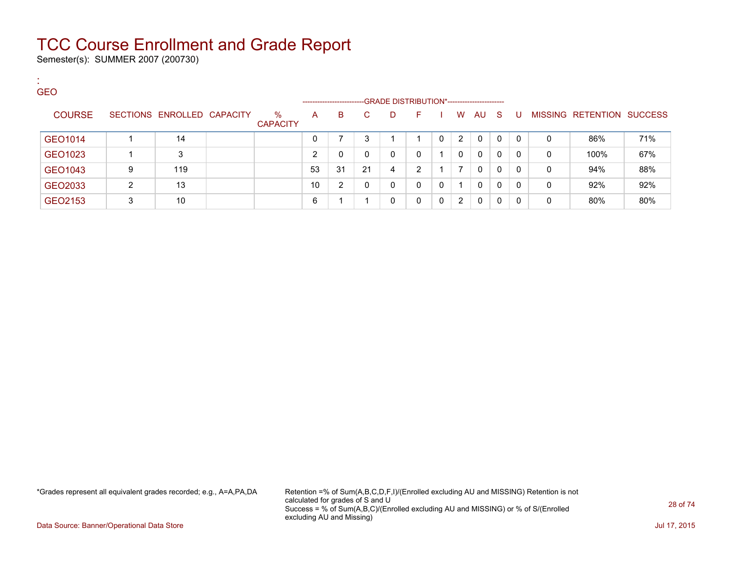Semester(s): SUMMER 2007 (200730)

:

| <b>GEO</b>    |   |                            |                         |                          |                |    | -GRADE DISTRIBUTION*----------------------- |              |              |              |              |    |          |   |                           |     |
|---------------|---|----------------------------|-------------------------|--------------------------|----------------|----|---------------------------------------------|--------------|--------------|--------------|--------------|----|----------|---|---------------------------|-----|
| <b>COURSE</b> |   | SECTIONS ENROLLED CAPACITY | $\%$<br><b>CAPACITY</b> | -------------------<br>A | B              | C. | D                                           | F.           |              | W            | AU           | -S | -U       |   | MISSING RETENTION SUCCESS |     |
| GEO1014       |   | 14                         |                         |                          |                | 3  |                                             |              |              | 2            | 0            | 0  | $\Omega$ | 0 | 86%                       | 71% |
| GEO1023       |   | 3                          |                         | ົ                        | 0              |    | 0                                           | 0            |              | $\mathbf{0}$ | $\mathbf{0}$ | 0  | $\Omega$ | 0 | 100%                      | 67% |
| GEO1043       | 9 | 119                        |                         | 53                       | 31             | 21 | 4                                           | 2            |              | ⇁            | $\mathbf{0}$ | 0  | $\Omega$ | 0 | 94%                       | 88% |
| GEO2033       | 2 | 13                         |                         | 10                       | $\overline{2}$ | 0  | 0                                           | $\mathbf{0}$ | $\mathbf{0}$ |              | $\mathbf{0}$ | 0  | $\Omega$ | 0 | 92%                       | 92% |
| GEO2153       | 3 | 10                         |                         | 6                        |                |    | 0                                           | 0            | $\Omega$     | 2            | 0            | 0  | 0        | 0 | 80%                       | 80% |

\*Grades represent all equivalent grades recorded; e.g., A=A,PA,DA Retention =% of Sum(A,B,C,D,F,I)/(Enrolled excluding AU and MISSING) Retention is not calculated for grades of S and U Success = % of Sum(A,B,C)/(Enrolled excluding AU and MISSING) or % of S/(Enrolled excluding AU and Missing)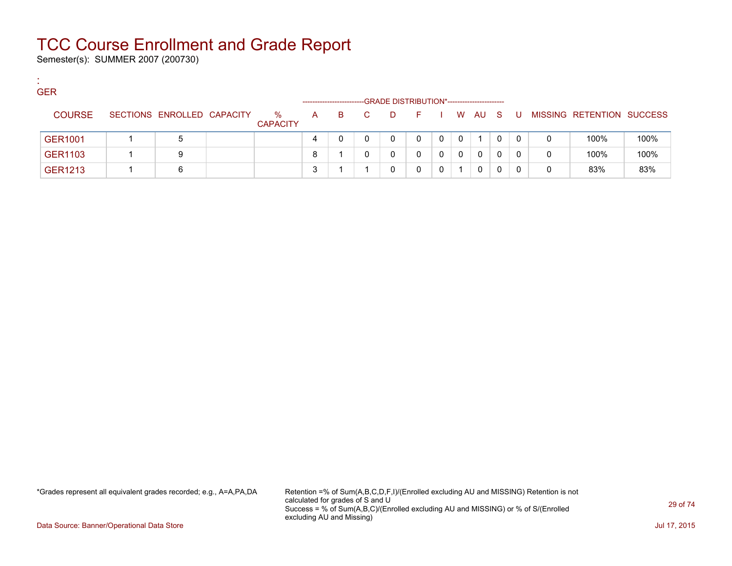Semester(s): SUMMER 2007 (200730)

:

| <b>GER</b>     |                            |                      | --------------------- |    |    |   | -GRADE DISTRIBUTION*----------------------- |   |        |   |   |   |                           |      |
|----------------|----------------------------|----------------------|-----------------------|----|----|---|---------------------------------------------|---|--------|---|---|---|---------------------------|------|
| <b>COURSE</b>  | SECTIONS ENROLLED CAPACITY | %<br><b>CAPACITY</b> | A                     | B. | C. | D | - F -                                       |   | W AU S |   | U |   | MISSING RETENTION SUCCESS |      |
| <b>GER1001</b> | 5                          |                      | 4                     |    |    |   | 0                                           | 0 |        | 0 | 0 | 0 | 100%                      | 100% |
| GER1103        | 9                          |                      | 8                     |    |    |   |                                             | 0 | 0      |   | 0 | 0 | 100%                      | 100% |
| <b>GER1213</b> | 6                          |                      | -3                    |    |    |   |                                             |   | 0      |   |   | 0 | 83%                       | 83%  |

\*Grades represent all equivalent grades recorded; e.g., A=A,PA,DA Retention =% of Sum(A,B,C,D,F,I)/(Enrolled excluding AU and MISSING) Retention is not calculated for grades of S and U Success = % of Sum(A,B,C)/(Enrolled excluding AU and MISSING) or % of S/(Enrolled excluding AU and Missing)

Data Source: Banner/Operational Data Store Jul 17, 2015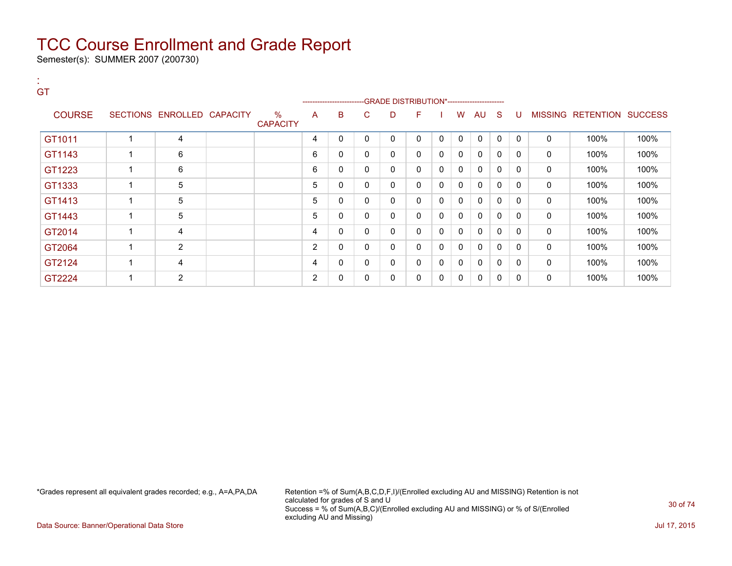Semester(s): SUMMER 2007 (200730)

:

| GT            |                            |                         |                |   |              |   | -----------------------GRADE DISTRIBUTION*----------------------- |              |              |              |              |              |              |                           |      |
|---------------|----------------------------|-------------------------|----------------|---|--------------|---|-------------------------------------------------------------------|--------------|--------------|--------------|--------------|--------------|--------------|---------------------------|------|
| <b>COURSE</b> | SECTIONS ENROLLED CAPACITY | $\%$<br><b>CAPACITY</b> | A              | B | C            | D | F                                                                 |              | W            | AU           | S.           | -U           |              | MISSING RETENTION SUCCESS |      |
| GT1011        | 4                          |                         | 4              | 0 | 0            | 0 | 0                                                                 | $\mathbf{0}$ | $\mathbf{0}$ | $\mathbf{0}$ | $\mathbf 0$  | $\mathbf{0}$ | 0            | 100%                      | 100% |
| GT1143        | 6                          |                         | 6              | 0 | 0            | 0 | 0                                                                 | $\mathbf{0}$ | 0            | $\Omega$     | $\mathbf{0}$ | $\Omega$     | 0            | 100%                      | 100% |
| GT1223        | 6                          |                         | 6              | 0 | 0            | 0 | 0                                                                 | 0            | $\mathbf{0}$ | $\mathbf{0}$ | $\mathbf{0}$ | $\Omega$     | 0            | 100%                      | 100% |
| GT1333        | 5                          |                         | 5              | 0 | $\mathbf{0}$ | 0 | 0                                                                 | 0            | $\mathbf{0}$ | $\mathbf{0}$ | $\mathbf{0}$ | $\Omega$     | 0            | 100%                      | 100% |
| GT1413        | 5                          |                         | 5              | 0 | 0            | 0 | 0                                                                 | $\mathbf{0}$ | $\mathbf{0}$ | $\mathbf{0}$ | 0            | 0            | 0            | 100%                      | 100% |
| GT1443        | 5                          |                         | 5              | 0 | $\Omega$     | 0 | 0                                                                 | $\mathbf{0}$ | $\mathbf{0}$ | $\Omega$     | $\mathbf{0}$ | $\mathbf{0}$ | $\mathbf{0}$ | 100%                      | 100% |
| GT2014        | 4                          |                         | 4              | 0 | 0            | 0 | 0                                                                 | $\mathbf{0}$ | $\mathbf{0}$ | $\Omega$     | $\mathbf{0}$ | $\Omega$     | 0            | 100%                      | 100% |
| GT2064        | $\overline{2}$             |                         | 2              | 0 | $\mathbf{0}$ | 0 | 0                                                                 | 0            | $\mathbf{0}$ | 0            | $\mathbf 0$  | $\mathbf{0}$ | 0            | 100%                      | 100% |
| GT2124        | 4                          |                         | 4              | 0 | 0            | 0 | 0                                                                 | $\mathbf{0}$ | 0            | $\mathbf{0}$ | $\mathbf{0}$ | 0            | 0            | 100%                      | 100% |
| GT2224        | $\overline{2}$             |                         | $\overline{2}$ | 0 | 0            | 0 | 0                                                                 | 0            | 0            | 0            | 0            | 0            | 0            | 100%                      | 100% |

\*Grades represent all equivalent grades recorded; e.g., A=A,PA,DA Retention =% of Sum(A,B,C,D,F,I)/(Enrolled excluding AU and MISSING) Retention is not calculated for grades of S and U Success = % of Sum(A,B,C)/(Enrolled excluding AU and MISSING) or % of S/(Enrolled excluding AU and Missing)

Data Source: Banner/Operational Data Store Jul 17, 2015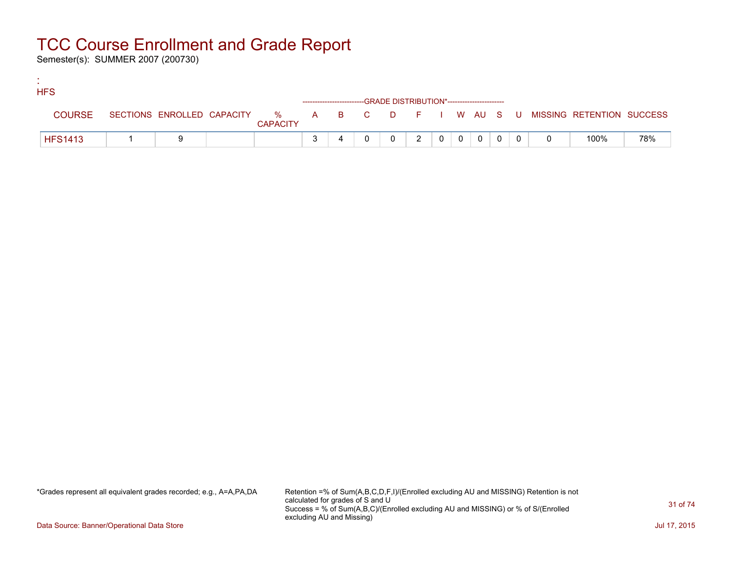Semester(s): SUMMER 2007 (200730)

:

| <b>HFS</b>     |  |                 |                                                                    |  |               |                |                                                     |                |  |                                                                             |     |
|----------------|--|-----------------|--------------------------------------------------------------------|--|---------------|----------------|-----------------------------------------------------|----------------|--|-----------------------------------------------------------------------------|-----|
|                |  |                 | ------------------------GRADE DISTRIBUTION*----------------------- |  |               |                |                                                     |                |  |                                                                             |     |
| <b>COURSE</b>  |  | <b>CAPACITY</b> |                                                                    |  |               |                |                                                     |                |  | SECTIONS ENROLLED CAPACITY % A B C D F I W AU S U MISSING RETENTION SUCCESS |     |
| <b>HFS1413</b> |  |                 |                                                                    |  | $\mathcal{P}$ | 0 <sup>1</sup> | $\overline{\phantom{0}}$ 0 $\overline{\phantom{0}}$ | $\overline{0}$ |  | 100%                                                                        | 78% |

\*Grades represent all equivalent grades recorded; e.g., A=A,PA,DA Retention =% of Sum(A,B,C,D,F,I)/(Enrolled excluding AU and MISSING) Retention is not calculated for grades of S and U Success = % of Sum(A,B,C)/(Enrolled excluding AU and MISSING) or % of S/(Enrolled excluding AU and Missing)

Data Source: Banner/Operational Data Store Jul 17, 2015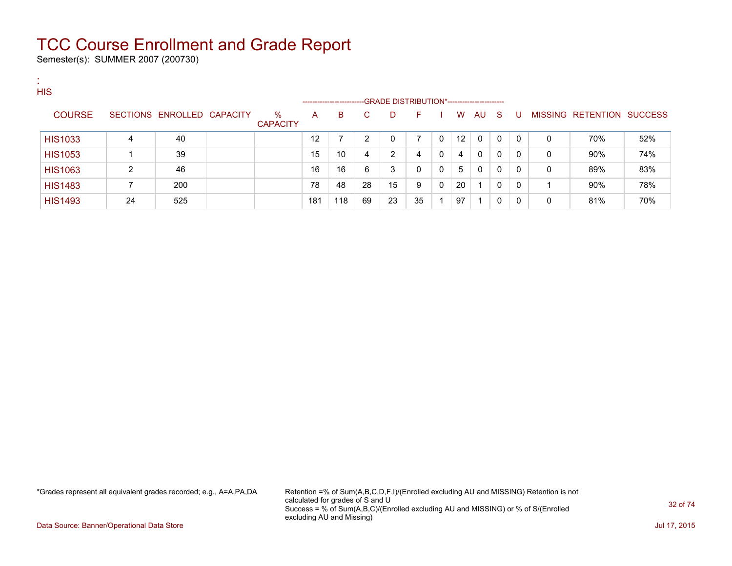Semester(s): SUMMER 2007 (200730)

:

| <b>HIS</b>     |    |                            |                         | ------------------- |     |    | -GRADE DISTRIBUTION*----------------------- |          |          |    |    |    |          |   |                                  |     |
|----------------|----|----------------------------|-------------------------|---------------------|-----|----|---------------------------------------------|----------|----------|----|----|----|----------|---|----------------------------------|-----|
| <b>COURSE</b>  |    | SECTIONS ENROLLED CAPACITY | $\%$<br><b>CAPACITY</b> | A                   | B   | C. | D                                           | F.       |          | W  | AU | -S | U        |   | <b>MISSING RETENTION SUCCESS</b> |     |
| <b>HIS1033</b> | 4  | 40                         |                         | 12                  |     | ົ  | 0                                           |          |          | 12 | 0  | 0  | $\Omega$ | 0 | 70%                              | 52% |
| <b>HIS1053</b> |    | 39                         |                         | 15                  | 10  | 4  | 2                                           | 4        | $\Omega$ | 4  | 0  | 0  | $\Omega$ | 0 | $90\%$                           | 74% |
| <b>HIS1063</b> | 2  | 46                         |                         | 16                  | 16  | 6  | 3                                           | $\Omega$ | 0        | 5  | 0  | 0  | $\Omega$ | 0 | 89%                              | 83% |
| <b>HIS1483</b> |    | 200                        |                         | 78                  | 48  | 28 | 15                                          | 9        |          | 20 |    | 0  | 0        |   | 90%                              | 78% |
| <b>HIS1493</b> | 24 | 525                        |                         | 181                 | 118 | 69 | 23                                          | 35       |          | 97 |    | 0  | 0        | 0 | 81%                              | 70% |

\*Grades represent all equivalent grades recorded; e.g., A=A,PA,DA Retention =% of Sum(A,B,C,D,F,I)/(Enrolled excluding AU and MISSING) Retention is not calculated for grades of S and U Success = % of Sum(A,B,C)/(Enrolled excluding AU and MISSING) or % of S/(Enrolled excluding AU and Missing)

Data Source: Banner/Operational Data Store Jul 17, 2015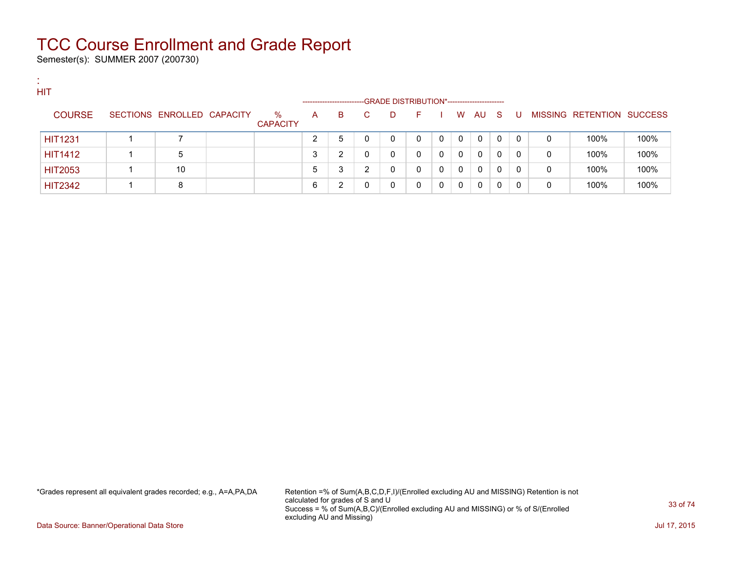Semester(s): SUMMER 2007 (200730)

:

| <b>SIL</b> | <b>HIT</b>     |                            |                         |   |                       |   |                                             |    |          |          |          |              |              |   |                           |      |
|------------|----------------|----------------------------|-------------------------|---|-----------------------|---|---------------------------------------------|----|----------|----------|----------|--------------|--------------|---|---------------------------|------|
|            |                |                            |                         |   | --------------------- |   | -GRADE DISTRIBUTION*----------------------- |    |          |          |          |              |              |   |                           |      |
|            | <b>COURSE</b>  | SECTIONS ENROLLED CAPACITY | $\%$<br><b>CAPACITY</b> | A | B.                    | C | D                                           | н. |          | W        | AU       | - S          | U            |   | MISSING RETENTION SUCCESS |      |
|            | <b>HIT1231</b> |                            |                         | ົ | 5                     |   | $\mathbf{0}$                                | 0  | $\Omega$ | $\Omega$ | $\Omega$ | $\Omega$     | $\mathbf{0}$ | 0 | 100%                      | 100% |
|            | <b>HIT1412</b> | 5                          |                         | 3 | ົ                     |   | 0                                           | 0  | $\Omega$ | $\Omega$ | $\Omega$ | $\Omega$     | 0            | 0 | 100%                      | 100% |
|            | <b>HIT2053</b> | 10                         |                         | 5 | 3                     | ົ |                                             | 0  |          | $\Omega$ | $\Omega$ | $\mathbf{0}$ | $\mathbf{0}$ | 0 | 100%                      | 100% |
|            | <b>HIT2342</b> | 8                          |                         | 6 | ົ                     |   |                                             | 0  |          | $\Omega$ | 0        |              |              | 0 | 100%                      | 100% |

\*Grades represent all equivalent grades recorded; e.g., A=A,PA,DA Retention =% of Sum(A,B,C,D,F,I)/(Enrolled excluding AU and MISSING) Retention is not calculated for grades of S and U Success = % of Sum(A,B,C)/(Enrolled excluding AU and MISSING) or % of S/(Enrolled excluding AU and Missing)

Data Source: Banner/Operational Data Store Jul 17, 2015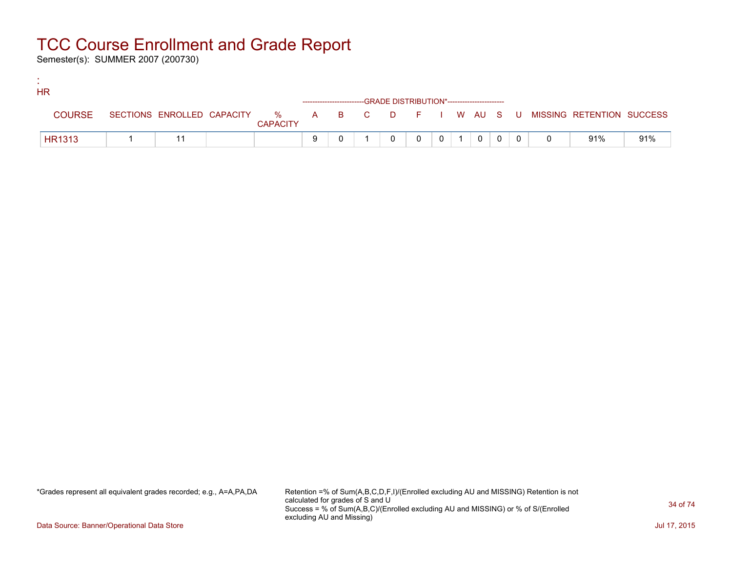Semester(s): SUMMER 2007 (200730)

:

| <b>HR</b>     |  |                 |  |                                                                    |                |                |              |          |                                                                             |     |
|---------------|--|-----------------|--|--------------------------------------------------------------------|----------------|----------------|--------------|----------|-----------------------------------------------------------------------------|-----|
|               |  |                 |  | ------------------------GRADE DISTRIBUTION*----------------------- |                |                |              |          |                                                                             |     |
| <b>COURSE</b> |  | <b>CAPACITY</b> |  |                                                                    |                |                |              |          | SECTIONS ENROLLED CAPACITY % A B C D F I W AU S U MISSING RETENTION SUCCESS |     |
| <b>HR1313</b> |  |                 |  |                                                                    | 0 <sup>1</sup> | $\overline{0}$ | $^{\circ}$ 0 | $\Omega$ | 91%                                                                         | 91% |

\*Grades represent all equivalent grades recorded; e.g., A=A,PA,DA Retention =% of Sum(A,B,C,D,F,I)/(Enrolled excluding AU and MISSING) Retention is not calculated for grades of S and U Success = % of Sum(A,B,C)/(Enrolled excluding AU and MISSING) or % of S/(Enrolled excluding AU and Missing)

Data Source: Banner/Operational Data Store Jul 17, 2015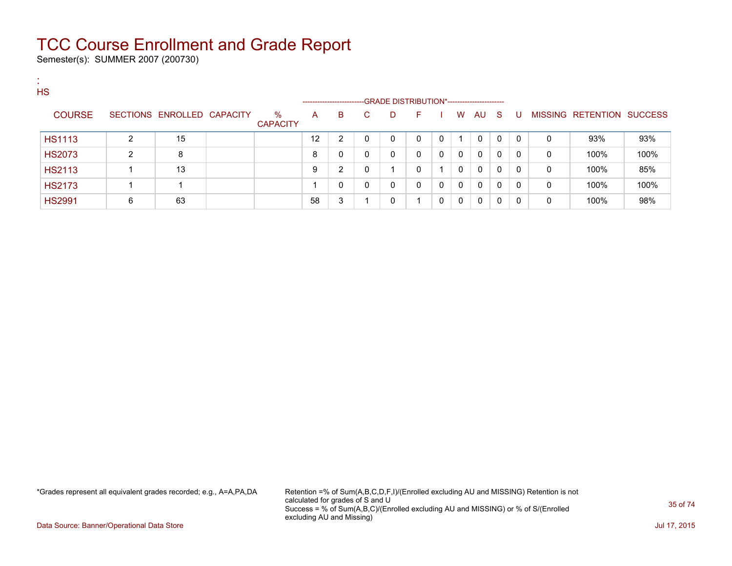Semester(s): SUMMER 2007 (200730)

:

| <b>HS</b>     |   |                            |                         |    | ---------------------- |    | -GRADE DISTRIBUTION*---------------------- |              |              |              |              |     |                |              |                           |      |
|---------------|---|----------------------------|-------------------------|----|------------------------|----|--------------------------------------------|--------------|--------------|--------------|--------------|-----|----------------|--------------|---------------------------|------|
| <b>COURSE</b> |   | SECTIONS ENROLLED CAPACITY | $\%$<br><b>CAPACITY</b> | A  | B                      | C. | D                                          | F.           |              | W            | AU           | - S | U              |              | MISSING RETENTION SUCCESS |      |
| <b>HS1113</b> | 2 | 15                         |                         | 12 | $\overline{2}$         |    | 0                                          | 0            | 0            |              | 0            | 0   | $\overline{0}$ | 0            | 93%                       | 93%  |
| <b>HS2073</b> |   | 8                          |                         | 8  | 0                      |    | 0                                          | 0            | 0            | 0            | 0            | 0   | $\mathbf{0}$   | $\mathbf{0}$ | 100%                      | 100% |
| <b>HS2113</b> |   | 13                         |                         | 9  | 2                      |    |                                            | 0            |              | $\mathbf{0}$ | $\mathbf{0}$ | 0   | $\Omega$       | 0            | 100%                      | 85%  |
| <b>HS2173</b> |   |                            |                         |    | 0                      | U  | 0                                          | $\mathbf{0}$ | $\mathbf{0}$ | $\mathbf{0}$ | 0            | 0   | $\mathbf 0$    | 0            | 100%                      | 100% |
| <b>HS2991</b> | 6 | 63                         |                         | 58 | 3                      |    | 0                                          |              | 0            | 0            | 0            | 0   | $\Omega$       | 0            | 100%                      | 98%  |

\*Grades represent all equivalent grades recorded; e.g., A=A,PA,DA Retention =% of Sum(A,B,C,D,F,I)/(Enrolled excluding AU and MISSING) Retention is not calculated for grades of S and U Success = % of Sum(A,B,C)/(Enrolled excluding AU and MISSING) or % of S/(Enrolled excluding AU and Missing)

Data Source: Banner/Operational Data Store Jul 17, 2015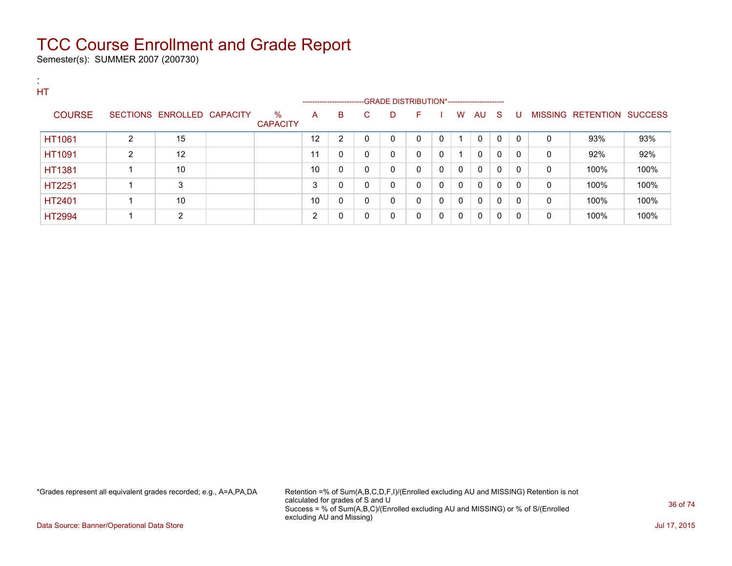Semester(s): SUMMER 2007 (200730)

:

| . .<br>HT     |                |                            |                         |    | ------------------------GRADE                DISTRIBUTION*---------------------- |              |             |              |              |   |              |              |              |   |                           |      |
|---------------|----------------|----------------------------|-------------------------|----|----------------------------------------------------------------------------------|--------------|-------------|--------------|--------------|---|--------------|--------------|--------------|---|---------------------------|------|
| <b>COURSE</b> |                | SECTIONS ENROLLED CAPACITY | $\%$<br><b>CAPACITY</b> | A  | B                                                                                | C            | D           | F            |              | W | AU S         |              | U            |   | MISSING RETENTION SUCCESS |      |
| HT1061        | $\overline{2}$ | 15                         |                         | 12 | $\overline{2}$                                                                   | 0            | 0           | $\Omega$     | $\mathbf{0}$ |   | $\mathbf{0}$ | $\mathbf{0}$ | $\mathbf{0}$ | 0 | 93%                       | 93%  |
| HT1091        | $\overline{2}$ | 12                         |                         | 11 | 0                                                                                | 0            | $\mathbf 0$ | $\mathbf{0}$ | 0            |   | 0            | 0            | 0            | 0 | 92%                       | 92%  |
| <b>HT1381</b> |                | 10                         |                         | 10 | $\mathbf{0}$                                                                     | 0            | 0           | 0            | $\mathbf{0}$ | 0 | 0            | 0            | $\Omega$     | 0 | 100%                      | 100% |
| HT2251        |                | 3                          |                         | 3  | $\mathbf 0$                                                                      | 0            | 0           | 0            | 0            | 0 | 0            | 0            | $\Omega$     | 0 | 100%                      | 100% |
| HT2401        |                | 10                         |                         | 10 | $\mathbf{0}$                                                                     | 0            | 0           | $\mathbf{0}$ | 0            | 0 | 0            | 0            | $\Omega$     | 0 | 100%                      | 100% |
| <b>HT2994</b> |                | 2                          |                         | 2  | $\mathbf 0$                                                                      | $\mathbf{0}$ | 0           | 0            | 0            | 0 | 0            | 0            | 0            | 0 | 100%                      | 100% |

\*Grades represent all equivalent grades recorded; e.g., A=A,PA,DA Retention =% of Sum(A,B,C,D,F,I)/(Enrolled excluding AU and MISSING) Retention is not calculated for grades of S and U Success = % of Sum(A,B,C)/(Enrolled excluding AU and MISSING) or % of S/(Enrolled excluding AU and Missing)

Data Source: Banner/Operational Data Store Jul 17, 2015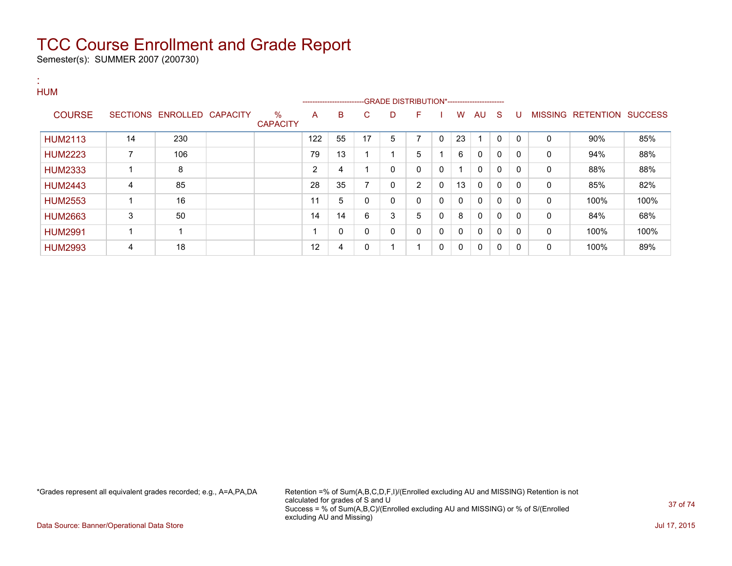Semester(s): SUMMER 2007 (200730)

:

#### **HUM** ---GRADE DISTRIBUTION\*------------------------COURSE SECTIONS ENROLLED CAPACITY % **CAPACITY** A B C D F I W AU S U MISSING RETENTION SUCCESS HUM2113 | 14 | 230 | | | | | | 122 | 55 | 17 | 5 | 7 | 0 | 23 | 1 | 0 | 0 | 0 | 0 | 90% | 85% HUM2223 | 7 | 106 | | 79 | 13 | 1 | 1 | 5 | 1 | 6 | 0 | 0 | 0 | 0 | 94% | 88% HUM2333 1 8 2 4 1 0 0 0 1 0 0 0 0 88% 88% HUM2443 | 4 | 85 | | 28 | 35 | 7 | 0 | 2 | 0 | 13 | 0 | 0 | 0 | 0 | 85% | 82% HUM2553 1 16 11 5 0 0 0 0 0 0 0 0 0 100% 100% HUM2663 | 3 | 50 | | 14 | 14 | 6 | 3 | 5 | 0 | 8 | 0 | 0 | 0 | 0 | 84% | 68% HUM2991 1 1 1 0 0 0 0 0 0 0 0 0 0 100% 100% HUM2993 | 4 | 18 | | 12 | 4 | 0 | 1 | 1 | 0 | 0 | 0 | 0 | 0 | 0 | 100% | 89%

\*Grades represent all equivalent grades recorded; e.g., A=A,PA,DA Retention =% of Sum(A,B,C,D,F,I)/(Enrolled excluding AU and MISSING) Retention is not calculated for grades of S and U Success = % of Sum(A,B,C)/(Enrolled excluding AU and MISSING) or % of S/(Enrolled excluding AU and Missing)

Data Source: Banner/Operational Data Store Jul 17, 2015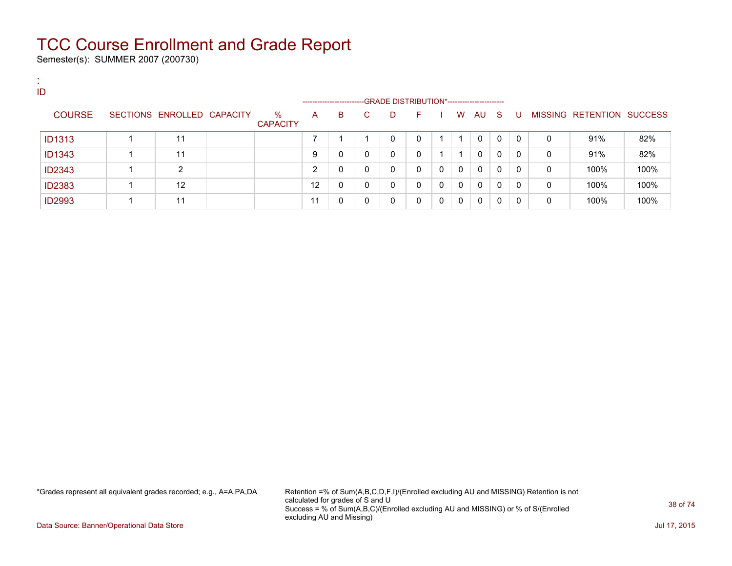Semester(s): SUMMER 2007 (200730)

:

| ID |               |                            |                         |                      |   |   |                                             |    |          |              |              |              |              |   |                           |      |
|----|---------------|----------------------------|-------------------------|----------------------|---|---|---------------------------------------------|----|----------|--------------|--------------|--------------|--------------|---|---------------------------|------|
|    |               |                            |                         | -------------------- |   |   | -GRADE DISTRIBUTION*----------------------- |    |          |              |              |              |              |   |                           |      |
|    | <b>COURSE</b> | SECTIONS ENROLLED CAPACITY | $\%$<br><b>CAPACITY</b> | A                    | в | C | D                                           | F. |          | W            | AU           | -S           | U            |   | MISSING RETENTION SUCCESS |      |
|    | <b>ID1313</b> | 11                         |                         |                      |   |   | $\Omega$                                    | 0  |          |              | 0            | $\mathbf{0}$ | $\mathbf{0}$ | 0 | 91%                       | 82%  |
|    | <b>ID1343</b> | 11                         |                         | 9                    | 0 | 0 | 0                                           | 0  |          |              | $\Omega$     | $\mathbf{0}$ | $\Omega$     | 0 | 91%                       | 82%  |
|    | <b>ID2343</b> | ົ                          |                         | ົ                    | 0 | 0 | 0                                           | 0  | $\Omega$ | $\Omega$     | $\Omega$     | $\mathbf{0}$ | $\mathbf{0}$ | 0 | 100%                      | 100% |
|    | <b>ID2383</b> | 12                         |                         | 12                   | 0 | 0 | $\Omega$                                    | 0  | $\Omega$ | $\mathbf{0}$ | $\mathbf{0}$ | 0            | 0            | 0 | 100%                      | 100% |
|    | <b>ID2993</b> | 11                         |                         | 11                   | 0 | 0 | $\Omega$                                    | 0  | $\Omega$ | $\Omega$     | $\Omega$     | 0            |              | 0 | 100%                      | 100% |

\*Grades represent all equivalent grades recorded; e.g., A=A,PA,DA Retention =% of Sum(A,B,C,D,F,I)/(Enrolled excluding AU and MISSING) Retention is not calculated for grades of S and U Success = % of Sum(A,B,C)/(Enrolled excluding AU and MISSING) or % of S/(Enrolled excluding AU and Missing)

Data Source: Banner/Operational Data Store Jul 17, 2015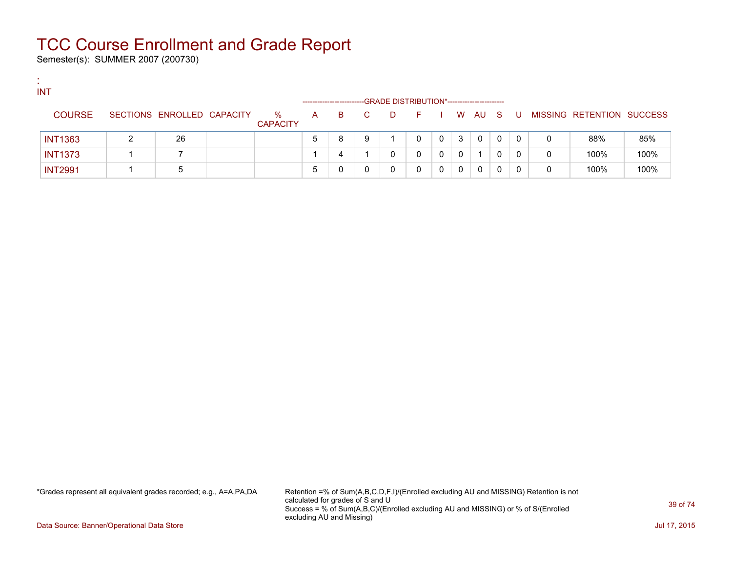Semester(s): SUMMER 2007 (200730)

:

| <b>INT</b>     |                            |                         |                       |    |   |    |                                             |   |   |          |              |       |   |                           |      |
|----------------|----------------------------|-------------------------|-----------------------|----|---|----|---------------------------------------------|---|---|----------|--------------|-------|---|---------------------------|------|
|                |                            |                         | --------------------- |    |   |    | -GRADE DISTRIBUTION*----------------------- |   |   |          |              |       |   |                           |      |
| <b>COURSE</b>  | SECTIONS ENROLLED CAPACITY | $\%$<br><b>CAPACITY</b> | $\mathsf{A}$          | B. |   | D. | E.                                          |   |   | W AU S   |              | . U . |   | MISSING RETENTION SUCCESS |      |
| <b>INT1363</b> | 26                         |                         |                       | 8  | 9 |    |                                             | 0 | 3 | $\Omega$ | $\mathbf{0}$ |       |   | 88%                       | 85%  |
| <b>INT1373</b> |                            |                         |                       |    |   |    |                                             |   | 0 |          |              |       | 0 | 100%                      | 100% |
| <b>INT2991</b> | 5                          |                         |                       |    |   |    |                                             |   | 0 | 0        |              |       |   | 100%                      | 100% |

\*Grades represent all equivalent grades recorded; e.g., A=A,PA,DA Retention =% of Sum(A,B,C,D,F,I)/(Enrolled excluding AU and MISSING) Retention is not calculated for grades of S and U Success = % of Sum(A,B,C)/(Enrolled excluding AU and MISSING) or % of S/(Enrolled excluding AU and Missing)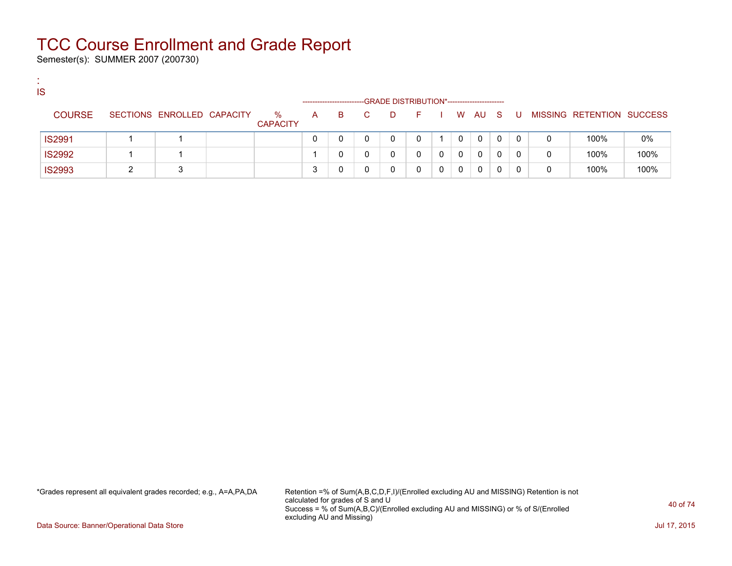Semester(s): SUMMER 2007 (200730)

:

| <b>IS</b>     |                            |                         |   |                       |    |                                             |   |              |   |    |   |                           |      |
|---------------|----------------------------|-------------------------|---|-----------------------|----|---------------------------------------------|---|--------------|---|----|---|---------------------------|------|
|               |                            |                         |   | --------------------- |    | -GRADE DISTRIBUTION*----------------------- |   |              |   |    |   |                           |      |
| <b>COURSE</b> | SECTIONS ENROLLED CAPACITY | $\%$<br><b>CAPACITY</b> | A | B.                    | D. | - F -                                       |   | W AU S       |   | -U |   | MISSING RETENTION SUCCESS |      |
| <b>IS2991</b> |                            |                         |   |                       |    |                                             | 0 | $\mathbf{0}$ | 0 |    |   | 100%                      | 0%   |
| <b>IS2992</b> |                            |                         |   |                       |    |                                             | 0 | 0            | 0 |    | 0 | 100%                      | 100% |
| <b>IS2993</b> | ◠                          |                         |   |                       |    |                                             | 0 | 0            |   |    |   | 100%                      | 100% |

\*Grades represent all equivalent grades recorded; e.g., A=A,PA,DA Retention =% of Sum(A,B,C,D,F,I)/(Enrolled excluding AU and MISSING) Retention is not calculated for grades of S and U Success = % of Sum(A,B,C)/(Enrolled excluding AU and MISSING) or % of S/(Enrolled excluding AU and Missing)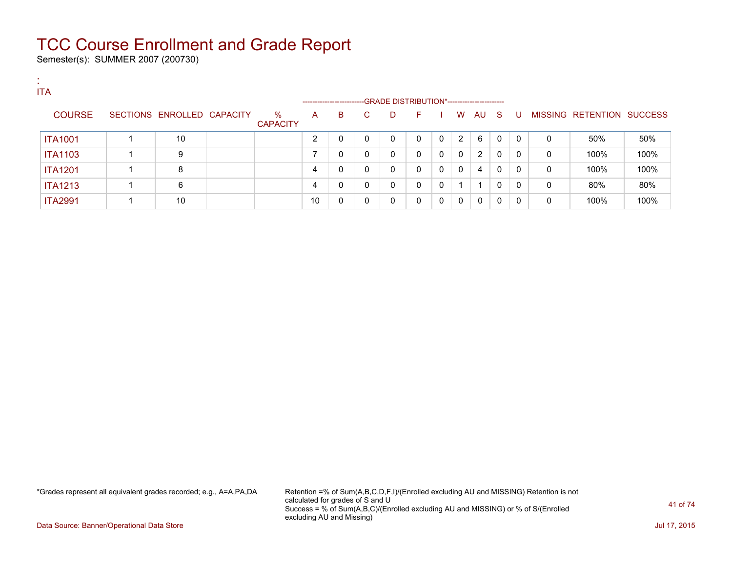Semester(s): SUMMER 2007 (200730)

:

| <b>ITA</b> |                |                            |                         | --------------------- |   |    | -GRADE DISTRIBUTION*----------------------- |              |          |              |    |     |              |   |                           |      |
|------------|----------------|----------------------------|-------------------------|-----------------------|---|----|---------------------------------------------|--------------|----------|--------------|----|-----|--------------|---|---------------------------|------|
|            | <b>COURSE</b>  | SECTIONS ENROLLED CAPACITY | $\%$<br><b>CAPACITY</b> | A                     | B | C. | D                                           | F.           |          | W            | AU | - S | U            |   | MISSING RETENTION SUCCESS |      |
|            | <b>ITA1001</b> | 10                         |                         | ົ                     | 0 |    | $\Omega$                                    | 0            | $\Omega$ | 2            | 6  | 0   | $\mathbf{0}$ | 0 | 50%                       | 50%  |
|            | <b>ITA1103</b> | 9                          |                         |                       | 0 |    | 0                                           | $\Omega$     | $\Omega$ | $\mathbf{0}$ | 2  | 0   | $\Omega$     | 0 | 100%                      | 100% |
|            | <b>ITA1201</b> | 8                          |                         | 4                     | 0 |    | 0                                           | 0            | 0        | $\mathbf{0}$ | 4  | 0   | 0            | 0 | 100%                      | 100% |
|            | <b>ITA1213</b> | 6                          |                         | 4                     | 0 |    | 0                                           | $\mathbf{0}$ | 0        |              |    | 0   | $\Omega$     | 0 | 80%                       | 80%  |
|            | <b>ITA2991</b> | 10                         |                         | 10                    | 0 |    | 0                                           | 0            | 0        | $\mathbf{0}$ | 0  | 0   | 0            | 0 | 100%                      | 100% |

\*Grades represent all equivalent grades recorded; e.g., A=A,PA,DA Retention =% of Sum(A,B,C,D,F,I)/(Enrolled excluding AU and MISSING) Retention is not calculated for grades of S and U Success = % of Sum(A,B,C)/(Enrolled excluding AU and MISSING) or % of S/(Enrolled excluding AU and Missing)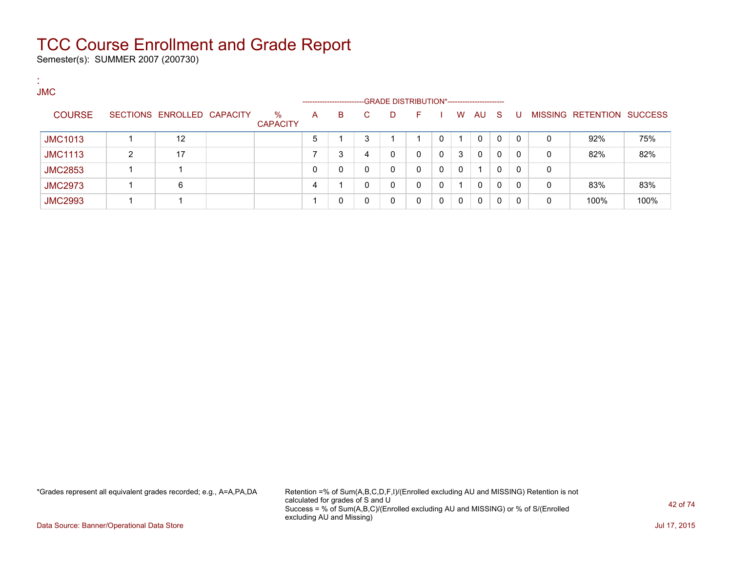Semester(s): SUMMER 2007 (200730)

:

| . .<br><b>JMC</b> |   |                            |                         |              | --------------------- |    | -GRADE DISTRIBUTION*----------------------- |    |          |          |              |          |              |   |                           |      |
|-------------------|---|----------------------------|-------------------------|--------------|-----------------------|----|---------------------------------------------|----|----------|----------|--------------|----------|--------------|---|---------------------------|------|
| <b>COURSE</b>     |   | SECTIONS ENROLLED CAPACITY | $\%$<br><b>CAPACITY</b> | $\mathsf{A}$ | B.                    | C. | D                                           | F. |          | W        | AU           | - S      | -U           |   | MISSING RETENTION SUCCESS |      |
| <b>JMC1013</b>    |   | 12                         |                         | 5            |                       | 3  |                                             |    | 0        | 1        | 0            | $\Omega$ | $\Omega$     | 0 | 92%                       | 75%  |
| <b>JMC1113</b>    | າ | 17                         |                         |              | 3                     | 4  | 0                                           | 0  | $\Omega$ | 3        | $\Omega$     | $\Omega$ | $\mathbf{0}$ | 0 | 82%                       | 82%  |
| <b>JMC2853</b>    |   |                            |                         |              |                       | 0  | 0                                           | 0  | 0        | $\Omega$ |              | 0        | $\mathbf{0}$ | 0 |                           |      |
| <b>JMC2973</b>    |   | 6                          |                         | 4            |                       | 0  | 0                                           | 0  | 0        | 1        | $\mathbf{0}$ | 0        | $\Omega$     | 0 | 83%                       | 83%  |
| <b>JMC2993</b>    |   |                            |                         |              |                       |    | 0                                           | 0  | 0        | $\Omega$ | $\Omega$     | 0        | 0            | 0 | 100%                      | 100% |

\*Grades represent all equivalent grades recorded; e.g., A=A,PA,DA Retention =% of Sum(A,B,C,D,F,I)/(Enrolled excluding AU and MISSING) Retention is not calculated for grades of S and U Success = % of Sum(A,B,C)/(Enrolled excluding AU and MISSING) or % of S/(Enrolled excluding AU and Missing)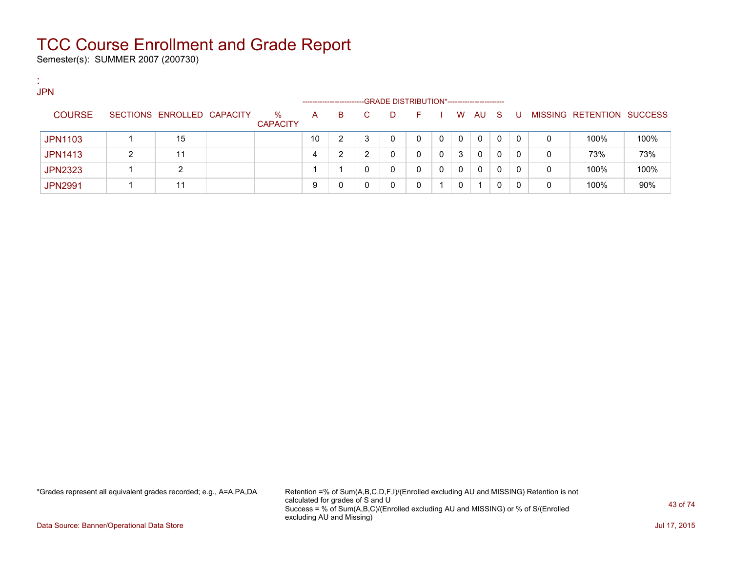Semester(s): SUMMER 2007 (200730)

:

| <b>JPN</b>     |   |                            |                 |                       |    |    |                                             |   |   |    |          |          |          |   |                                  |      |
|----------------|---|----------------------------|-----------------|-----------------------|----|----|---------------------------------------------|---|---|----|----------|----------|----------|---|----------------------------------|------|
|                |   |                            |                 | --------------------- |    |    | -GRADE DISTRIBUTION*----------------------- |   |   |    |          |          |          |   |                                  |      |
| <b>COURSE</b>  |   | SECTIONS ENROLLED CAPACITY | ℅               | A                     | B. | C. | D                                           | E |   | W. | AU S     |          | . U      |   | <b>MISSING RETENTION SUCCESS</b> |      |
|                |   |                            | <b>CAPACITY</b> |                       |    |    |                                             |   |   |    |          |          |          |   |                                  |      |
| <b>JPN1103</b> |   | 15                         |                 | 10                    | ົ  | 3  | 0                                           |   | 0 | 0  | 0        | $\Omega$ | $\Omega$ | 0 | 100%                             | 100% |
| <b>JPN1413</b> | ົ | 11                         |                 | 4                     | ົ  | ົ  | 0                                           |   | 0 | 3  | $\Omega$ | $\Omega$ | $\Omega$ | 0 | 73%                              | 73%  |
| <b>JPN2323</b> |   | ົ                          |                 |                       |    |    | 0                                           |   | 0 | 0  | $\Omega$ | $\Omega$ | 0        | 0 | 100%                             | 100% |
| <b>JPN2991</b> |   | 11                         |                 |                       |    |    | 0                                           |   |   | 0  |          |          | 0        | 0 | 100%                             | 90%  |

\*Grades represent all equivalent grades recorded; e.g., A=A,PA,DA Retention =% of Sum(A,B,C,D,F,I)/(Enrolled excluding AU and MISSING) Retention is not calculated for grades of S and U Success = % of Sum(A,B,C)/(Enrolled excluding AU and MISSING) or % of S/(Enrolled excluding AU and Missing)

Data Source: Banner/Operational Data Store Jul 17, 2015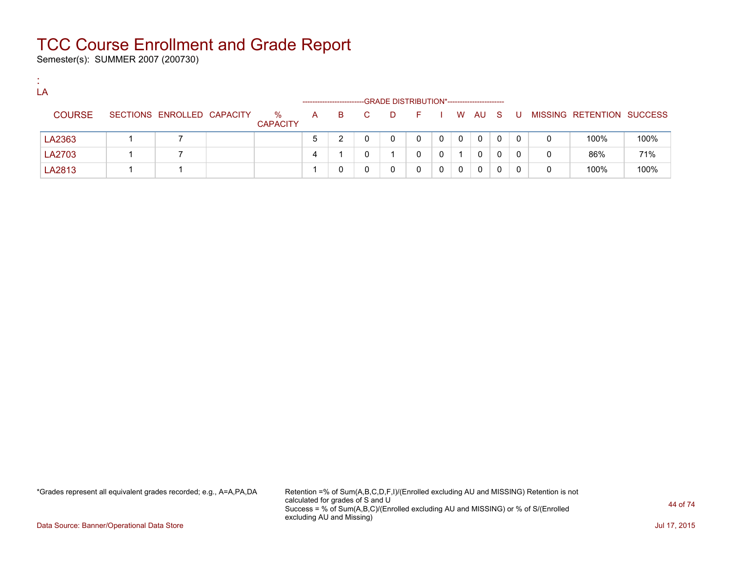Semester(s): SUMMER 2007 (200730)

:

| LA            |                            |                         |    | ----------------------- |    | -GRADE DISTRIBUTION*---------------------- |          |   |              |              |   |    |   |                           |      |
|---------------|----------------------------|-------------------------|----|-------------------------|----|--------------------------------------------|----------|---|--------------|--------------|---|----|---|---------------------------|------|
| <b>COURSE</b> | SECTIONS ENROLLED CAPACITY | $\%$<br><b>CAPACITY</b> | A. | B.                      | C. | D.                                         | $\vdash$ |   | W.           | AU S         |   | -U |   | MISSING RETENTION SUCCESS |      |
| LA2363        |                            |                         | 5  |                         |    | 0                                          | 0        | 0 | $\mathbf{0}$ | 0            | 0 | 0  | 0 | 100%                      | 100% |
| LA2703        |                            |                         | 4  |                         |    |                                            | 0        | 0 |              | $\mathbf{0}$ | 0 | 0  | 0 | 86%                       | 71%  |
| LA2813        |                            |                         |    |                         |    |                                            |          | 0 | 0            | $\mathbf{0}$ |   | 0  | 0 | 100%                      | 100% |

\*Grades represent all equivalent grades recorded; e.g., A=A,PA,DA Retention =% of Sum(A,B,C,D,F,I)/(Enrolled excluding AU and MISSING) Retention is not calculated for grades of S and U Success = % of Sum(A,B,C)/(Enrolled excluding AU and MISSING) or % of S/(Enrolled excluding AU and Missing)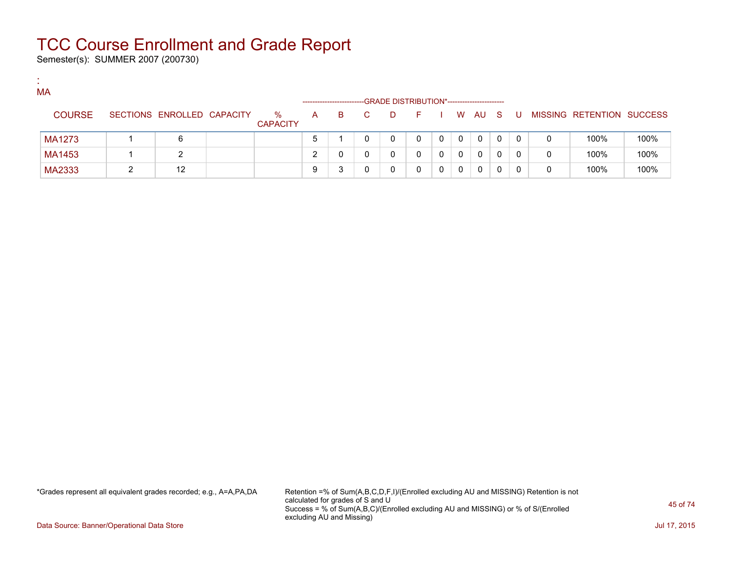Semester(s): SUMMER 2007 (200730)

:

| МA            |                            |                         |   | ---------------------- |    |   | -GRADE DISTRIBUTION*----------------------- |   |   |              |   |     |   |                           |      |
|---------------|----------------------------|-------------------------|---|------------------------|----|---|---------------------------------------------|---|---|--------------|---|-----|---|---------------------------|------|
| <b>COURSE</b> | SECTIONS ENROLLED CAPACITY | $\%$<br><b>CAPACITY</b> | A | B.                     | C. | D | - F                                         |   |   | W AU S       |   | . U |   | MISSING RETENTION SUCCESS |      |
| MA1273        | 6                          |                         |   |                        |    | 0 |                                             | 0 | 0 | $\mathbf{0}$ | 0 |     | 0 | 100%                      | 100% |
| MA1453        |                            |                         |   |                        |    | 0 |                                             | 0 | 0 | 0            | 0 |     | 0 | 100%                      | 100% |
| MA2333        | 12                         |                         |   |                        |    | 0 |                                             |   | 0 | 0            | 0 |     | 0 | 100%                      | 100% |

\*Grades represent all equivalent grades recorded; e.g., A=A,PA,DA Retention =% of Sum(A,B,C,D,F,I)/(Enrolled excluding AU and MISSING) Retention is not calculated for grades of S and U Success = % of Sum(A,B,C)/(Enrolled excluding AU and MISSING) or % of S/(Enrolled excluding AU and Missing)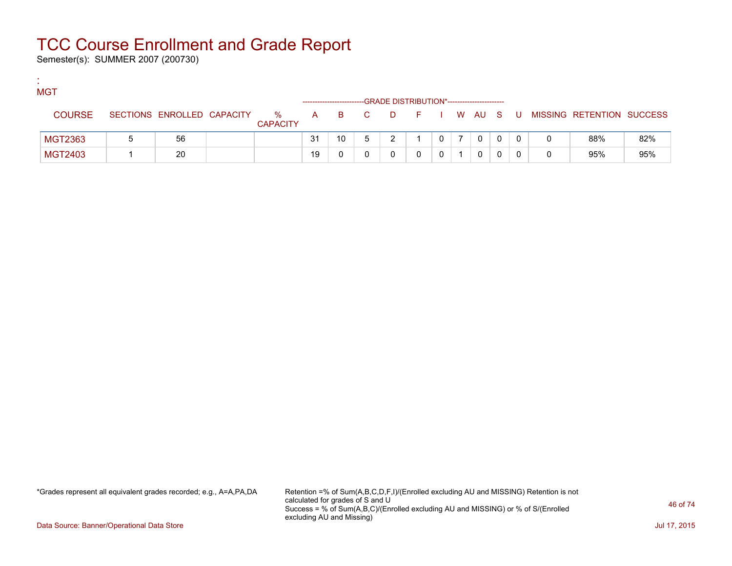Semester(s): SUMMER 2007 (200730)

:

| ۰. | <b>MGT</b>    |                            |                         |    |    |       | -GRADE DISTRIBUTION*---------------------- |  |              |          |                           |     |
|----|---------------|----------------------------|-------------------------|----|----|-------|--------------------------------------------|--|--------------|----------|---------------------------|-----|
|    | <b>COURSE</b> | SECTIONS ENROLLED CAPACITY | $\%$<br><b>CAPACITY</b> |    |    | A B C | DFIWAUS                                    |  |              | <b>U</b> | MISSING RETENTION SUCCESS |     |
|    | MGT2363       | 56                         |                         | 31 | 10 |       |                                            |  | $\mathbf{0}$ |          | 88%                       | 82% |
|    | MGT2403       | 20                         |                         | 19 |    |       |                                            |  | 0            |          | 95%                       | 95% |

\*Grades represent all equivalent grades recorded; e.g., A=A,PA,DA Retention =% of Sum(A,B,C,D,F,I)/(Enrolled excluding AU and MISSING) Retention is not calculated for grades of S and U Success = % of Sum(A,B,C)/(Enrolled excluding AU and MISSING) or % of S/(Enrolled excluding AU and Missing)

Data Source: Banner/Operational Data Store Jul 17, 2015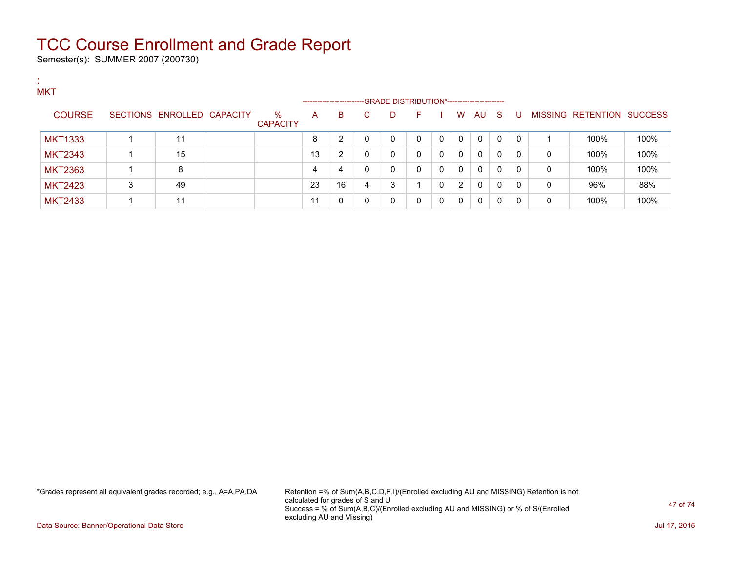Semester(s): SUMMER 2007 (200730)

:

| <b>MKT</b>     |   |                            |                         |    | --------------------- |   | -GRADE DISTRIBUTION*----------------------- |    |          |                |              |    |   |   |                                  |      |
|----------------|---|----------------------------|-------------------------|----|-----------------------|---|---------------------------------------------|----|----------|----------------|--------------|----|---|---|----------------------------------|------|
| <b>COURSE</b>  |   | SECTIONS ENROLLED CAPACITY | $\%$<br><b>CAPACITY</b> | A  | B                     | C | D                                           | F. |          | W              | AU           | -S | U |   | <b>MISSING RETENTION SUCCESS</b> |      |
| <b>MKT1333</b> |   |                            |                         | 8  | 2                     | 0 | 0                                           | 0  |          | $\mathbf{0}$   | $\mathbf{0}$ | 0  | 0 |   | 100%                             | 100% |
| <b>MKT2343</b> |   | 15                         |                         | 13 | 2                     | 0 | 0                                           | 0  | $\Omega$ | 0              | $\mathbf{0}$ | 0  | 0 | 0 | 100%                             | 100% |
| <b>MKT2363</b> |   | 8                          |                         | 4  | 4                     | 0 | 0                                           | 0  | $\Omega$ | $\mathbf{0}$   | $\mathbf{0}$ | 0  | 0 | 0 | 100%                             | 100% |
| <b>MKT2423</b> | 3 | 49                         |                         | 23 | 16                    | 4 | 3                                           |    |          | $\overline{2}$ | $\mathbf{0}$ | 0  | 0 | 0 | 96%                              | 88%  |
| <b>MKT2433</b> |   | 11                         |                         |    | 0                     | 0 | 0                                           | 0  | $\Omega$ | 0              | 0            | 0  | 0 | 0 | 100%                             | 100% |

\*Grades represent all equivalent grades recorded; e.g., A=A,PA,DA Retention =% of Sum(A,B,C,D,F,I)/(Enrolled excluding AU and MISSING) Retention is not calculated for grades of S and U Success = % of Sum(A,B,C)/(Enrolled excluding AU and MISSING) or % of S/(Enrolled excluding AU and Missing)

Data Source: Banner/Operational Data Store Jul 17, 2015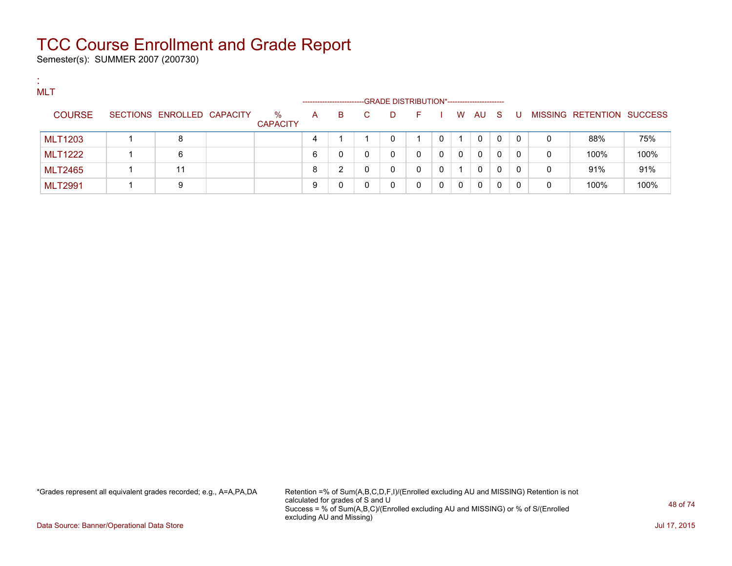Semester(s): SUMMER 2007 (200730)

:

| <b>MLT</b>     |                            |                         | ------------------- |    |              |   | -GRADE DISTRIBUTION*----------------------- |            |   |          |   |          |              |                           |      |
|----------------|----------------------------|-------------------------|---------------------|----|--------------|---|---------------------------------------------|------------|---|----------|---|----------|--------------|---------------------------|------|
| <b>COURSE</b>  | SECTIONS ENROLLED CAPACITY | $\%$<br><b>CAPACITY</b> | А                   | B. | $\mathbf{C}$ | D | н.                                          |            | W | AU S     |   | - U      |              | MISSING RETENTION SUCCESS |      |
| <b>MLT1203</b> | 8                          |                         | 4                   |    |              | 0 |                                             | $^{\circ}$ |   | $\Omega$ | 0 | $\Omega$ | 0            | 88%                       | 75%  |
| <b>MLT1222</b> | 6                          |                         | 6                   |    | 0            | 0 | 0                                           | 0          | 0 | 0        | 0 | 0        | $\mathbf{0}$ | 100%                      | 100% |
| <b>MLT2465</b> | 11                         |                         | 8                   | ◠  |              | 0 |                                             | 0          |   | 0        | 0 | 0        | 0            | 91%                       | 91%  |
| <b>MLT2991</b> | 9                          |                         | 9                   |    |              | 0 | 0                                           | 0          | 0 | 0        | 0 | $\Omega$ | 0            | 100%                      | 100% |

\*Grades represent all equivalent grades recorded; e.g., A=A,PA,DA Retention =% of Sum(A,B,C,D,F,I)/(Enrolled excluding AU and MISSING) Retention is not calculated for grades of S and U Success = % of Sum(A,B,C)/(Enrolled excluding AU and MISSING) or % of S/(Enrolled excluding AU and Missing)

Data Source: Banner/Operational Data Store Jul 17, 2015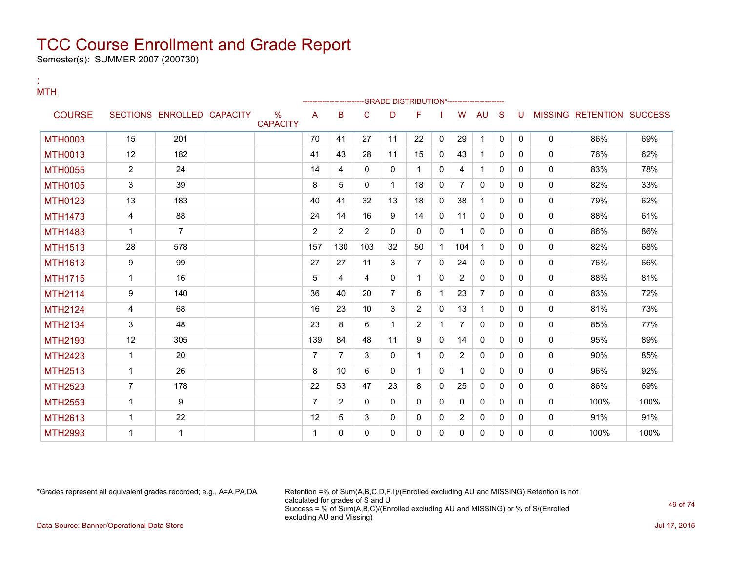Semester(s): SUMMER 2007 (200730)

:

#### **MTH** --GRADE DISTRIBUTION\*------------------------COURSE SECTIONS ENROLLED CAPACITY % **CAPACITY** A B C D F I W AU S U MISSING RETENTION SUCCESS MTH0003 | 15 | 201 | | | 70 | 41 | 27 | 11 | 22 | 0 | 29 | 1 | 0 | 0 | 0 | 186% | 69% | 69% MTH0013 | 12 | 182 | | |41 |43 |28 |11 |15 |0 |43 |1 |0 |0 | 0 | 76% | 62% MTH0055 2 24 14 4 0 0 1 0 4 1 0 0 0 83% 78% MTH0105 | 3 | 39 | | 8 | 5 | 0 | 1 | 18 | 0 | 7 | 0 | 0 | 0 | 82% | 33% MTH0123 | 13 | 183 | | |40 |41 |32 |13 |18 |0 |38 |1 |0 |0 | 0 | 79% | 62% MTH1473 | 4 | 88 | | |24 |14 |16 |9 |14 |0 |11 |0 |0 |0 | 0 | 88% | 61% MTH1483 1 7 2 2 2 0 0 0 1 0 0 0 0 86% 86% MTH1513 | 28 | 578 | | | 157 | 130 | 103 | 32 | 50 | 1 | 104 | 1 | 0 | 0 | 0 | 0 | 82% | 68% MTH1613 9 99 27 27 11 3 7 0 24 0 0 0 0 76% 66% MTH1715 | 1 | 16 | | | | | 5 | 4 | 4 | 0 | 1 | 0 | 2 | 0 | 0 | 0 | | 0 | 88% | 81% MTH2114 9 140 36 40 20 7 6 1 23 7 0 0 0 83% 72% MTH2124 | 4 | 68 | | 16 | 23 | 10 | 3 | 2 | 0 | 13 | 1 | 0 | 0 | 0 | 81% | 73% MTH2134 | 3 | 48 | | |23 |8 |6 |1 |2 |1 |7 |0 |0 |0 | 0 | 85% | 77% MTH2193 | 12 | 305 | | |139 |84 |48 |11 |9 |0 |14 |0 |0 |0 | 0 | 95% | 89% MTH2423 | 1 | 20 | | | | 7 | 7 | 3 | 0 | 1 | 0 | 2 | 0 | 0 | 0 | 0 | 90% | 85% MTH2513 | 1 | 26 | | | 8 | 10 | 6 | 0 | 1 | 1 | 0 | 0 | 0 | 0 | 96% | 92% MTH2523 | 7 | 178 | | | | | | | 22 | 53 | 47 | 23 | 8 | 0 | 25 | 0 | 0 | 0 | 0 | | 86% | 69% MTH2553 | 1 | 9 | | 7 | 2 | 0 | 0 | 0 | 0 | 0 | 0 | 0 | 0 | 100% | 100% MTH2613 | 1 | 22 | | 12 | 5 | 3 | 0 | 0 | 0 | 2 | 0 | 0 | 0 | 0 | 91% | 91% MTH2993 1 1 1 0 0 0 0 0 0 0 0 0 0 100% 100%

\*Grades represent all equivalent grades recorded; e.g., A=A,PA,DA Retention =% of Sum(A,B,C,D,F,I)/(Enrolled excluding AU and MISSING) Retention is not calculated for grades of S and U Success = % of Sum(A,B,C)/(Enrolled excluding AU and MISSING) or % of S/(Enrolled excluding AU and Missing) Data Source: Banner/Operational Data Store Jul 17, 2015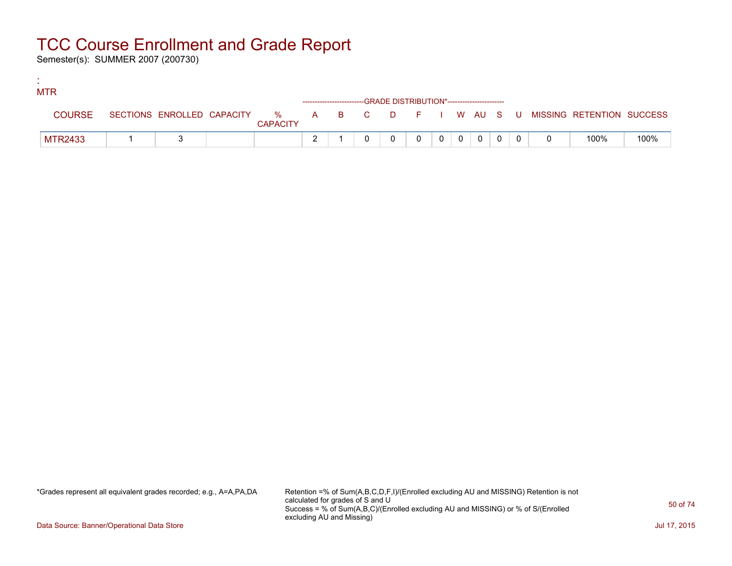Semester(s): SUMMER 2007 (200730)

:

| <b>MTR</b>     |  |                 |                                                                    |  |          |                |                |             |  |                                                                             |      |
|----------------|--|-----------------|--------------------------------------------------------------------|--|----------|----------------|----------------|-------------|--|-----------------------------------------------------------------------------|------|
|                |  |                 | ------------------------GRADE DISTRIBUTION*----------------------- |  |          |                |                |             |  |                                                                             |      |
| <b>COURSE</b>  |  | <b>CAPACITY</b> |                                                                    |  |          |                |                |             |  | SECTIONS ENROLLED CAPACITY % A B C D F I W AU S U MISSING RETENTION SUCCESS |      |
| <b>MTR2433</b> |  |                 |                                                                    |  | $\Omega$ | 0 <sup>1</sup> | $\overline{0}$ | $\mathbf 0$ |  | 100%                                                                        | 100% |

\*Grades represent all equivalent grades recorded; e.g., A=A,PA,DA Retention =% of Sum(A,B,C,D,F,I)/(Enrolled excluding AU and MISSING) Retention is not calculated for grades of S and U Success = % of Sum(A,B,C)/(Enrolled excluding AU and MISSING) or % of S/(Enrolled excluding AU and Missing)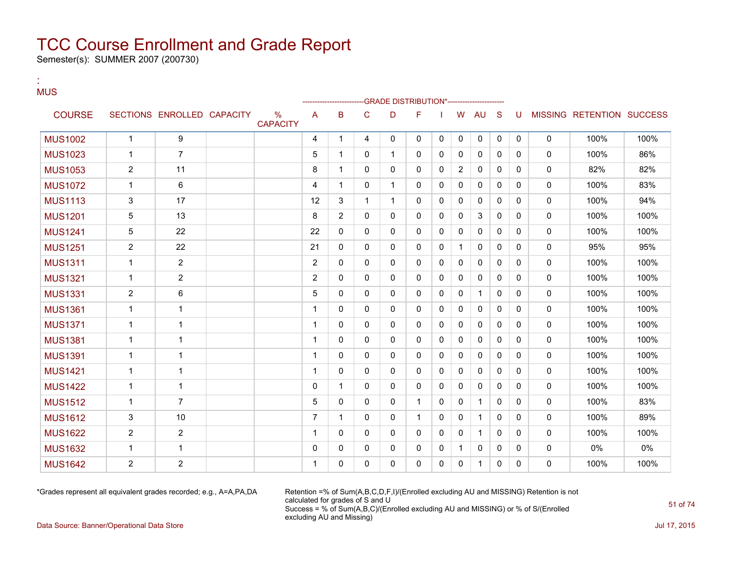Semester(s): SUMMER 2007 (200730)

:

#### MUS --GRADE DISTRIBUTION\*-----------------------COURSE SECTIONS ENROLLED CAPACITY % **CAPACITY** A B C D F I W AU S U MISSING RETENTION SUCCESS MUS1002 | 1 | 9 | | | 4 | 1 | 4 | 0 | 0 | 0 | 0 | 0 | 0 | 0 | 100% | 100% MUS1023 1 7 5 1 0 1 0 0 0 0 0 0 100% 86% MUS1053 2 11 8 1 0 0 0 0 2 0 0 0 82% 82% MUS1072 1 6 4 1 0 1 0 0 0 0 0 0 0 100% 83% MUS1113 | 3 | 17 | | 12 | 3 | 1 | 1 | 0 | 0 | 0 | 0 | 0 | 0 | 0 | 100% | 94% MUS1201 | 5 | 13 | | 8 |2 | 0 | 0 | 0 | 0 | 3 | 0 | 0 | 0 | 100% | 100% MUS1241 5 22 22 0 0 0 0 0 0 0 0 0 0 100% 100% MUS1251 2 22 21 0 0 0 0 0 1 0 0 0 0 95% 95% MUS1311 1 2 2 0 0 0 0 0 0 0 0 0 0 100% 100% MUS1321 1 2 2 0 0 0 0 0 0 0 0 0 0 100% 100% MUS1331 | 2 | 6 | | | 5 | 0 | 0 | 0 | 0 | 0 | 1 | 0 | 0 | 0 | 100% | 100% MUS1361 1 1 1 0 0 0 0 0 0 0 0 0 0 100% 100% MUS1371 1 1 1 0 0 0 0 0 0 0 0 0 0 100% 100% MUS1381 1 1 1 0 0 0 0 0 0 0 0 0 0 100% 100% MUS1391 1 1 1 0 0 0 0 0 0 0 0 0 0 100% 100% MUS1421 1 1 1 0 0 0 0 0 0 0 0 0 0 100% 100% MUS1422 1 1 0 1 0 0 0 0 0 0 0 0 0 100% 100% MUS1512 1 7 5 0 0 0 1 0 0 1 0 0 0 100% 83% MUS1612 3 10 7 1 0 0 1 0 0 1 0 0 0 100% 89% MUS1622 2 2 1 0 0 0 0 0 0 1 0 0 0 100% 100% MUS1632 1 1 0 0 0 0 0 0 1 0 0 0 0 0% 0% MUS1642 2 2 1 0 0 0 0 0 0 1 0 0 0 100% 100%

\*Grades represent all equivalent grades recorded; e.g., A=A,PA,DA Retention =% of Sum(A,B,C,D,F,I)/(Enrolled excluding AU and MISSING) Retention is not calculated for grades of S and U Success = % of Sum(A,B,C)/(Enrolled excluding AU and MISSING) or % of S/(Enrolled excluding AU and Missing)

Data Source: Banner/Operational Data Store Jul 17, 2015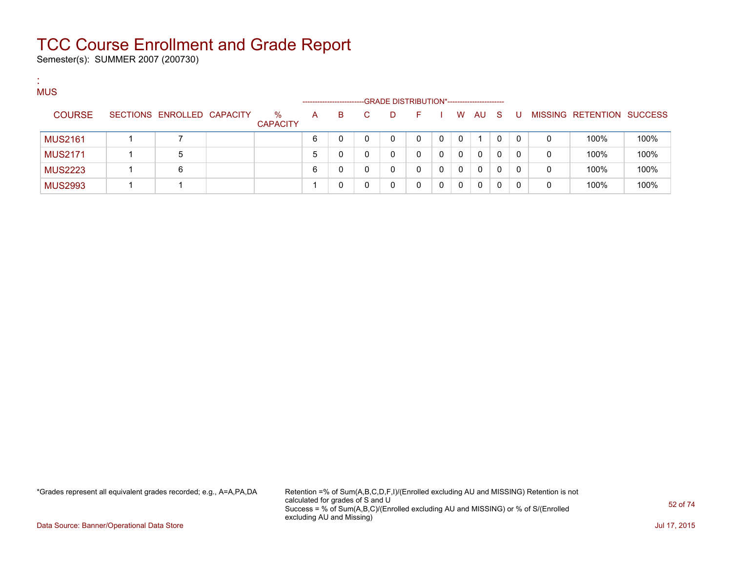Semester(s): SUMMER 2007 (200730)

:

| <b>MUS</b>     |                            |                         |                      |    |   |                                             |    |          |          |          |              |          |   |                           |      |
|----------------|----------------------------|-------------------------|----------------------|----|---|---------------------------------------------|----|----------|----------|----------|--------------|----------|---|---------------------------|------|
|                |                            |                         | -------------------- |    |   | -GRADE DISTRIBUTION*----------------------- |    |          |          |          |              |          |   |                           |      |
| <b>COURSE</b>  | SECTIONS ENROLLED CAPACITY | $\%$<br><b>CAPACITY</b> | A                    | B. | C | D                                           | F. |          | W        | AU S     |              | -U       |   | MISSING RETENTION SUCCESS |      |
| <b>MUS2161</b> |                            |                         | 6                    | 0  |   |                                             | 0  | $\Omega$ | 0        |          |              | $\Omega$ | 0 | 100%                      | 100% |
| <b>MUS2171</b> | 5                          |                         | 5                    | U  |   |                                             | 0  |          | $\Omega$ | $\Omega$ | $\mathbf{0}$ | 0        | 0 | 100%                      | 100% |
| <b>MUS2223</b> | 6                          |                         | 6                    | 0  |   |                                             | 0  |          | $\Omega$ | $\Omega$ | 0            |          | 0 | 100%                      | 100% |
| <b>MUS2993</b> |                            |                         |                      |    |   |                                             | 0  |          | 0        | $\Omega$ |              |          | 0 | 100%                      | 100% |

\*Grades represent all equivalent grades recorded; e.g., A=A,PA,DA Retention =% of Sum(A,B,C,D,F,I)/(Enrolled excluding AU and MISSING) Retention is not calculated for grades of S and U Success = % of Sum(A,B,C)/(Enrolled excluding AU and MISSING) or % of S/(Enrolled excluding AU and Missing)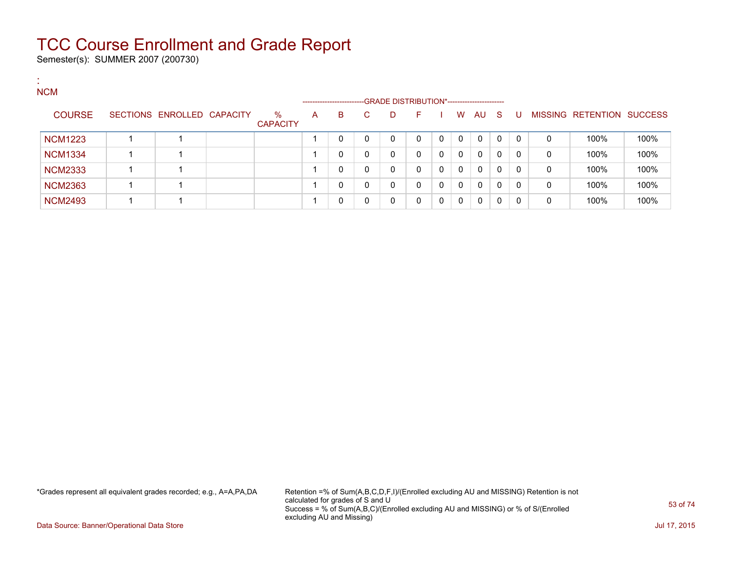Semester(s): SUMMER 2007 (200730)

:

| <b>NCM</b>     |                            |                         |   | --------------------- |    | -GRADE DISTRIBUTION*----------------------- |    |              |              |              |              |              |   |                   |                |
|----------------|----------------------------|-------------------------|---|-----------------------|----|---------------------------------------------|----|--------------|--------------|--------------|--------------|--------------|---|-------------------|----------------|
| <b>COURSE</b>  | SECTIONS ENROLLED CAPACITY | $\%$<br><b>CAPACITY</b> | A | В                     | C. | D.                                          | F. |              | W            | AU.          | -S           | U            |   | MISSING RETENTION | <b>SUCCESS</b> |
| <b>NCM1223</b> |                            |                         |   | 0                     |    | $\mathbf{0}$                                | 0  | $\Omega$     | $\mathbf{0}$ | $\mathbf{0}$ | $\mathbf{0}$ | $\mathbf{0}$ | 0 | 100%              | 100%           |
| <b>NCM1334</b> |                            |                         |   | 0                     | 0  | $\mathbf{0}$                                | 0  | $\mathbf{0}$ | $\mathbf{0}$ | $\mathbf{0}$ | 0            | 0            | 0 | 100%              | 100%           |
| <b>NCM2333</b> |                            |                         |   | 0                     | 0  | $\mathbf{0}$                                | 0  |              | $\mathbf{0}$ | $\Omega$     | 0            | 0            | 0 | 100%              | 100%           |
| <b>NCM2363</b> |                            |                         |   | 0                     | 0  | 0                                           | 0  | 0            | $\mathbf{0}$ | $\mathbf{0}$ | 0            | 0            | 0 | 100%              | 100%           |
| <b>NCM2493</b> |                            |                         |   | 0                     |    | $\Omega$                                    | 0  | $\Omega$     | $\mathbf{0}$ | $\Omega$     | 0            |              | 0 | 100%              | 100%           |

\*Grades represent all equivalent grades recorded; e.g., A=A,PA,DA Retention =% of Sum(A,B,C,D,F,I)/(Enrolled excluding AU and MISSING) Retention is not calculated for grades of S and U Success = % of Sum(A,B,C)/(Enrolled excluding AU and MISSING) or % of S/(Enrolled excluding AU and Missing)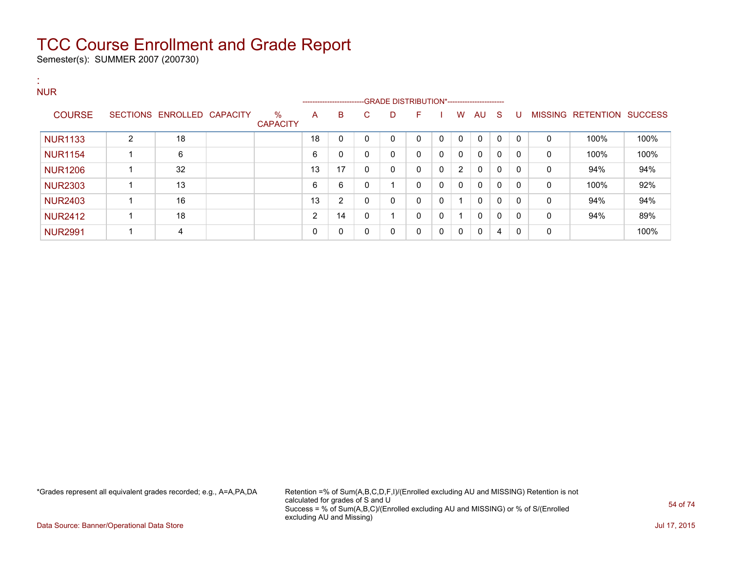Semester(s): SUMMER 2007 (200730)

:

| <b>NUR</b>     |   |                            |                         |          |                         |              |                                              |          |              |              |              |              |              |              |                           |      |
|----------------|---|----------------------------|-------------------------|----------|-------------------------|--------------|----------------------------------------------|----------|--------------|--------------|--------------|--------------|--------------|--------------|---------------------------|------|
|                |   |                            |                         |          | ----------------------- |              | --GRADE DISTRIBUTION*----------------------- |          |              |              |              |              |              |              |                           |      |
| <b>COURSE</b>  |   | SECTIONS ENROLLED CAPACITY | $\%$<br><b>CAPACITY</b> | A        | B                       | C            | D                                            | F        |              | W            | AU           | $\mathbf{S}$ | U            |              | MISSING RETENTION SUCCESS |      |
| <b>NUR1133</b> | 2 | 18                         |                         | 18       | 0                       | 0            | $\Omega$                                     | $\Omega$ | 0            | $\mathbf{0}$ | 0            | 0            | $\mathbf{0}$ | $\mathbf{0}$ | 100%                      | 100% |
| <b>NUR1154</b> |   | 6                          |                         | 6        | 0                       | $\mathbf{0}$ | 0                                            | $\Omega$ | $\mathbf{0}$ | $\mathbf{0}$ | $\mathbf{0}$ | 0            | $\Omega$     | $\mathbf{0}$ | 100%                      | 100% |
| <b>NUR1206</b> |   | 32                         |                         | 13       | 17                      | $\mathbf{0}$ | 0                                            | $\Omega$ | 0            | 2            | $\Omega$     | 0            | $\Omega$     | $\mathbf{0}$ | 94%                       | 94%  |
| <b>NUR2303</b> |   | 13                         |                         | 6        | 6                       | $\mathbf{0}$ |                                              | 0        | $\mathbf{0}$ | $\mathbf{0}$ | $\Omega$     | 0            | $\mathbf{0}$ | $\Omega$     | 100%                      | 92%  |
| <b>NUR2403</b> |   | 16                         |                         | 13       | $\overline{2}$          | 0            | 0                                            | $\Omega$ | 0            |              | $\mathbf{0}$ | 0            | $\mathbf{0}$ | 0            | 94%                       | 94%  |
| <b>NUR2412</b> |   | 18                         |                         | C        | 14                      | 0            | и                                            | $\Omega$ | $\mathbf{0}$ |              | $\mathbf{0}$ | 0            | $\Omega$     | $\mathbf{0}$ | 94%                       | 89%  |
| <b>NUR2991</b> |   | 4                          |                         | $\Omega$ | 0                       | $\mathbf{0}$ | 0                                            | $\Omega$ | $\mathbf 0$  | 0            | 0            | 4            | $\Omega$     | 0            |                           | 100% |

\*Grades represent all equivalent grades recorded; e.g., A=A,PA,DA Retention =% of Sum(A,B,C,D,F,I)/(Enrolled excluding AU and MISSING) Retention is not calculated for grades of S and U Success = % of Sum(A,B,C)/(Enrolled excluding AU and MISSING) or % of S/(Enrolled excluding AU and Missing)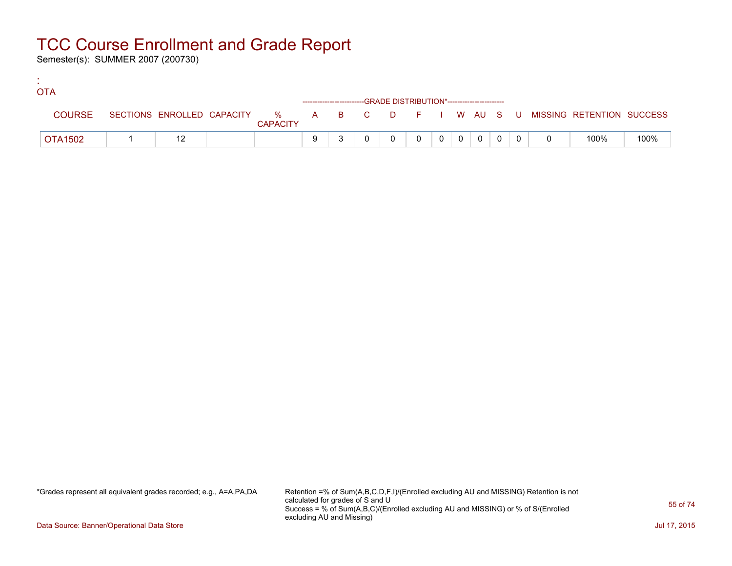Semester(s): SUMMER 2007 (200730)

:

| <b>OTA</b>     |  |                 |   |  |                                                                    |          |          |                |  |                                                                             |      |
|----------------|--|-----------------|---|--|--------------------------------------------------------------------|----------|----------|----------------|--|-----------------------------------------------------------------------------|------|
|                |  |                 |   |  | ------------------------GRADE DISTRIBUTION*----------------------- |          |          |                |  |                                                                             |      |
| <b>COURSE</b>  |  | <b>CAPACITY</b> |   |  |                                                                    |          |          |                |  | SECTIONS ENROLLED CAPACITY % A B C D F I W AU S U MISSING RETENTION SUCCESS |      |
| <b>OTA1502</b> |  |                 | 9 |  |                                                                    | $\Omega$ | $\Omega$ | $\overline{0}$ |  | 100%                                                                        | 100% |

\*Grades represent all equivalent grades recorded; e.g., A=A,PA,DA Retention =% of Sum(A,B,C,D,F,I)/(Enrolled excluding AU and MISSING) Retention is not calculated for grades of S and U Success = % of Sum(A,B,C)/(Enrolled excluding AU and MISSING) or % of S/(Enrolled excluding AU and Missing)

Data Source: Banner/Operational Data Store Jul 17, 2015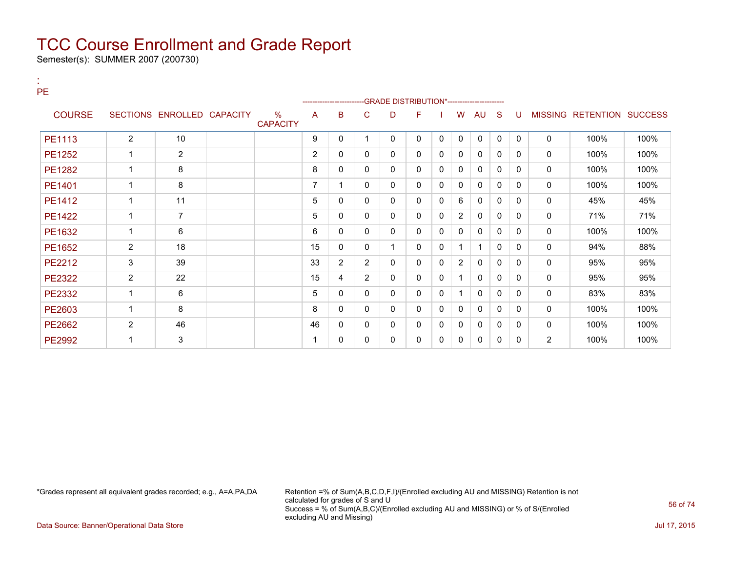Semester(s): SUMMER 2007 (200730)

:

| <b>PE</b>     |                |                            |                         |                | --------------------- |                |   | --- GRADE DISTRIBUTION*----------------------- |              |                |              |              |              |                |                           |      |
|---------------|----------------|----------------------------|-------------------------|----------------|-----------------------|----------------|---|------------------------------------------------|--------------|----------------|--------------|--------------|--------------|----------------|---------------------------|------|
| <b>COURSE</b> |                | SECTIONS ENROLLED CAPACITY | $\%$<br><b>CAPACITY</b> | A              | B                     | C              | D | F                                              |              | W              | AU           | S            | U            |                | MISSING RETENTION SUCCESS |      |
| PE1113        | $\overline{2}$ | 10                         |                         | 9              | 0                     |                | 0 | 0                                              | 0            | $\mathbf 0$    | $\mathbf 0$  | 0            | $\Omega$     | $\mathbf 0$    | 100%                      | 100% |
| PE1252        | 1              | $\overline{2}$             |                         | $\overline{2}$ | 0                     | 0              | 0 | 0                                              | $\mathbf{0}$ | 0              | $\mathbf{0}$ | 0            | 0            | $\mathbf 0$    | 100%                      | 100% |
| PE1282        | 1              | 8                          |                         | 8              | 0                     | 0              | 0 | 0                                              | $\mathbf{0}$ | 0              | 0            | $\Omega$     | $\Omega$     | $\mathbf 0$    | 100%                      | 100% |
| PE1401        | 1              | 8                          |                         | 7              |                       | 0              | 0 | 0                                              | $\mathbf{0}$ | $\mathbf 0$    | 0            | $\mathbf{0}$ | 0            | 0              | 100%                      | 100% |
| PE1412        | $\mathbf 1$    | 11                         |                         | 5              | $\mathbf{0}$          | 0              | 0 | 0                                              | $\mathbf{0}$ | 6              | $\mathbf{0}$ | $\mathbf{0}$ | $\mathbf{0}$ | 0              | 45%                       | 45%  |
| PE1422        | 1              | $\overline{7}$             |                         | 5              | 0                     | 0              | 0 | 0                                              | 0            | $\overline{2}$ | 0            | 0            | 0            | 0              | 71%                       | 71%  |
| PE1632        | 1              | 6                          |                         | 6              | $\mathbf{0}$          | 0              | 0 | 0                                              | $\mathbf{0}$ | $\mathbf{0}$   | $\mathbf{0}$ | 0            | $\Omega$     | $\mathbf 0$    | 100%                      | 100% |
| PE1652        | $\mathbf{2}$   | 18                         |                         | 15             | 0                     | 0              |   | 0                                              | $\mathbf{0}$ |                | 1            | $\Omega$     | $\Omega$     | 0              | 94%                       | 88%  |
| PE2212        | 3              | 39                         |                         | 33             | $\overline{2}$        | $\overline{2}$ | 0 | 0                                              | $\mathbf{0}$ | $\overline{2}$ | $\mathbf{0}$ | $\mathbf{0}$ | $\mathbf{0}$ | 0              | 95%                       | 95%  |
| PE2322        | $\overline{2}$ | 22                         |                         | 15             | 4                     | $\overline{2}$ | 0 | 0                                              | $\mathbf{0}$ |                | $\mathbf{0}$ | $\mathbf{0}$ | $\Omega$     | 0              | 95%                       | 95%  |
| PE2332        | 1              | 6                          |                         | 5              | 0                     | 0              | 0 | 0                                              | 0            |                | 0            | 0            | 0            | 0              | 83%                       | 83%  |
| PE2603        | $\mathbf 1$    | 8                          |                         | 8              | 0                     | 0              | 0 | 0                                              | $\mathbf{0}$ | $\mathbf{0}$   | 0            | 0            | $\Omega$     | $\mathbf 0$    | 100%                      | 100% |
| PE2662        | $\overline{c}$ | 46                         |                         | 46             | 0                     | 0              | 0 | 0                                              | 0            | 0              | 0            | 0            | 0            | 0              | 100%                      | 100% |
| PE2992        | 1              | 3                          |                         |                | $\mathbf{0}$          | 0              | 0 | 0                                              | 0            | 0              | $\mathbf{0}$ | 0            | $\Omega$     | $\overline{2}$ | 100%                      | 100% |

\*Grades represent all equivalent grades recorded; e.g., A=A,PA,DA Retention =% of Sum(A,B,C,D,F,I)/(Enrolled excluding AU and MISSING) Retention is not calculated for grades of S and U Success = % of Sum(A,B,C)/(Enrolled excluding AU and MISSING) or % of S/(Enrolled excluding AU and Missing)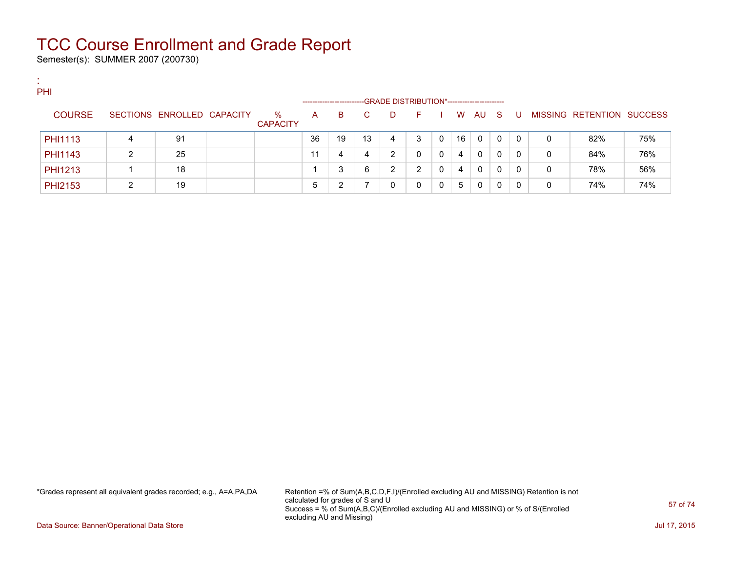Semester(s): SUMMER 2007 (200730)

:

| PHI            |   |                            |                      |                       |    |    |                                             |   |          |    |          |              |              |   |                                  |     |
|----------------|---|----------------------------|----------------------|-----------------------|----|----|---------------------------------------------|---|----------|----|----------|--------------|--------------|---|----------------------------------|-----|
|                |   |                            |                      | --------------------- |    |    | -GRADE DISTRIBUTION*----------------------- |   |          |    |          |              |              |   |                                  |     |
| <b>COURSE</b>  |   | SECTIONS ENROLLED CAPACITY | %<br><b>CAPACITY</b> | A                     | B  |    |                                             |   |          | W  | AU.      | - S          |              |   | <b>MISSING RETENTION SUCCESS</b> |     |
|                |   |                            |                      |                       |    |    |                                             |   |          |    |          |              |              |   |                                  |     |
| <b>PHI1113</b> | 4 | 91                         |                      | 36                    | 19 | 13 | 4                                           | 3 | $\Omega$ | 16 | - 0      | 0            | $\Omega$     | 0 | 82%                              | 75% |
| <b>PHI1143</b> | ົ | 25                         |                      |                       | 4  | 4  | $\mathbf{2}^{\prime}$                       | 0 | $\Omega$ | 4  | $\Omega$ | 0            | 0            | 0 | 84%                              | 76% |
| PHI1213        |   | 18                         |                      |                       | 3  | 6  | 2                                           | ົ | 0        | 4  | 0        | $\mathbf{0}$ | $\mathbf{0}$ | 0 | 78%                              | 56% |
| PHI2153        | ◠ | 19                         |                      | 5                     | າ  |    | 0                                           | 0 |          | 5  | - 0      | 0            | 0            | 0 | 74%                              | 74% |

\*Grades represent all equivalent grades recorded; e.g., A=A,PA,DA Retention =% of Sum(A,B,C,D,F,I)/(Enrolled excluding AU and MISSING) Retention is not calculated for grades of S and U Success = % of Sum(A,B,C)/(Enrolled excluding AU and MISSING) or % of S/(Enrolled excluding AU and Missing)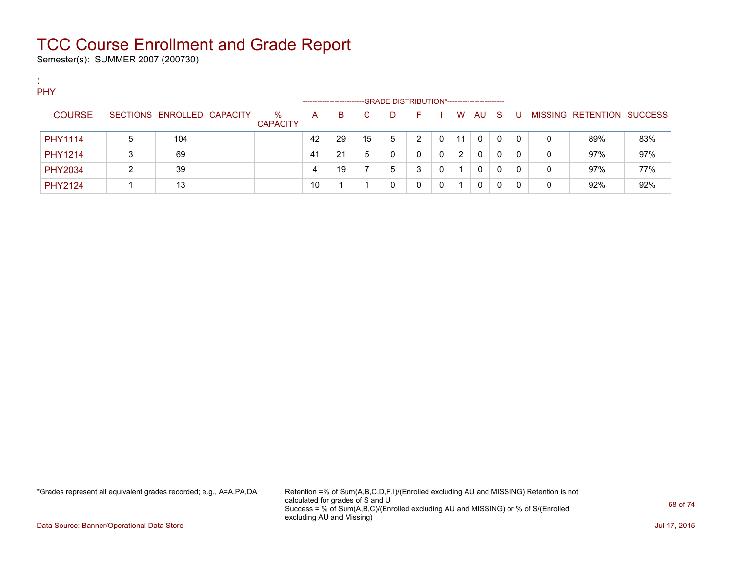Semester(s): SUMMER 2007 (200730)

| <b>A</b><br>$\sim$ |                |   |                            |                      |                        |    |    |                                             |   |   |    |          |              |          |             |                           |     |
|--------------------|----------------|---|----------------------------|----------------------|------------------------|----|----|---------------------------------------------|---|---|----|----------|--------------|----------|-------------|---------------------------|-----|
|                    | <b>PHY</b>     |   |                            |                      |                        |    |    |                                             |   |   |    |          |              |          |             |                           |     |
|                    |                |   |                            |                      | ---------------------- |    |    | -GRADE DISTRIBUTION*----------------------- |   |   |    |          |              |          |             |                           |     |
|                    | <b>COURSE</b>  |   | SECTIONS ENROLLED CAPACITY | %<br><b>CAPACITY</b> | A                      | B. | C. | D.                                          | E |   | W  | AU.      | - S          |          |             | MISSING RETENTION SUCCESS |     |
|                    | PHY1114        | 5 | 104                        |                      | 42                     | 29 | 15 | 5                                           | C | 0 | 11 | 0        | 0            | $\Omega$ | 0           | 89%                       | 83% |
|                    | <b>PHY1214</b> |   | 69                         |                      | -41                    | 21 | 5  | 0                                           |   | 0 | 2  | $\Omega$ | $\mathbf{0}$ | $\Omega$ | 0           | 97%                       | 97% |
|                    | <b>PHY2034</b> |   | 39                         |                      | 4                      | 19 |    | 5                                           | 3 | 0 |    | 0        | 0            | $\Omega$ | $\mathbf 0$ | 97%                       | 77% |
|                    | <b>PHY2124</b> |   | 13                         |                      | 10                     |    |    | 0                                           |   | 0 | 1  | 0        | 0            | 0        | 0           | 92%                       | 92% |

\*Grades represent all equivalent grades recorded; e.g., A=A,PA,DA Retention =% of Sum(A,B,C,D,F,I)/(Enrolled excluding AU and MISSING) Retention is not calculated for grades of S and U Success = % of Sum(A,B,C)/(Enrolled excluding AU and MISSING) or % of S/(Enrolled excluding AU and Missing)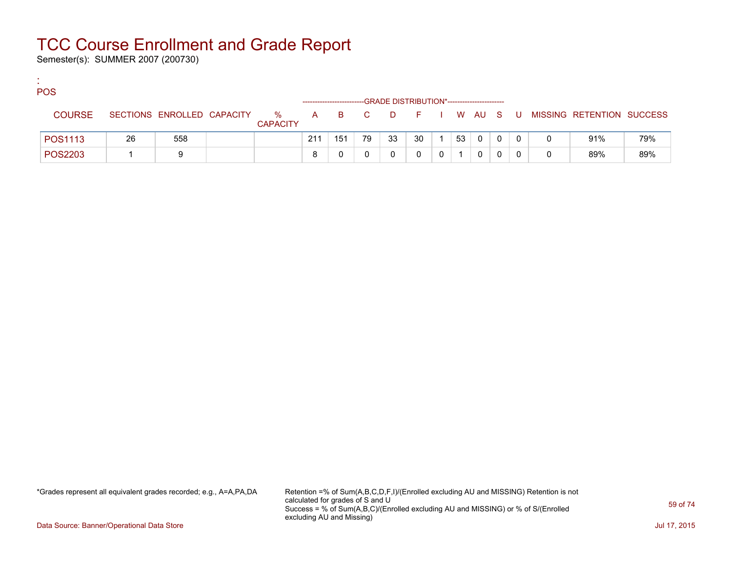Semester(s): SUMMER 2007 (200730)

:

| <b>POS</b>    |    |                            |                      |     |     |       | --GRADE DISTRIBUTION*----------------------- |        |    |   |  |                             |     |
|---------------|----|----------------------------|----------------------|-----|-----|-------|----------------------------------------------|--------|----|---|--|-----------------------------|-----|
| <b>COURSE</b> |    | SECTIONS ENROLLED CAPACITY | %<br><b>CAPACITY</b> |     |     | A B C | <b>D</b>                                     | FIWAUS |    |   |  | U MISSING RETENTION SUCCESS |     |
| POS1113       | 26 | 558                        |                      | 211 | 151 | 79    | 33                                           | 30     | 53 | 0 |  | 91%                         | 79% |
| POS2203       |    | a                          |                      | 8   |     |       |                                              |        |    |   |  | 89%                         | 89% |

\*Grades represent all equivalent grades recorded; e.g., A=A,PA,DA Retention =% of Sum(A,B,C,D,F,I)/(Enrolled excluding AU and MISSING) Retention is not calculated for grades of S and U Success = % of Sum(A,B,C)/(Enrolled excluding AU and MISSING) or % of S/(Enrolled excluding AU and Missing)

Data Source: Banner/Operational Data Store Jul 17, 2015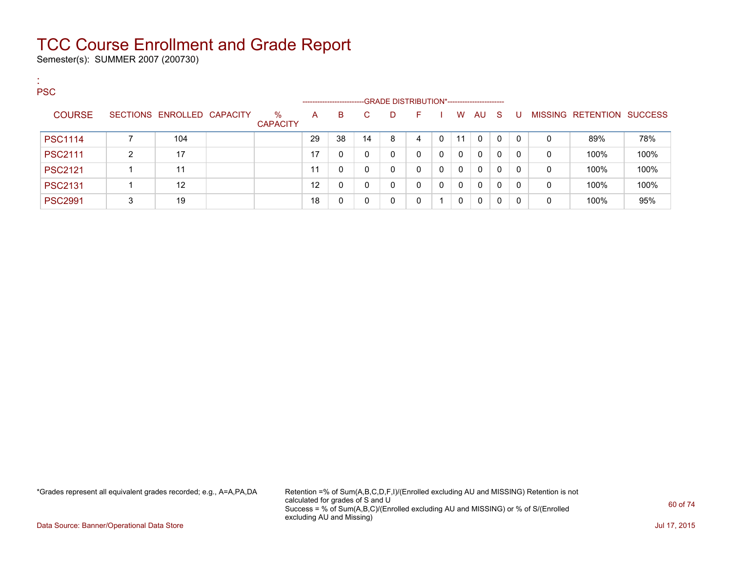Semester(s): SUMMER 2007 (200730)

:

| . .<br><b>PSC</b> |   |                            |                         | --------------------- |    |    | -GRADE DISTRIBUTION*----------------------- |          |          |          |          |              |              |   |                           |      |
|-------------------|---|----------------------------|-------------------------|-----------------------|----|----|---------------------------------------------|----------|----------|----------|----------|--------------|--------------|---|---------------------------|------|
| <b>COURSE</b>     |   | SECTIONS ENROLLED CAPACITY | $\%$<br><b>CAPACITY</b> | A                     | B. | C. | D.                                          | F.       |          | W        | AU.      | <sub>S</sub> | U            |   | MISSING RETENTION SUCCESS |      |
| <b>PSC1114</b>    |   | 104                        |                         | 29                    | 38 | 14 | 8                                           |          | 0        | 11       | 0        | $\mathbf{0}$ | $\mathbf{0}$ | 0 | 89%                       | 78%  |
| <b>PSC2111</b>    | ົ | 17                         |                         | 17                    |    | 0  | $\mathbf{0}$                                | 0        | $\Omega$ | $\Omega$ | $\Omega$ | $\Omega$     | $\Omega$     | 0 | 100%                      | 100% |
| <b>PSC2121</b>    |   | 11                         |                         | 11                    |    | 0  | 0                                           | $\Omega$ | 0        | $\Omega$ | $\Omega$ | 0            | 0            | 0 | 100%                      | 100% |
| <b>PSC2131</b>    |   | 12                         |                         | 12                    | 0  | 0  | 0                                           | 0        | 0        | $\Omega$ | $\Omega$ | $\Omega$     | $\mathbf{0}$ | 0 | 100%                      | 100% |
| <b>PSC2991</b>    | 3 | 19                         |                         | 18                    |    |    | 0                                           | 0        |          | $\Omega$ | $\Omega$ | $\Omega$     | 0            | 0 | 100%                      | 95%  |

\*Grades represent all equivalent grades recorded; e.g., A=A,PA,DA Retention =% of Sum(A,B,C,D,F,I)/(Enrolled excluding AU and MISSING) Retention is not calculated for grades of S and U Success = % of Sum(A,B,C)/(Enrolled excluding AU and MISSING) or % of S/(Enrolled excluding AU and Missing)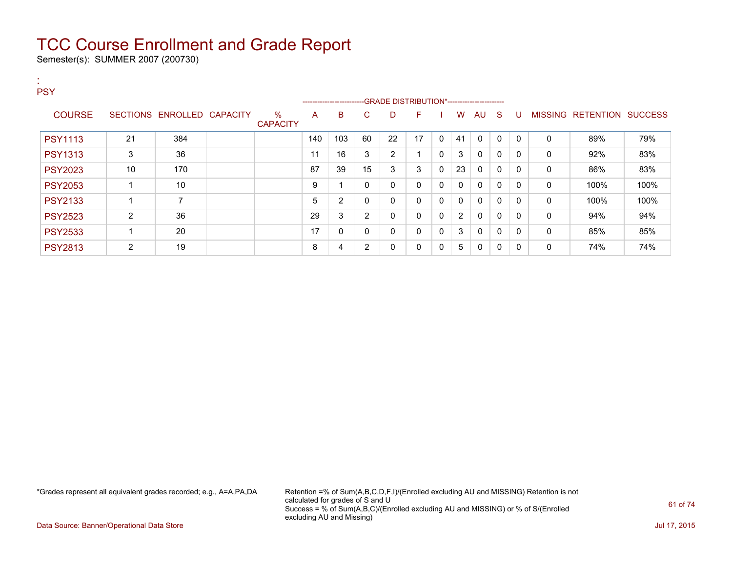Semester(s): SUMMER 2007 (200730)

| $\sim$<br><b>PSY</b> |                |                            |                         |     |                                                                                  |                |                |              |          |              |              |              |              |              |                           |      |
|----------------------|----------------|----------------------------|-------------------------|-----|----------------------------------------------------------------------------------|----------------|----------------|--------------|----------|--------------|--------------|--------------|--------------|--------------|---------------------------|------|
|                      |                |                            |                         |     | ------------------------GRADE                DISTRIBUTION*---------------------- |                |                |              |          |              |              |              |              |              |                           |      |
| <b>COURSE</b>        |                | SECTIONS ENROLLED CAPACITY | $\%$<br><b>CAPACITY</b> | A   | B                                                                                | C              | D              | F            |          | W            | AU           | -S           | U            |              | MISSING RETENTION SUCCESS |      |
| <b>PSY1113</b>       | 21             | 384                        |                         | 140 | 103                                                                              | 60             | 22             | 17           | $\Omega$ | 41           | $\Omega$     | $\Omega$     | $\mathbf{0}$ | 0            | 89%                       | 79%  |
| <b>PSY1313</b>       | 3              | 36                         |                         | 11  | 16                                                                               | 3              | $\overline{2}$ |              | 0        | 3            | $\mathbf{0}$ | $\Omega$     | 0            | 0            | 92%                       | 83%  |
| <b>PSY2023</b>       | 10             | 170                        |                         | 87  | 39                                                                               | 15             | 3              | 3            | $\Omega$ | 23           | $\mathbf{0}$ | $\Omega$     | 0            | 0            | 86%                       | 83%  |
| <b>PSY2053</b>       |                | 10                         |                         | 9   |                                                                                  | $\mathbf{0}$   | 0              | 0            | 0        | $\mathbf{0}$ | 0            | 0            | 0            | 0            | 100%                      | 100% |
| <b>PSY2133</b>       |                | 7                          |                         | 5   | $\overline{2}$                                                                   | $\mathbf{0}$   | 0              | $\mathbf{0}$ | $\Omega$ | $\mathbf{0}$ | $\mathbf{0}$ | $\mathbf{0}$ | 0            | 0            | 100%                      | 100% |
| <b>PSY2523</b>       | 2              | 36                         |                         | 29  | 3                                                                                | $\overline{2}$ | $\mathbf 0$    | $\mathbf{0}$ | $\Omega$ | 2            | $\mathbf{0}$ | $\Omega$     | $\Omega$     | 0            | 94%                       | 94%  |
| <b>PSY2533</b>       |                | 20                         |                         | 17  | 0                                                                                | $\mathbf{0}$   | 0              | $\mathbf{0}$ | 0        | 3            | $\mathbf{0}$ | $\Omega$     | $\mathbf{0}$ | $\mathbf{0}$ | 85%                       | 85%  |
| <b>PSY2813</b>       | $\overline{2}$ | 19                         |                         | 8   | 4                                                                                | $\overline{2}$ | 0              | 0            | 0        | 5            | 0            | 0            | 0            | $\mathbf{0}$ | 74%                       | 74%  |

\*Grades represent all equivalent grades recorded; e.g., A=A,PA,DA Retention =% of Sum(A,B,C,D,F,I)/(Enrolled excluding AU and MISSING) Retention is not calculated for grades of S and U Success = % of Sum(A,B,C)/(Enrolled excluding AU and MISSING) or % of S/(Enrolled excluding AU and Missing)

Data Source: Banner/Operational Data Store Jul 17, 2015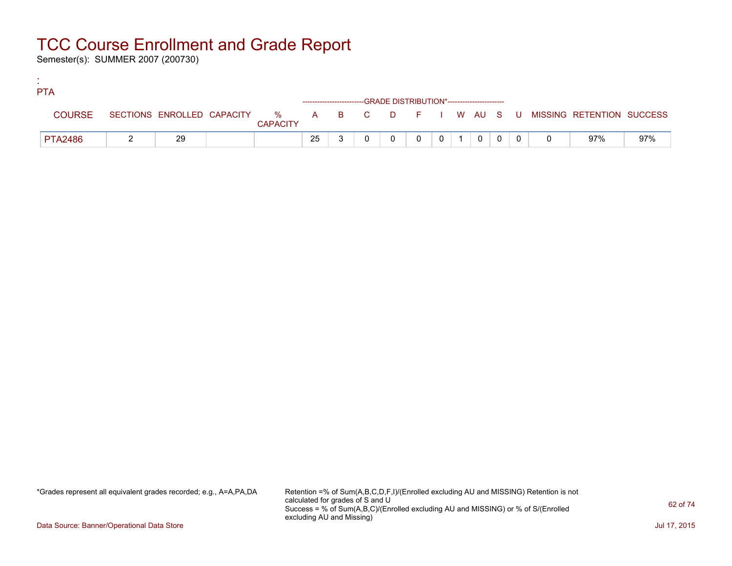Semester(s): SUMMER 2007 (200730)

:

| <b>PTA</b>     |    |                 |    |  |                                                                    |          |  |                |  |                                                                             |     |
|----------------|----|-----------------|----|--|--------------------------------------------------------------------|----------|--|----------------|--|-----------------------------------------------------------------------------|-----|
|                |    |                 |    |  | ------------------------GRADE DISTRIBUTION*----------------------- |          |  |                |  |                                                                             |     |
| <b>COURSE</b>  |    | <b>CAPACITY</b> |    |  |                                                                    |          |  |                |  | SECTIONS ENROLLED CAPACITY % A B C D F I W AU S U MISSING RETENTION SUCCESS |     |
| <b>PTA2486</b> | 29 |                 | 25 |  |                                                                    | $\Omega$ |  | $\overline{0}$ |  | 97%                                                                         | 97% |

\*Grades represent all equivalent grades recorded; e.g., A=A,PA,DA Retention =% of Sum(A,B,C,D,F,I)/(Enrolled excluding AU and MISSING) Retention is not calculated for grades of S and U Success = % of Sum(A,B,C)/(Enrolled excluding AU and MISSING) or % of S/(Enrolled excluding AU and Missing)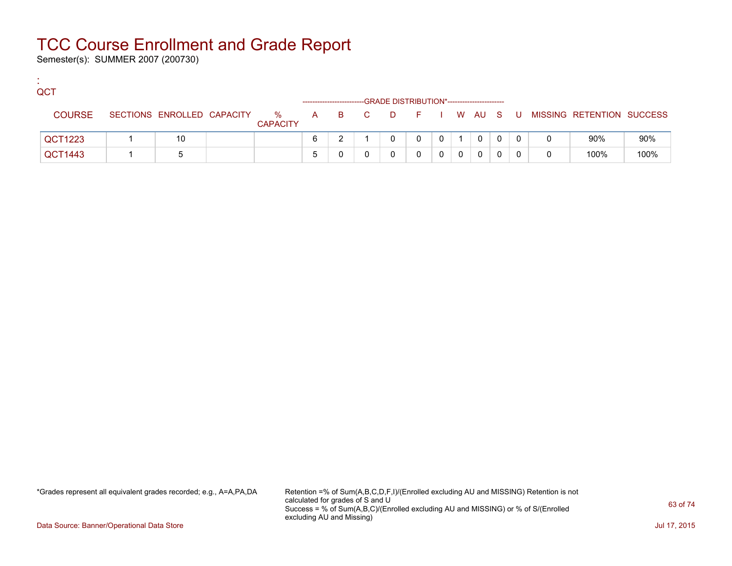Semester(s): SUMMER 2007 (200730)

:

| QCT           |                            |                      |   |                    | -GRADE DISTRIBUTION*---------------------- |   |              |          |          |  |                             |      |
|---------------|----------------------------|----------------------|---|--------------------|--------------------------------------------|---|--------------|----------|----------|--|-----------------------------|------|
| <b>COURSE</b> | SECTIONS ENROLLED CAPACITY | %<br><b>CAPACITY</b> |   | A B C D F I W AU S |                                            |   |              |          |          |  | U MISSING RETENTION SUCCESS |      |
| QCT1223       | 10                         |                      | 6 |                    |                                            | 0 | $\mathbf{0}$ |          | $\Omega$ |  | 90%                         | 90%  |
| QCT1443       |                            |                      | b |                    |                                            |   |              | $\Omega$ | 0        |  | 100%                        | 100% |

\*Grades represent all equivalent grades recorded; e.g., A=A,PA,DA Retention =% of Sum(A,B,C,D,F,I)/(Enrolled excluding AU and MISSING) Retention is not calculated for grades of S and U Success = % of Sum(A,B,C)/(Enrolled excluding AU and MISSING) or % of S/(Enrolled excluding AU and Missing)

Data Source: Banner/Operational Data Store Jul 17, 2015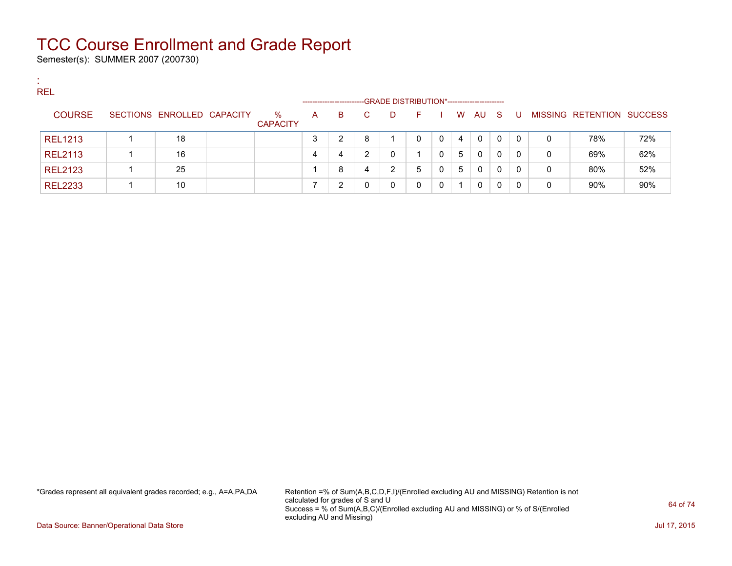Semester(s): SUMMER 2007 (200730)

:

| <b>REL</b>     |                            |                 |   |                       |    |                                             |    |   |          |          |   |              |   |                                  |     |
|----------------|----------------------------|-----------------|---|-----------------------|----|---------------------------------------------|----|---|----------|----------|---|--------------|---|----------------------------------|-----|
|                |                            |                 |   | --------------------- |    | -GRADE DISTRIBUTION*----------------------- |    |   |          |          |   |              |   |                                  |     |
| <b>COURSE</b>  | SECTIONS ENROLLED CAPACITY | $\%$            | A | B.                    | C. | D                                           | F. |   | <b>W</b> | AU S     |   | . U          |   | <b>MISSING RETENTION SUCCESS</b> |     |
|                |                            | <b>CAPACITY</b> |   |                       |    |                                             |    |   |          |          |   |              |   |                                  |     |
| <b>REL1213</b> | 18                         |                 |   | າ                     | 8  |                                             |    | 0 | 4        | $\Omega$ | 0 | $\mathbf{0}$ | 0 | 78%                              | 72% |
| <b>REL2113</b> | 16                         |                 |   | 4                     | ົ  | 0                                           |    | 0 | 5        | 0        | 0 | 0            | 0 | 69%                              | 62% |
| <b>REL2123</b> | 25                         |                 |   | 8                     | 4  | າ                                           | 5  | 0 | 5        | $\Omega$ | 0 | $\Omega$     | 0 | 80%                              | 52% |
| <b>REL2233</b> | 10                         |                 |   | ⌒                     |    | 0                                           |    | 0 |          | 0        | 0 | $\Omega$     | 0 | 90%                              | 90% |

\*Grades represent all equivalent grades recorded; e.g., A=A,PA,DA Retention =% of Sum(A,B,C,D,F,I)/(Enrolled excluding AU and MISSING) Retention is not calculated for grades of S and U Success = % of Sum(A,B,C)/(Enrolled excluding AU and MISSING) or % of S/(Enrolled excluding AU and Missing)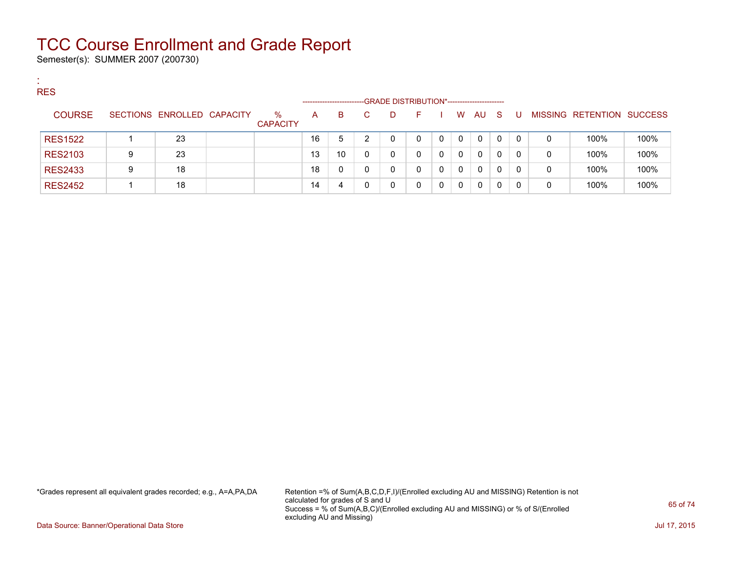Semester(s): SUMMER 2007 (200730)

:

| <b>RES</b>     |                            |                 |                       |    |    |                                             |   |   |          |     |          |   |                                  |      |
|----------------|----------------------------|-----------------|-----------------------|----|----|---------------------------------------------|---|---|----------|-----|----------|---|----------------------------------|------|
|                |                            |                 | --------------------- |    |    | -GRADE DISTRIBUTION*----------------------- |   |   |          |     |          |   |                                  |      |
| <b>COURSE</b>  | SECTIONS ENROLLED CAPACITY | $\%$            | A                     | B. | C. | D.                                          |   | W | AU.      | - S |          |   | <b>MISSING RETENTION SUCCESS</b> |      |
|                |                            | <b>CAPACITY</b> |                       |    |    |                                             |   |   |          |     |          |   |                                  |      |
| <b>RES1522</b> | 23                         |                 | 16                    | 5  | ົ  | 0                                           | 0 | 0 | 0        | 0   | $\Omega$ | 0 | 100%                             | 100% |
| <b>RES2103</b> | 23                         |                 | 13                    | 10 |    | 0                                           | 0 | 0 | $\Omega$ | 0   | 0        | 0 | 100%                             | 100% |
| <b>RES2433</b> | 18                         |                 | 18                    |    |    | 0                                           | 0 | 0 | 0        | 0   | 0        | 0 | 100%                             | 100% |
| <b>RES2452</b> | 18                         |                 | 14                    |    |    | 0                                           |   | 0 | 0        |     |          | 0 | 100%                             | 100% |

\*Grades represent all equivalent grades recorded; e.g., A=A,PA,DA Retention =% of Sum(A,B,C,D,F,I)/(Enrolled excluding AU and MISSING) Retention is not calculated for grades of S and U Success = % of Sum(A,B,C)/(Enrolled excluding AU and MISSING) or % of S/(Enrolled excluding AU and Missing)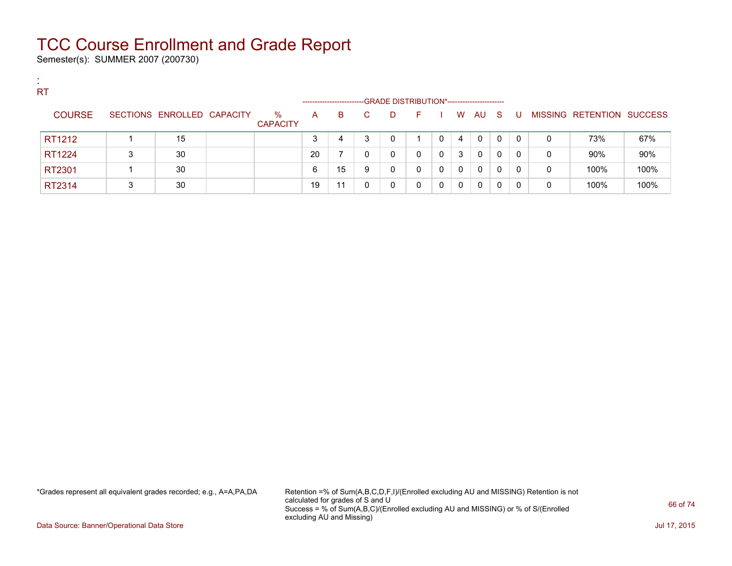Semester(s): SUMMER 2007 (200730)

:

| <b>ALC</b> | <b>RT</b>     |   |                            |                         |    |                       |    |                                             |    |          |   |              |              |          |   |                           |      |
|------------|---------------|---|----------------------------|-------------------------|----|-----------------------|----|---------------------------------------------|----|----------|---|--------------|--------------|----------|---|---------------------------|------|
|            |               |   |                            |                         |    | --------------------- |    | -GRADE DISTRIBUTION*----------------------- |    |          |   |              |              |          |   |                           |      |
|            | <b>COURSE</b> |   | SECTIONS ENROLLED CAPACITY | $\%$<br><b>CAPACITY</b> | A  | B                     | C. | D.                                          | н. |          | W | AU           | - S          | U        |   | MISSING RETENTION SUCCESS |      |
|            | RT1212        |   | 15                         |                         | 3  | 4                     | ິ  |                                             |    |          | 4 | $\mathbf{0}$ | $\mathbf{0}$ | $\Omega$ | 0 | 73%                       | 67%  |
|            | RT1224        | 3 | 30                         |                         | 20 |                       |    |                                             | 0  | $\Omega$ | 3 | $\Omega$     | 0            | 0        | 0 | 90%                       | 90%  |
|            | RT2301        |   | 30                         |                         | 6  | 15                    | 9  |                                             | 0  |          | 0 | $\mathbf{0}$ | 0            | 0        | 0 | 100%                      | 100% |
|            | RT2314        | 3 | 30                         |                         | 19 | 11                    | 0  |                                             | 0  |          | 0 | 0            | 0            | 0        | 0 | 100%                      | 100% |

\*Grades represent all equivalent grades recorded; e.g., A=A,PA,DA Retention =% of Sum(A,B,C,D,F,I)/(Enrolled excluding AU and MISSING) Retention is not calculated for grades of S and U Success = % of Sum(A,B,C)/(Enrolled excluding AU and MISSING) or % of S/(Enrolled excluding AU and Missing)

Data Source: Banner/Operational Data Store Jul 17, 2015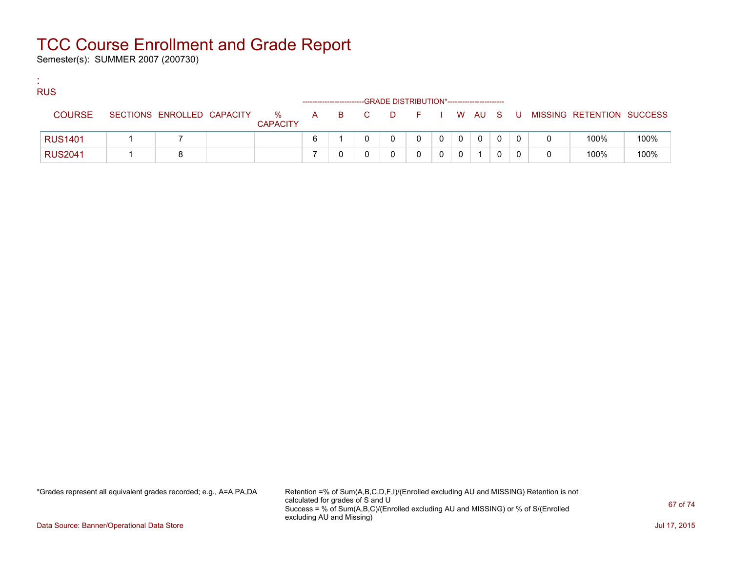Semester(s): SUMMER 2007 (200730)

:

| <b>RUS</b>     | -GRADE DISTRIBUTION*----------------------- |                            |  |                      |     |  |     |          |        |  |  |   |  |    |  |                           |      |
|----------------|---------------------------------------------|----------------------------|--|----------------------|-----|--|-----|----------|--------|--|--|---|--|----|--|---------------------------|------|
| <b>COURSE</b>  |                                             | SECTIONS ENROLLED CAPACITY |  | %<br><b>CAPACITY</b> | A a |  | B C | <b>D</b> | FIWAUS |  |  |   |  | U. |  | MISSING RETENTION SUCCESS |      |
| <b>RUS1401</b> |                                             |                            |  |                      | 6   |  |     |          |        |  |  | 0 |  |    |  | 100%                      | 100% |
| <b>RUS2041</b> |                                             |                            |  |                      |     |  |     |          |        |  |  |   |  |    |  | 100%                      | 100% |

\*Grades represent all equivalent grades recorded; e.g., A=A,PA,DA Retention =% of Sum(A,B,C,D,F,I)/(Enrolled excluding AU and MISSING) Retention is not calculated for grades of S and U Success = % of Sum(A,B,C)/(Enrolled excluding AU and MISSING) or % of S/(Enrolled excluding AU and Missing)

Data Source: Banner/Operational Data Store Jul 17, 2015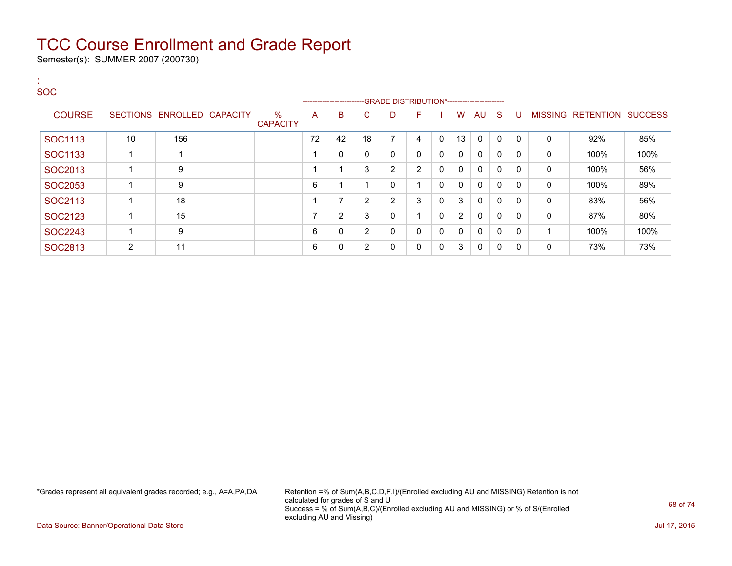Semester(s): SUMMER 2007 (200730)

:

#### SOC ---GRADE DISTRIBUTION\*------------------------COURSE SECTIONS ENROLLED CAPACITY % **CAPACITY** A B C D F I W AU S U MISSING RETENTION SUCCESS SOC1113 | 10 | 156 | | 72 | 42 | 18 | 7 | 4 | 0 | 13 | 0 | 0 | 0 | 0 | 92% | 85%  $\text{SOC1133} \hspace{1.5cm} \hspace{1.5cm} \hspace{1.5cm} \hspace{1.5cm} \hspace{1.5cm} \hspace{1.5cm} \hspace{1.5cm} \hspace{1.5cm} \hspace{1.5cm} \hspace{1.5cm} \hspace{1.5cm} \hspace{1.5cm} \hspace{1.5cm} \hspace{1.5cm} \hspace{1.5cm} \hspace{1.5cm} \hspace{1.5cm} \hspace{1.5cm} \hspace{1.5cm} \hspace{1.5cm} \hspace{1.5cm} \hspace{1.5cm} \hspace{1.5cm} \hspace{$ SOC2013 1 9 1 1 3 2 2 0 0 0 0 0 0 100% 56%  $\text{SOC2053} \hspace{1.3cm} 1 \hspace{1.3cm} 9 \hspace{1.3cm} 1 \hspace{1.3cm} 6 \hspace{1.3cm} 1 \hspace{1.3cm} 1 \hspace{1.3cm} 0 \hspace{1.3cm} 1 \hspace{1.3cm} 0 \hspace{1.3cm} 0 \hspace{1.3cm} 0 \hspace{1.3cm} 0 \hspace{1.3cm} 0 \hspace{1.3cm} 0 \hspace{1.3cm} 0 \hspace{1.3cm} 0 \hspace{1.3cm} 0 \hspace{1.3cm} 0 \hspace{1.3cm} 0 \hs$ SOC2113 1 18 1 7 2 2 3 0 3 0 0 0 0 83% 56%  $\text{SOC2123} \hspace{1.5cm} 1 \hspace{1.5cm} 15 \hspace{1.5cm} 15 \hspace{1.5cm} 1 \hspace{1.5cm} 1 \hspace{1.5cm} 1 \hspace{1.5cm} 1 \hspace{1.5cm} 2 \hspace{1.5cm} 3 \hspace{1.5cm} 0 \hspace{1.5cm} 1 \hspace{1.5cm} 0 \hspace{1.5cm} 2 \hspace{1.5cm} 0 \hspace{1.5cm} 0 \hspace{1.5cm} 0 \hspace{1.5cm} 0 \hspace{1.5cm} 0 \hspace{1.5cm}$  $\text{SOC2243} \quad | \quad 1 \quad | \quad 9 \quad | \quad | \quad | \quad 6 \quad | \quad 0 \quad | \quad 2 \quad | \quad 0 \quad | \quad 0 \quad | \quad 0 \quad | \quad 0 \quad | \quad 0 \quad | \quad 1 \quad | \quad 100\% \quad | \quad 100\%$ SOC2813 2 11 0 6 0 2 0 0 3 0 0 0 0 73% 73%

\*Grades represent all equivalent grades recorded; e.g., A=A,PA,DA Retention =% of Sum(A,B,C,D,F,I)/(Enrolled excluding AU and MISSING) Retention is not calculated for grades of S and U Success = % of Sum(A,B,C)/(Enrolled excluding AU and MISSING) or % of S/(Enrolled excluding AU and Missing)

Data Source: Banner/Operational Data Store Jul 17, 2015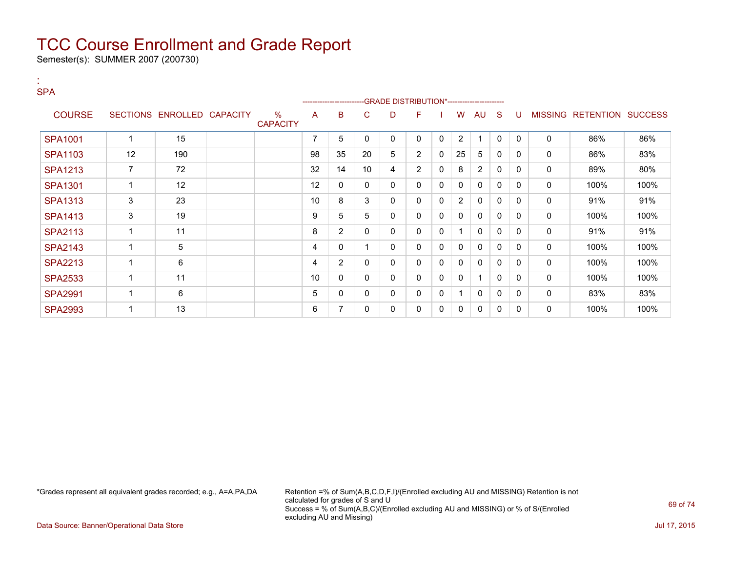Semester(s): SUMMER 2007 (200730)

:

| <b>SPA</b>     |                          |                 |                 |                         |    | ----------------------- |                 |              | -GRADE DISTRIBUTION*----------------------- |   |                |                |              |              |                |                  |                |
|----------------|--------------------------|-----------------|-----------------|-------------------------|----|-------------------------|-----------------|--------------|---------------------------------------------|---|----------------|----------------|--------------|--------------|----------------|------------------|----------------|
| <b>COURSE</b>  | <b>SECTIONS</b>          | <b>ENROLLED</b> | <b>CAPACITY</b> | $\%$<br><b>CAPACITY</b> | A  | B                       | C               | D            | F                                           |   | W              | AU             | S            | U            | <b>MISSING</b> | <b>RETENTION</b> | <b>SUCCESS</b> |
| <b>SPA1001</b> |                          | 15              |                 |                         | 7  | 5                       | 0               | 0            | 0                                           | 0 | 2              |                | $\mathbf{0}$ | $\mathbf{0}$ | 0              | 86%              | 86%            |
| <b>SPA1103</b> | 12                       | 190             |                 |                         | 98 | 35                      | 20              | 5            | $\overline{2}$                              | 0 | 25             | 5              | 0            | $\mathbf{0}$ | $\mathbf 0$    | 86%              | 83%            |
| <b>SPA1213</b> | $\overline{7}$           | 72              |                 |                         | 32 | 14                      | 10 <sup>°</sup> | 4            | $\overline{2}$                              | 0 | 8              | $\overline{2}$ | 0            | 0            | 0              | 89%              | 80%            |
| <b>SPA1301</b> | -1                       | 12              |                 |                         | 12 | 0                       | 0               | 0            | 0                                           | 0 | $\mathbf 0$    | 0              | 0            | $\Omega$     | 0              | 100%             | 100%           |
| <b>SPA1313</b> | 3                        | 23              |                 |                         | 10 | 8                       | 3               | 0            | $\Omega$                                    | 0 | $\overline{2}$ | 0              | 0            | 0            | $\Omega$       | 91%              | 91%            |
| <b>SPA1413</b> | 3                        | 19              |                 |                         | 9  | 5                       | 5               | 0            | $\mathbf{0}$                                | 0 | $\mathbf{0}$   | 0              | 0            | $\Omega$     | 0              | 100%             | 100%           |
| <b>SPA2113</b> | $\overline{\phantom{a}}$ | 11              |                 |                         | 8  | $\overline{2}$          | $\mathbf{0}$    | 0            | $\mathbf{0}$                                | 0 |                | $\mathbf{0}$   | 0            | 0            | 0              | 91%              | 91%            |
| <b>SPA2143</b> | -1                       | 5               |                 |                         | 4  | 0                       |                 | $\mathbf{0}$ | $\mathbf{0}$                                | 0 | $\mathbf{0}$   | 0              | 0            | 0            | 0              | 100%             | 100%           |
| <b>SPA2213</b> |                          | 6               |                 |                         | 4  | $\overline{2}$          | 0               | 0            | $\mathbf{0}$                                | 0 | $\mathbf{0}$   | 0              | 0            | 0            | 0              | 100%             | 100%           |
| <b>SPA2533</b> |                          | 11              |                 |                         | 10 | 0                       | $\mathbf{0}$    | $\mathbf{0}$ | $\mathbf{0}$                                | 0 | $\mathbf{0}$   |                | 0            | $\Omega$     | $\Omega$       | 100%             | 100%           |
| <b>SPA2991</b> |                          | 6               |                 |                         | 5  | 0                       | 0               | 0            | $\mathbf{0}$                                | 0 |                | 0              | 0            | 0            | 0              | 83%              | 83%            |
| <b>SPA2993</b> |                          | 13              |                 |                         | 6  | $\overline{7}$          | 0               | 0            | $\Omega$                                    | 0 | 0              | $\mathbf{0}$   | 0            | 0            | 0              | 100%             | 100%           |

\*Grades represent all equivalent grades recorded; e.g., A=A,PA,DA Retention =% of Sum(A,B,C,D,F,I)/(Enrolled excluding AU and MISSING) Retention is not calculated for grades of S and U Success = % of Sum(A,B,C)/(Enrolled excluding AU and MISSING) or % of S/(Enrolled excluding AU and Missing)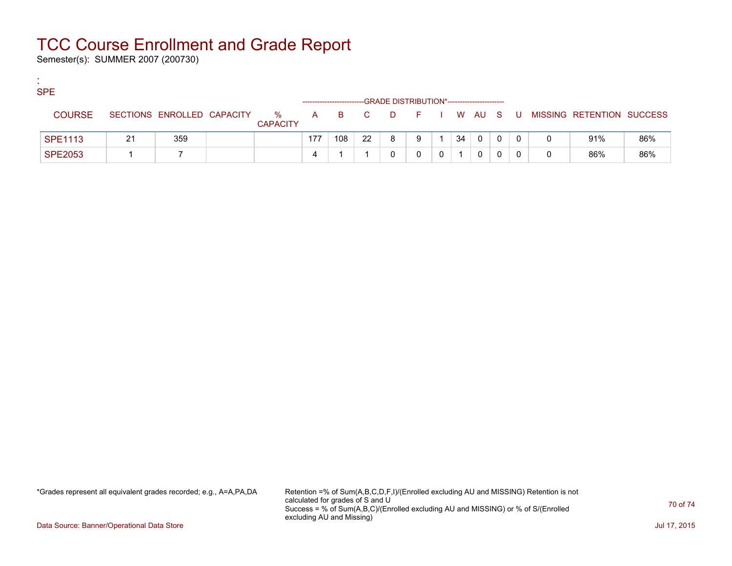Semester(s): SUMMER 2007 (200730)

:

| <b>SPE</b>     | -GRADE DISTRIBUTION*----------------------- |    |                            |  |                         |     |     |       |          |         |  |    |              |  |    |   |                           |     |
|----------------|---------------------------------------------|----|----------------------------|--|-------------------------|-----|-----|-------|----------|---------|--|----|--------------|--|----|---|---------------------------|-----|
| <b>COURSE</b>  |                                             |    | SECTIONS ENROLLED CAPACITY |  | $\%$<br><b>CAPACITY</b> |     |     | A B C | <b>D</b> | $F = 1$ |  |    | I WAUS       |  | -U |   | MISSING RETENTION SUCCESS |     |
| <b>SPE1113</b> |                                             | 21 | 359                        |  |                         | 177 | 108 | 22    |          | 9       |  | 34 | $\mathbf{0}$ |  |    |   | 91%                       | 86% |
| <b>SPE2053</b> |                                             |    |                            |  |                         | 4   |     |       |          |         |  |    |              |  |    | 0 | 86%                       | 86% |

\*Grades represent all equivalent grades recorded; e.g., A=A,PA,DA Retention =% of Sum(A,B,C,D,F,I)/(Enrolled excluding AU and MISSING) Retention is not calculated for grades of S and U Success = % of Sum(A,B,C)/(Enrolled excluding AU and MISSING) or % of S/(Enrolled excluding AU and Missing)

Data Source: Banner/Operational Data Store Jul 17, 2015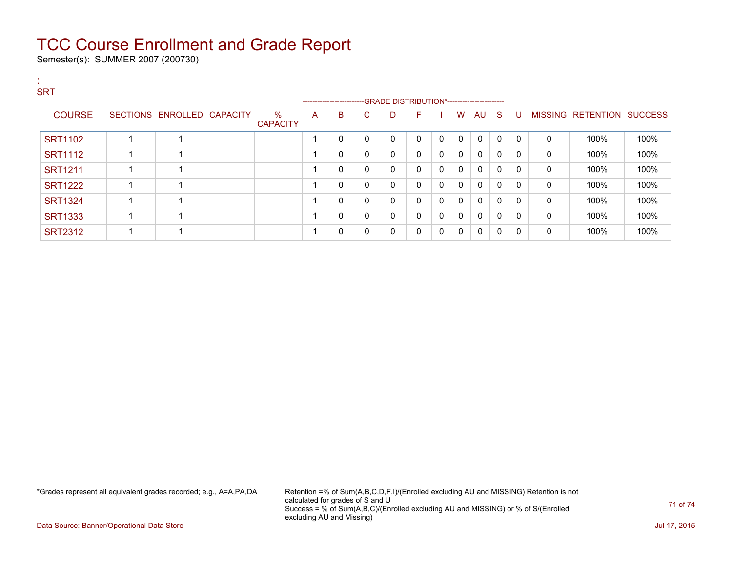Semester(s): SUMMER 2007 (200730)

| <b>SRT</b> |                |                            |                         |   |                                                                   |              |          |          |              |              |              |              |          |              |                           |      |
|------------|----------------|----------------------------|-------------------------|---|-------------------------------------------------------------------|--------------|----------|----------|--------------|--------------|--------------|--------------|----------|--------------|---------------------------|------|
|            |                |                            |                         |   | -----------------------GRADE DISTRIBUTION*----------------------- |              |          |          |              |              |              |              |          |              |                           |      |
|            | <b>COURSE</b>  | SECTIONS ENROLLED CAPACITY | $\%$<br><b>CAPACITY</b> | A | B.                                                                | C.           | D        | F.       |              | W            | AU           | S.           | U        |              | MISSING RETENTION SUCCESS |      |
|            | <b>SRT1102</b> |                            |                         |   | 0                                                                 | $\mathbf{0}$ | $\Omega$ | $\Omega$ | $\mathbf{0}$ | $\mathbf{0}$ | $\mathbf{0}$ | $\Omega$     | $\Omega$ | $\Omega$     | 100%                      | 100% |
|            | <b>SRT1112</b> |                            |                         |   | 0                                                                 | $\Omega$     | 0        | $\Omega$ | 0            | $\mathbf{0}$ | 0            | $\mathbf{0}$ | $\Omega$ | $\mathbf{0}$ | 100%                      | 100% |
|            | <b>SRT1211</b> |                            |                         |   | 0                                                                 | $\mathbf{0}$ | 0        | $\Omega$ | 0            | $\mathbf{0}$ | $\mathbf{0}$ | $\Omega$     | $\Omega$ | $\mathbf{0}$ | 100%                      | 100% |
|            | <b>SRT1222</b> |                            |                         |   | 0                                                                 | $\mathbf{0}$ | 0        | $\Omega$ | 0            | $\mathbf{0}$ | $\mathbf{0}$ | $\mathbf{0}$ | $\Omega$ | $\mathbf{0}$ | 100%                      | 100% |
|            | <b>SRT1324</b> |                            |                         |   | 0                                                                 | $\mathbf{0}$ | 0        | $\Omega$ | 0            | $\mathbf{0}$ | $\mathbf{0}$ | $\Omega$     | $\Omega$ | $\mathbf{0}$ | 100%                      | 100% |
|            | <b>SRT1333</b> |                            |                         |   | 0                                                                 | 0            | 0        | $\Omega$ | 0            | 0            | $\mathbf{0}$ | $\mathbf{0}$ | $\Omega$ | $\mathbf{0}$ | 100%                      | 100% |
|            | <b>SRT2312</b> |                            |                         |   | 0                                                                 | $\mathbf{0}$ | 0        | $\Omega$ | $\mathbf{0}$ | $\mathbf{0}$ | $\mathbf{0}$ | $\mathbf{0}$ | $\Omega$ | $\mathbf{0}$ | 100%                      | 100% |

\*Grades represent all equivalent grades recorded; e.g., A=A,PA,DA Retention =% of Sum(A,B,C,D,F,I)/(Enrolled excluding AU and MISSING) Retention is not calculated for grades of S and U Success = % of Sum(A,B,C)/(Enrolled excluding AU and MISSING) or % of S/(Enrolled excluding AU and Missing)

Data Source: Banner/Operational Data Store Jul 17, 2015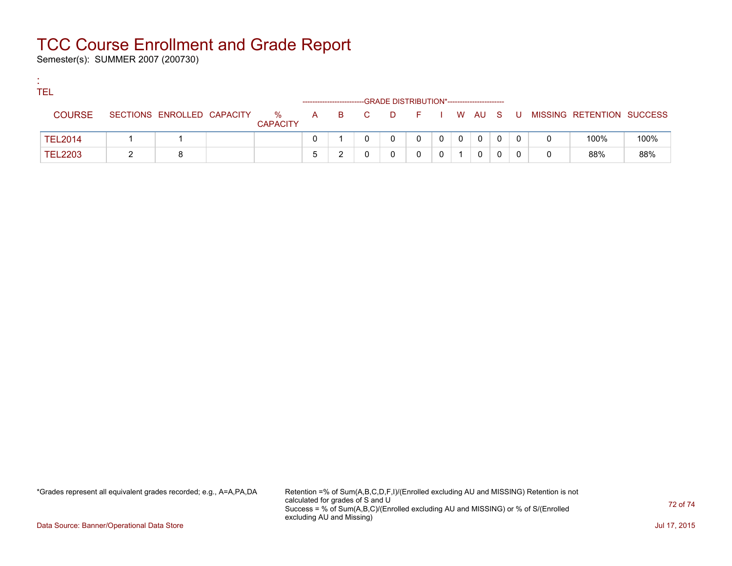Semester(s): SUMMER 2007 (200730)

:

| <b>TEL</b><br>-GRADE DISTRIBUTION*----------------------- |                |  |                            |  |                      |   |  |     |          |            |              |          |   |   |     |   |                           |      |
|-----------------------------------------------------------|----------------|--|----------------------------|--|----------------------|---|--|-----|----------|------------|--------------|----------|---|---|-----|---|---------------------------|------|
|                                                           | <b>COURSE</b>  |  | SECTIONS ENROLLED CAPACITY |  | %<br><b>CAPACITY</b> | A |  | BC. | <b>D</b> | F I W AU S |              |          |   |   | . U |   | MISSING RETENTION SUCCESS |      |
|                                                           | <b>TEL2014</b> |  |                            |  |                      |   |  |     |          | 0          | $\mathbf{0}$ | $\Omega$ | 0 | 0 |     |   | 100%                      | 100% |
|                                                           | <b>TEL2203</b> |  |                            |  |                      |   |  |     |          |            |              |          | 0 |   |     | 0 | 88%                       | 88%  |

\*Grades represent all equivalent grades recorded; e.g., A=A,PA,DA Retention =% of Sum(A,B,C,D,F,I)/(Enrolled excluding AU and MISSING) Retention is not calculated for grades of S and U Success = % of Sum(A,B,C)/(Enrolled excluding AU and MISSING) or % of S/(Enrolled excluding AU and Missing)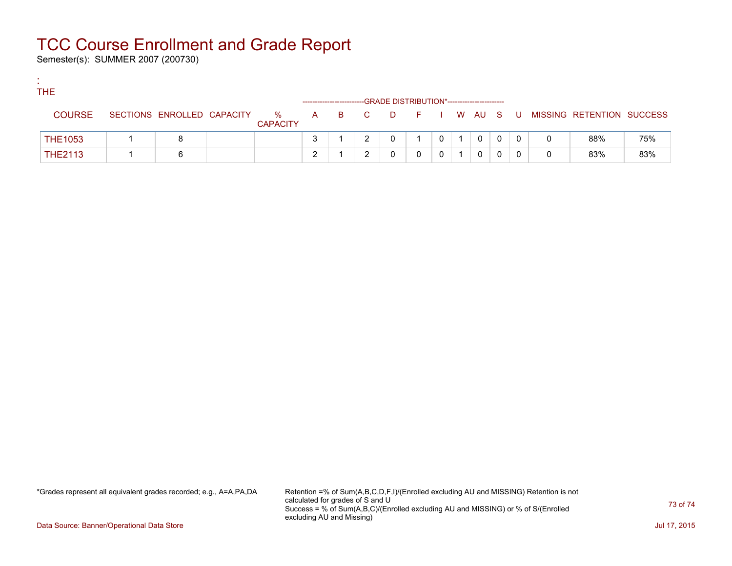## TCC Course Enrollment and Grade Report

Semester(s): SUMMER 2007 (200730)

:

| <b>THE</b><br>-GRADE DISTRIBUTION*---------------------- |  |                            |  |                      |  |  |  |  |  |          |  |                |  |  |   |                                                |     |
|----------------------------------------------------------|--|----------------------------|--|----------------------|--|--|--|--|--|----------|--|----------------|--|--|---|------------------------------------------------|-----|
| <b>COURSE</b>                                            |  | SECTIONS ENROLLED CAPACITY |  | %<br><b>CAPACITY</b> |  |  |  |  |  |          |  |                |  |  |   | A B C D F I W AU S U MISSING RETENTION SUCCESS |     |
| <b>THE1053</b>                                           |  |                            |  |                      |  |  |  |  |  | $\Omega$ |  | $\overline{0}$ |  |  |   | 88%                                            | 75% |
| <b>THE2113</b>                                           |  |                            |  |                      |  |  |  |  |  |          |  |                |  |  | 0 | 83%                                            | 83% |

\*Grades represent all equivalent grades recorded; e.g., A=A,PA,DA Retention =% of Sum(A,B,C,D,F,I)/(Enrolled excluding AU and MISSING) Retention is not calculated for grades of S and U Success = % of Sum(A,B,C)/(Enrolled excluding AU and MISSING) or % of S/(Enrolled excluding AU and Missing)

73 of 74